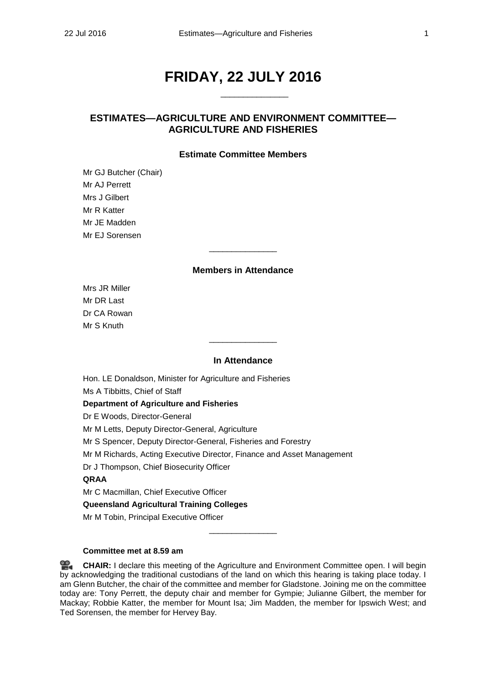# **FRIDAY, 22 JULY 2016**

\_\_\_\_\_\_\_\_\_\_\_\_\_\_\_

## **ESTIMATES—AGRICULTURE AND ENVIRONMENT COMMITTEE— AGRICULTURE AND FISHERIES**

### **Estimate Committee Members**

Mr GJ Butcher (Chair) Mr AJ Perrett Mrs J Gilbert Mr R Katter Mr JE Madden Mr EJ Sorensen

## **Members in Attendance**

\_\_\_\_\_\_\_\_\_\_\_\_\_\_\_

Mrs JR Miller Mr DR Last Dr CA Rowan Mr S Knuth

#### **In Attendance**

 $\overline{\phantom{a}}$  , where the contract of the contract of  $\overline{\phantom{a}}$ 

Hon. LE Donaldson, Minister for Agriculture and Fisheries

Ms A Tibbitts, Chief of Staff

#### **Department of Agriculture and Fisheries**

Dr E Woods, Director-General

Mr M Letts, Deputy Director-General, Agriculture

Mr S Spencer, Deputy Director-General, Fisheries and Forestry

Mr M Richards, Acting Executive Director, Finance and Asset Management

Dr J Thompson, Chief Biosecurity Officer

## **QRAA**

Mr C Macmillan, Chief Executive Officer

**Queensland Agricultural Training Colleges**

Mr M Tobin, Principal Executive Officer

#### **Committee met at 8.59 am**

옆. **[CHAIR:](http://www.parliament.qld.gov.au/docs/find.aspx?id=0Mba20160722_085955)** I declare this meeting of the Agriculture and Environment Committee open. I will begin by acknowledging the traditional custodians of the land on which this hearing is taking place today. I am Glenn Butcher, the chair of the committee and member for Gladstone. Joining me on the committee today are: Tony Perrett, the deputy chair and member for Gympie; Julianne Gilbert, the member for Mackay; Robbie Katter, the member for Mount Isa; Jim Madden, the member for Ipswich West; and Ted Sorensen, the member for Hervey Bay.

\_\_\_\_\_\_\_\_\_\_\_\_\_\_\_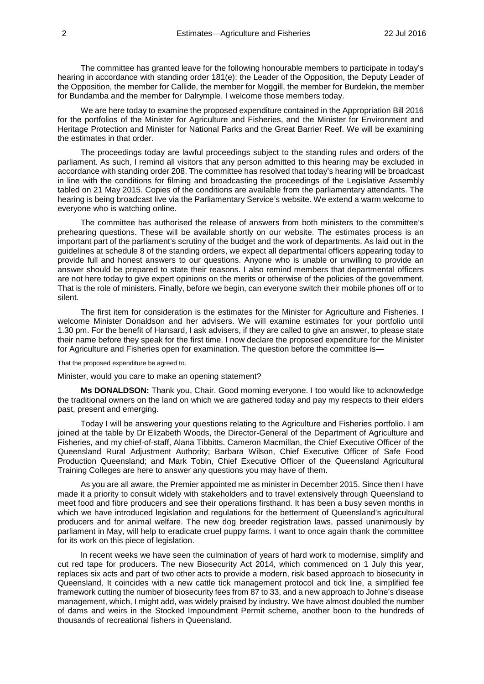The committee has granted leave for the following honourable members to participate in today's hearing in accordance with standing order 181(e): the Leader of the Opposition, the Deputy Leader of the Opposition, the member for Callide, the member for Moggill, the member for Burdekin, the member for Bundamba and the member for Dalrymple. I welcome those members today.

We are here today to examine the proposed expenditure contained in the Appropriation Bill 2016 for the portfolios of the Minister for Agriculture and Fisheries, and the Minister for Environment and Heritage Protection and Minister for National Parks and the Great Barrier Reef. We will be examining the estimates in that order.

The proceedings today are lawful proceedings subject to the standing rules and orders of the parliament. As such, I remind all visitors that any person admitted to this hearing may be excluded in accordance with standing order 208. The committee has resolved that today's hearing will be broadcast in line with the conditions for filming and broadcasting the proceedings of the Legislative Assembly tabled on 21 May 2015. Copies of the conditions are available from the parliamentary attendants. The hearing is being broadcast live via the Parliamentary Service's website. We extend a warm welcome to everyone who is watching online.

The committee has authorised the release of answers from both ministers to the committee's prehearing questions. These will be available shortly on our website. The estimates process is an important part of the parliament's scrutiny of the budget and the work of departments. As laid out in the guidelines at schedule 8 of the standing orders, we expect all departmental officers appearing today to provide full and honest answers to our questions. Anyone who is unable or unwilling to provide an answer should be prepared to state their reasons. I also remind members that departmental officers are not here today to give expert opinions on the merits or otherwise of the policies of the government. That is the role of ministers. Finally, before we begin, can everyone switch their mobile phones off or to silent.

The first item for consideration is the estimates for the Minister for Agriculture and Fisheries. I welcome Minister Donaldson and her advisers. We will examine estimates for your portfolio until 1.30 pm. For the benefit of Hansard, I ask advisers, if they are called to give an answer, to please state their name before they speak for the first time. I now declare the proposed expenditure for the Minister for Agriculture and Fisheries open for examination. The question before the committee is—

#### That the proposed expenditure be agreed to.

Minister, would you care to make an opening statement?

**Ms DONALDSON:** Thank you, Chair. Good morning everyone. I too would like to acknowledge the traditional owners on the land on which we are gathered today and pay my respects to their elders past, present and emerging.

Today I will be answering your questions relating to the Agriculture and Fisheries portfolio. I am joined at the table by Dr Elizabeth Woods, the Director-General of the Department of Agriculture and Fisheries, and my chief-of-staff, Alana Tibbitts. Cameron Macmillan, the Chief Executive Officer of the Queensland Rural Adjustment Authority; Barbara Wilson, Chief Executive Officer of Safe Food Production Queensland; and Mark Tobin, Chief Executive Officer of the Queensland Agricultural Training Colleges are here to answer any questions you may have of them.

As you are all aware, the Premier appointed me as minister in December 2015. Since then I have made it a priority to consult widely with stakeholders and to travel extensively through Queensland to meet food and fibre producers and see their operations firsthand. It has been a busy seven months in which we have introduced legislation and regulations for the betterment of Queensland's agricultural producers and for animal welfare. The new dog breeder registration laws, passed unanimously by parliament in May, will help to eradicate cruel puppy farms. I want to once again thank the committee for its work on this piece of legislation.

In recent weeks we have seen the culmination of years of hard work to modernise, simplify and cut red tape for producers. The new Biosecurity Act 2014, which commenced on 1 July this year, replaces six acts and part of two other acts to provide a modern, risk based approach to biosecurity in Queensland. It coincides with a new cattle tick management protocol and tick line, a simplified fee framework cutting the number of biosecurity fees from 87 to 33, and a new approach to Johne's disease management, which, I might add, was widely praised by industry. We have almost doubled the number of dams and weirs in the Stocked Impoundment Permit scheme, another boon to the hundreds of thousands of recreational fishers in Queensland.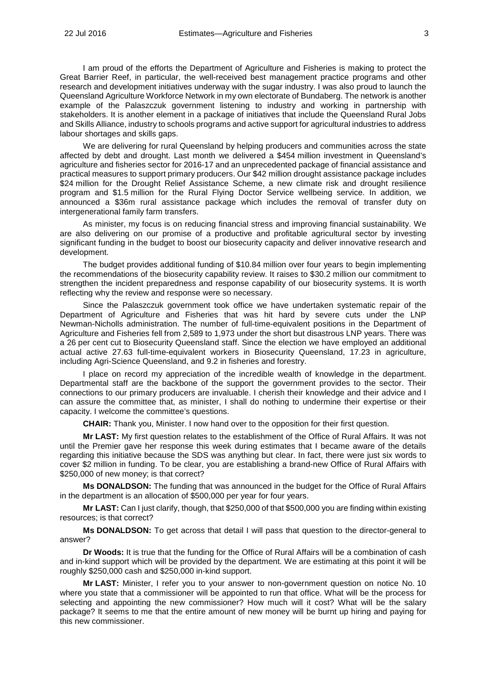I am proud of the efforts the Department of Agriculture and Fisheries is making to protect the Great Barrier Reef, in particular, the well-received best management practice programs and other research and development initiatives underway with the sugar industry. I was also proud to launch the Queensland Agriculture Workforce Network in my own electorate of Bundaberg. The network is another example of the Palaszczuk government listening to industry and working in partnership with stakeholders. It is another element in a package of initiatives that include the Queensland Rural Jobs and Skills Alliance, industry to schools programs and active support for agricultural industries to address labour shortages and skills gaps.

We are delivering for rural Queensland by helping producers and communities across the state affected by debt and drought. Last month we delivered a \$454 million investment in Queensland's agriculture and fisheries sector for 2016-17 and an unprecedented package of financial assistance and practical measures to support primary producers. Our \$42 million drought assistance package includes \$24 million for the Drought Relief Assistance Scheme, a new climate risk and drought resilience program and \$1.5 million for the Rural Flying Doctor Service wellbeing service. In addition, we announced a \$36m rural assistance package which includes the removal of transfer duty on intergenerational family farm transfers.

As minister, my focus is on reducing financial stress and improving financial sustainability. We are also delivering on our promise of a productive and profitable agricultural sector by investing significant funding in the budget to boost our biosecurity capacity and deliver innovative research and development.

The budget provides additional funding of \$10.84 million over four years to begin implementing the recommendations of the biosecurity capability review. It raises to \$30.2 million our commitment to strengthen the incident preparedness and response capability of our biosecurity systems. It is worth reflecting why the review and response were so necessary.

Since the Palaszczuk government took office we have undertaken systematic repair of the Department of Agriculture and Fisheries that was hit hard by severe cuts under the LNP Newman-Nicholls administration. The number of full-time-equivalent positions in the Department of Agriculture and Fisheries fell from 2,589 to 1,973 under the short but disastrous LNP years. There was a 26 per cent cut to Biosecurity Queensland staff. Since the election we have employed an additional actual active 27.63 full-time-equivalent workers in Biosecurity Queensland, 17.23 in agriculture, including Agri-Science Queensland, and 9.2 in fisheries and forestry.

I place on record my appreciation of the incredible wealth of knowledge in the department. Departmental staff are the backbone of the support the government provides to the sector. Their connections to our primary producers are invaluable. I cherish their knowledge and their advice and I can assure the committee that, as minister, I shall do nothing to undermine their expertise or their capacity. I welcome the committee's questions.

**CHAIR:** Thank you, Minister. I now hand over to the opposition for their first question.

**Mr LAST:** My first question relates to the establishment of the Office of Rural Affairs. It was not until the Premier gave her response this week during estimates that I became aware of the details regarding this initiative because the SDS was anything but clear. In fact, there were just six words to cover \$2 million in funding. To be clear, you are establishing a brand-new Office of Rural Affairs with \$250,000 of new money; is that correct?

**Ms DONALDSON:** The funding that was announced in the budget for the Office of Rural Affairs in the department is an allocation of \$500,000 per year for four years.

**Mr LAST:** Can I just clarify, though, that \$250,000 of that \$500,000 you are finding within existing resources; is that correct?

**Ms DONALDSON:** To get across that detail I will pass that question to the director-general to answer?

**Dr Woods:** It is true that the funding for the Office of Rural Affairs will be a combination of cash and in-kind support which will be provided by the department. We are estimating at this point it will be roughly \$250,000 cash and \$250,000 in-kind support.

**Mr LAST:** Minister, I refer you to your answer to non-government question on notice No. 10 where you state that a commissioner will be appointed to run that office. What will be the process for selecting and appointing the new commissioner? How much will it cost? What will be the salary package? It seems to me that the entire amount of new money will be burnt up hiring and paying for this new commissioner.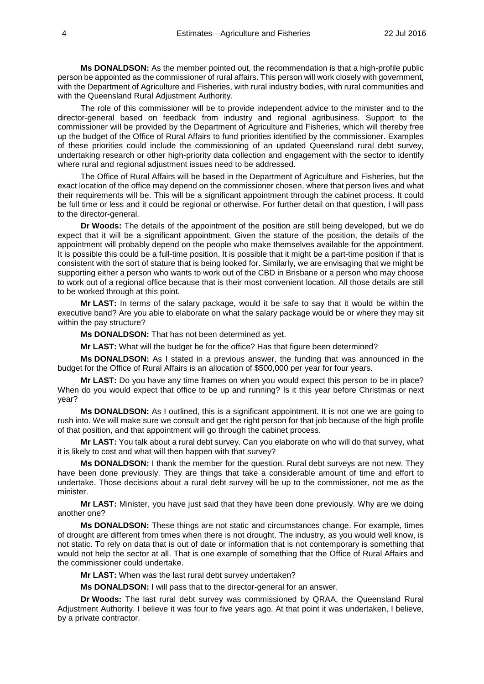**Ms DONALDSON:** As the member pointed out, the recommendation is that a high-profile public person be appointed as the commissioner of rural affairs. This person will work closely with government, with the Department of Agriculture and Fisheries, with rural industry bodies, with rural communities and with the Queensland Rural Adjustment Authority.

The role of this commissioner will be to provide independent advice to the minister and to the director-general based on feedback from industry and regional agribusiness. Support to the commissioner will be provided by the Department of Agriculture and Fisheries, which will thereby free up the budget of the Office of Rural Affairs to fund priorities identified by the commissioner. Examples of these priorities could include the commissioning of an updated Queensland rural debt survey, undertaking research or other high-priority data collection and engagement with the sector to identify where rural and regional adjustment issues need to be addressed.

The Office of Rural Affairs will be based in the Department of Agriculture and Fisheries, but the exact location of the office may depend on the commissioner chosen, where that person lives and what their requirements will be. This will be a significant appointment through the cabinet process. It could be full time or less and it could be regional or otherwise. For further detail on that question, I will pass to the director-general.

**Dr Woods:** The details of the appointment of the position are still being developed, but we do expect that it will be a significant appointment. Given the stature of the position, the details of the appointment will probably depend on the people who make themselves available for the appointment. It is possible this could be a full-time position. It is possible that it might be a part-time position if that is consistent with the sort of stature that is being looked for. Similarly, we are envisaging that we might be supporting either a person who wants to work out of the CBD in Brisbane or a person who may choose to work out of a regional office because that is their most convenient location. All those details are still to be worked through at this point.

**Mr LAST:** In terms of the salary package, would it be safe to say that it would be within the executive band? Are you able to elaborate on what the salary package would be or where they may sit within the pay structure?

**Ms DONALDSON:** That has not been determined as yet.

**Mr LAST:** What will the budget be for the office? Has that figure been determined?

**Ms DONALDSON:** As I stated in a previous answer, the funding that was announced in the budget for the Office of Rural Affairs is an allocation of \$500,000 per year for four years.

**Mr LAST:** Do you have any time frames on when you would expect this person to be in place? When do you would expect that office to be up and running? Is it this year before Christmas or next year?

**Ms DONALDSON:** As I outlined, this is a significant appointment. It is not one we are going to rush into. We will make sure we consult and get the right person for that job because of the high profile of that position, and that appointment will go through the cabinet process.

**Mr LAST:** You talk about a rural debt survey. Can you elaborate on who will do that survey, what it is likely to cost and what will then happen with that survey?

**Ms DONALDSON:** I thank the member for the question. Rural debt surveys are not new. They have been done previously. They are things that take a considerable amount of time and effort to undertake. Those decisions about a rural debt survey will be up to the commissioner, not me as the minister.

**Mr LAST:** Minister, you have just said that they have been done previously. Why are we doing another one?

**Ms DONALDSON:** These things are not static and circumstances change. For example, times of drought are different from times when there is not drought. The industry, as you would well know, is not static. To rely on data that is out of date or information that is not contemporary is something that would not help the sector at all. That is one example of something that the Office of Rural Affairs and the commissioner could undertake.

**Mr LAST:** When was the last rural debt survey undertaken?

**Ms DONALDSON:** I will pass that to the director-general for an answer.

**Dr Woods:** The last rural debt survey was commissioned by QRAA, the Queensland Rural Adjustment Authority. I believe it was four to five years ago. At that point it was undertaken, I believe, by a private contractor.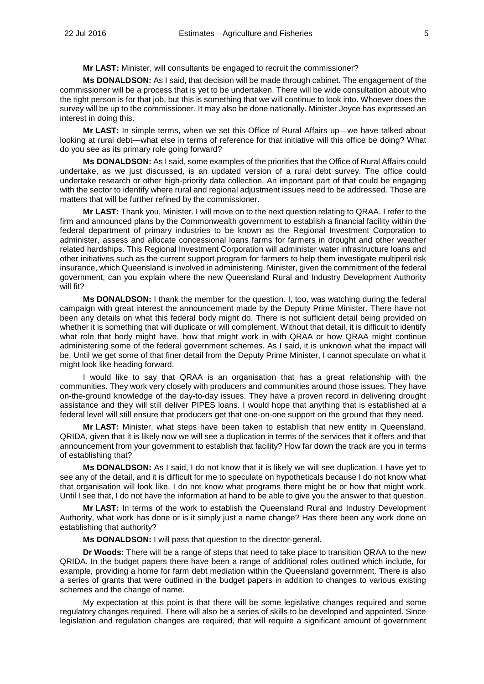**Mr LAST:** Minister, will consultants be engaged to recruit the commissioner?

**Ms DONALDSON:** As I said, that decision will be made through cabinet. The engagement of the commissioner will be a process that is yet to be undertaken. There will be wide consultation about who the right person is for that job, but this is something that we will continue to look into. Whoever does the survey will be up to the commissioner. It may also be done nationally. Minister Joyce has expressed an interest in doing this.

**Mr LAST:** In simple terms, when we set this Office of Rural Affairs up—we have talked about looking at rural debt—what else in terms of reference for that initiative will this office be doing? What do you see as its primary role going forward?

**Ms DONALDSON:** As I said, some examples of the priorities that the Office of Rural Affairs could undertake, as we just discussed, is an updated version of a rural debt survey. The office could undertake research or other high-priority data collection. An important part of that could be engaging with the sector to identify where rural and regional adjustment issues need to be addressed. Those are matters that will be further refined by the commissioner.

**Mr LAST:** Thank you, Minister. I will move on to the next question relating to QRAA. I refer to the firm and announced plans by the Commonwealth government to establish a financial facility within the federal department of primary industries to be known as the Regional Investment Corporation to administer, assess and allocate concessional loans farms for farmers in drought and other weather related hardships. This Regional Investment Corporation will administer water infrastructure loans and other initiatives such as the current support program for farmers to help them investigate multiperil risk insurance, which Queensland is involved in administering. Minister, given the commitment of the federal government, can you explain where the new Queensland Rural and Industry Development Authority will fit?

**Ms DONALDSON:** I thank the member for the question. I, too, was watching during the federal campaign with great interest the announcement made by the Deputy Prime Minister. There have not been any details on what this federal body might do. There is not sufficient detail being provided on whether it is something that will duplicate or will complement. Without that detail, it is difficult to identify what role that body might have, how that might work in with QRAA or how QRAA might continue administering some of the federal government schemes. As I said, it is unknown what the impact will be. Until we get some of that finer detail from the Deputy Prime Minister, I cannot speculate on what it might look like heading forward.

I would like to say that QRAA is an organisation that has a great relationship with the communities. They work very closely with producers and communities around those issues. They have on-the-ground knowledge of the day-to-day issues. They have a proven record in delivering drought assistance and they will still deliver PIPES loans. I would hope that anything that is established at a federal level will still ensure that producers get that one-on-one support on the ground that they need.

**Mr LAST:** Minister, what steps have been taken to establish that new entity in Queensland, QRIDA, given that it is likely now we will see a duplication in terms of the services that it offers and that announcement from your government to establish that facility? How far down the track are you in terms of establishing that?

**Ms DONALDSON:** As I said, I do not know that it is likely we will see duplication. I have yet to see any of the detail, and it is difficult for me to speculate on hypotheticals because I do not know what that organisation will look like. I do not know what programs there might be or how that might work. Until I see that, I do not have the information at hand to be able to give you the answer to that question.

**Mr LAST:** In terms of the work to establish the Queensland Rural and Industry Development Authority, what work has done or is it simply just a name change? Has there been any work done on establishing that authority?

**Ms DONALDSON:** I will pass that question to the director-general.

**Dr Woods:** There will be a range of steps that need to take place to transition QRAA to the new QRIDA. In the budget papers there have been a range of additional roles outlined which include, for example, providing a home for farm debt mediation within the Queensland government. There is also a series of grants that were outlined in the budget papers in addition to changes to various existing schemes and the change of name.

My expectation at this point is that there will be some legislative changes required and some regulatory changes required. There will also be a series of skills to be developed and appointed. Since legislation and regulation changes are required, that will require a significant amount of government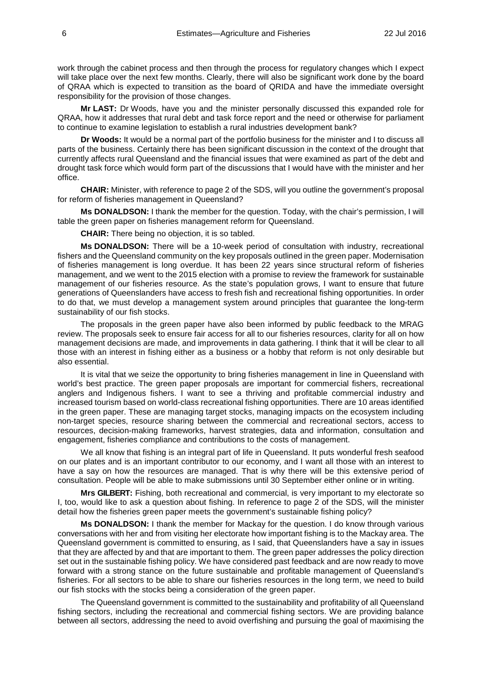work through the cabinet process and then through the process for regulatory changes which I expect will take place over the next few months. Clearly, there will also be significant work done by the board of QRAA which is expected to transition as the board of QRIDA and have the immediate oversight responsibility for the provision of those changes.

**Mr LAST:** Dr Woods, have you and the minister personally discussed this expanded role for QRAA, how it addresses that rural debt and task force report and the need or otherwise for parliament to continue to examine legislation to establish a rural industries development bank?

**Dr Woods:** It would be a normal part of the portfolio business for the minister and I to discuss all parts of the business. Certainly there has been significant discussion in the context of the drought that currently affects rural Queensland and the financial issues that were examined as part of the debt and drought task force which would form part of the discussions that I would have with the minister and her office.

**CHAIR:** Minister, with reference to page 2 of the SDS, will you outline the government's proposal for reform of fisheries management in Queensland?

**Ms DONALDSON:** I thank the member for the question. Today, with the chair's permission, I will table the green paper on fisheries management reform for Queensland.

**CHAIR:** There being no objection, it is so tabled.

**Ms DONALDSON:** There will be a 10-week period of consultation with industry, recreational fishers and the Queensland community on the key proposals outlined in the green paper. Modernisation of fisheries management is long overdue. It has been 22 years since structural reform of fisheries management, and we went to the 2015 election with a promise to review the framework for sustainable management of our fisheries resource. As the state's population grows, I want to ensure that future generations of Queenslanders have access to fresh fish and recreational fishing opportunities. In order to do that, we must develop a management system around principles that guarantee the long-term sustainability of our fish stocks.

The proposals in the green paper have also been informed by public feedback to the MRAG review. The proposals seek to ensure fair access for all to our fisheries resources, clarity for all on how management decisions are made, and improvements in data gathering. I think that it will be clear to all those with an interest in fishing either as a business or a hobby that reform is not only desirable but also essential.

It is vital that we seize the opportunity to bring fisheries management in line in Queensland with world's best practice. The green paper proposals are important for commercial fishers, recreational anglers and Indigenous fishers. I want to see a thriving and profitable commercial industry and increased tourism based on world-class recreational fishing opportunities. There are 10 areas identified in the green paper. These are managing target stocks, managing impacts on the ecosystem including non-target species, resource sharing between the commercial and recreational sectors, access to resources, decision-making frameworks, harvest strategies, data and information, consultation and engagement, fisheries compliance and contributions to the costs of management.

We all know that fishing is an integral part of life in Queensland. It puts wonderful fresh seafood on our plates and is an important contributor to our economy, and I want all those with an interest to have a say on how the resources are managed. That is why there will be this extensive period of consultation. People will be able to make submissions until 30 September either online or in writing.

**Mrs GILBERT:** Fishing, both recreational and commercial, is very important to my electorate so I, too, would like to ask a question about fishing. In reference to page 2 of the SDS, will the minister detail how the fisheries green paper meets the government's sustainable fishing policy?

**Ms DONALDSON:** I thank the member for Mackay for the question. I do know through various conversations with her and from visiting her electorate how important fishing is to the Mackay area. The Queensland government is committed to ensuring, as I said, that Queenslanders have a say in issues that they are affected by and that are important to them. The green paper addresses the policy direction set out in the sustainable fishing policy. We have considered past feedback and are now ready to move forward with a strong stance on the future sustainable and profitable management of Queensland's fisheries. For all sectors to be able to share our fisheries resources in the long term, we need to build our fish stocks with the stocks being a consideration of the green paper.

The Queensland government is committed to the sustainability and profitability of all Queensland fishing sectors, including the recreational and commercial fishing sectors. We are providing balance between all sectors, addressing the need to avoid overfishing and pursuing the goal of maximising the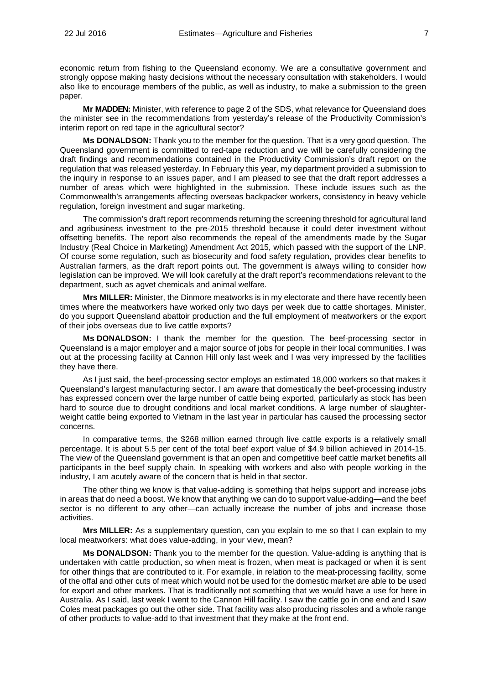economic return from fishing to the Queensland economy. We are a consultative government and strongly oppose making hasty decisions without the necessary consultation with stakeholders. I would also like to encourage members of the public, as well as industry, to make a submission to the green paper.

**Mr MADDEN:** Minister, with reference to page 2 of the SDS, what relevance for Queensland does the minister see in the recommendations from yesterday's release of the Productivity Commission's interim report on red tape in the agricultural sector?

**Ms DONALDSON:** Thank you to the member for the question. That is a very good question. The Queensland government is committed to red-tape reduction and we will be carefully considering the draft findings and recommendations contained in the Productivity Commission's draft report on the regulation that was released yesterday. In February this year, my department provided a submission to the inquiry in response to an issues paper, and I am pleased to see that the draft report addresses a number of areas which were highlighted in the submission. These include issues such as the Commonwealth's arrangements affecting overseas backpacker workers, consistency in heavy vehicle regulation, foreign investment and sugar marketing.

The commission's draft report recommends returning the screening threshold for agricultural land and agribusiness investment to the pre-2015 threshold because it could deter investment without offsetting benefits. The report also recommends the repeal of the amendments made by the Sugar Industry (Real Choice in Marketing) Amendment Act 2015, which passed with the support of the LNP. Of course some regulation, such as biosecurity and food safety regulation, provides clear benefits to Australian farmers, as the draft report points out. The government is always willing to consider how legislation can be improved. We will look carefully at the draft report's recommendations relevant to the department, such as agvet chemicals and animal welfare.

**Mrs MILLER:** Minister, the Dinmore meatworks is in my electorate and there have recently been times where the meatworkers have worked only two days per week due to cattle shortages. Minister, do you support Queensland abattoir production and the full employment of meatworkers or the export of their jobs overseas due to live cattle exports?

**Ms DONALDSON:** I thank the member for the question. The beef-processing sector in Queensland is a major employer and a major source of jobs for people in their local communities. I was out at the processing facility at Cannon Hill only last week and I was very impressed by the facilities they have there.

As I just said, the beef-processing sector employs an estimated 18,000 workers so that makes it Queensland's largest manufacturing sector. I am aware that domestically the beef-processing industry has expressed concern over the large number of cattle being exported, particularly as stock has been hard to source due to drought conditions and local market conditions. A large number of slaughterweight cattle being exported to Vietnam in the last year in particular has caused the processing sector concerns.

In comparative terms, the \$268 million earned through live cattle exports is a relatively small percentage. It is about 5.5 per cent of the total beef export value of \$4.9 billion achieved in 2014-15. The view of the Queensland government is that an open and competitive beef cattle market benefits all participants in the beef supply chain. In speaking with workers and also with people working in the industry, I am acutely aware of the concern that is held in that sector.

The other thing we know is that value-adding is something that helps support and increase jobs in areas that do need a boost. We know that anything we can do to support value-adding—and the beef sector is no different to any other—can actually increase the number of jobs and increase those activities.

**Mrs MILLER:** As a supplementary question, can you explain to me so that I can explain to my local meatworkers: what does value-adding, in your view, mean?

**Ms DONALDSON:** Thank you to the member for the question. Value-adding is anything that is undertaken with cattle production, so when meat is frozen, when meat is packaged or when it is sent for other things that are contributed to it. For example, in relation to the meat-processing facility, some of the offal and other cuts of meat which would not be used for the domestic market are able to be used for export and other markets. That is traditionally not something that we would have a use for here in Australia. As I said, last week I went to the Cannon Hill facility. I saw the cattle go in one end and I saw Coles meat packages go out the other side. That facility was also producing rissoles and a whole range of other products to value-add to that investment that they make at the front end.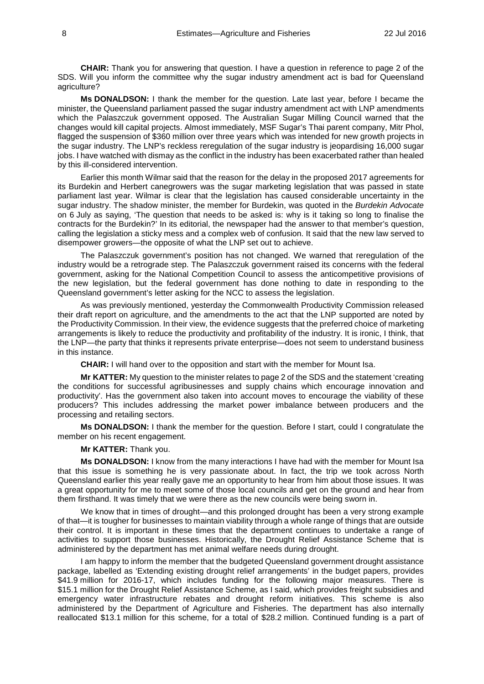**CHAIR:** Thank you for answering that question. I have a question in reference to page 2 of the SDS. Will you inform the committee why the sugar industry amendment act is bad for Queensland agriculture?

**Ms DONALDSON:** I thank the member for the question. Late last year, before I became the minister, the Queensland parliament passed the sugar industry amendment act with LNP amendments which the Palaszczuk government opposed. The Australian Sugar Milling Council warned that the changes would kill capital projects. Almost immediately, MSF Sugar's Thai parent company, Mitr Phol, flagged the suspension of \$360 million over three years which was intended for new growth projects in the sugar industry. The LNP's reckless reregulation of the sugar industry is jeopardising 16,000 sugar jobs. I have watched with dismay as the conflict in the industry has been exacerbated rather than healed by this ill-considered intervention.

Earlier this month Wilmar said that the reason for the delay in the proposed 2017 agreements for its Burdekin and Herbert canegrowers was the sugar marketing legislation that was passed in state parliament last year. Wilmar is clear that the legislation has caused considerable uncertainty in the sugar industry. The shadow minister, the member for Burdekin, was quoted in the *Burdekin Advocate* on 6 July as saying, 'The question that needs to be asked is: why is it taking so long to finalise the contracts for the Burdekin?' In its editorial, the newspaper had the answer to that member's question, calling the legislation a sticky mess and a complex web of confusion. It said that the new law served to disempower growers—the opposite of what the LNP set out to achieve.

The Palaszczuk government's position has not changed. We warned that reregulation of the industry would be a retrograde step. The Palaszczuk government raised its concerns with the federal government, asking for the National Competition Council to assess the anticompetitive provisions of the new legislation, but the federal government has done nothing to date in responding to the Queensland government's letter asking for the NCC to assess the legislation.

As was previously mentioned, yesterday the Commonwealth Productivity Commission released their draft report on agriculture, and the amendments to the act that the LNP supported are noted by the Productivity Commission. In their view, the evidence suggests that the preferred choice of marketing arrangements is likely to reduce the productivity and profitability of the industry. It is ironic, I think, that the LNP—the party that thinks it represents private enterprise—does not seem to understand business in this instance.

**CHAIR:** I will hand over to the opposition and start with the member for Mount Isa.

**Mr KATTER:** My question to the minister relates to page 2 of the SDS and the statement 'creating the conditions for successful agribusinesses and supply chains which encourage innovation and productivity'. Has the government also taken into account moves to encourage the viability of these producers? This includes addressing the market power imbalance between producers and the processing and retailing sectors.

**Ms DONALDSON:** I thank the member for the question. Before I start, could I congratulate the member on his recent engagement.

**Mr KATTER:** Thank you.

**Ms DONALDSON:** I know from the many interactions I have had with the member for Mount Isa that this issue is something he is very passionate about. In fact, the trip we took across North Queensland earlier this year really gave me an opportunity to hear from him about those issues. It was a great opportunity for me to meet some of those local councils and get on the ground and hear from them firsthand. It was timely that we were there as the new councils were being sworn in.

We know that in times of drought—and this prolonged drought has been a very strong example of that—it is tougher for businesses to maintain viability through a whole range of things that are outside their control. It is important in these times that the department continues to undertake a range of activities to support those businesses. Historically, the Drought Relief Assistance Scheme that is administered by the department has met animal welfare needs during drought.

I am happy to inform the member that the budgeted Queensland government drought assistance package, labelled as 'Extending existing drought relief arrangements' in the budget papers, provides \$41.9 million for 2016-17, which includes funding for the following major measures. There is \$15.1 million for the Drought Relief Assistance Scheme, as I said, which provides freight subsidies and emergency water infrastructure rebates and drought reform initiatives. This scheme is also administered by the Department of Agriculture and Fisheries. The department has also internally reallocated \$13.1 million for this scheme, for a total of \$28.2 million. Continued funding is a part of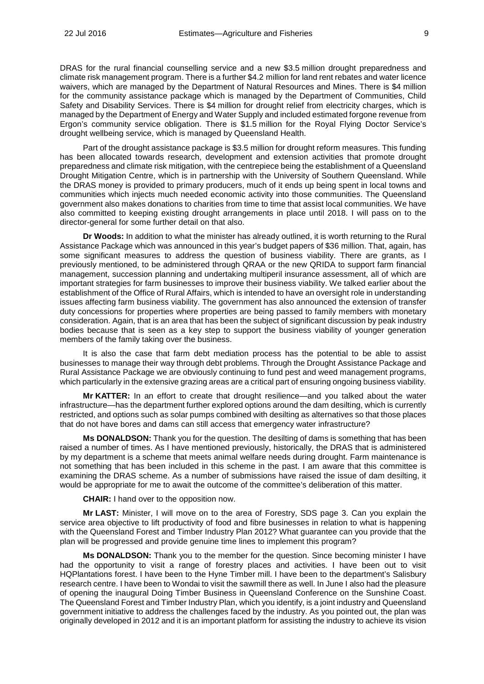DRAS for the rural financial counselling service and a new \$3.5 million drought preparedness and climate risk management program. There is a further \$4.2 million for land rent rebates and water licence waivers, which are managed by the Department of Natural Resources and Mines. There is \$4 million for the community assistance package which is managed by the Department of Communities, Child Safety and Disability Services. There is \$4 million for drought relief from electricity charges, which is managed by the Department of Energy and Water Supply and included estimated forgone revenue from Ergon's community service obligation. There is \$1.5 million for the Royal Flying Doctor Service's drought wellbeing service, which is managed by Queensland Health.

Part of the drought assistance package is \$3.5 million for drought reform measures. This funding has been allocated towards research, development and extension activities that promote drought preparedness and climate risk mitigation, with the centrepiece being the establishment of a Queensland Drought Mitigation Centre, which is in partnership with the University of Southern Queensland. While the DRAS money is provided to primary producers, much of it ends up being spent in local towns and communities which injects much needed economic activity into those communities. The Queensland government also makes donations to charities from time to time that assist local communities. We have also committed to keeping existing drought arrangements in place until 2018. I will pass on to the director-general for some further detail on that also.

**Dr Woods:** In addition to what the minister has already outlined, it is worth returning to the Rural Assistance Package which was announced in this year's budget papers of \$36 million. That, again, has some significant measures to address the question of business viability. There are grants, as I previously mentioned, to be administered through QRAA or the new QRIDA to support farm financial management, succession planning and undertaking multiperil insurance assessment, all of which are important strategies for farm businesses to improve their business viability. We talked earlier about the establishment of the Office of Rural Affairs, which is intended to have an oversight role in understanding issues affecting farm business viability. The government has also announced the extension of transfer duty concessions for properties where properties are being passed to family members with monetary consideration. Again, that is an area that has been the subject of significant discussion by peak industry bodies because that is seen as a key step to support the business viability of younger generation members of the family taking over the business.

It is also the case that farm debt mediation process has the potential to be able to assist businesses to manage their way through debt problems. Through the Drought Assistance Package and Rural Assistance Package we are obviously continuing to fund pest and weed management programs, which particularly in the extensive grazing areas are a critical part of ensuring ongoing business viability.

**Mr KATTER:** In an effort to create that drought resilience—and you talked about the water infrastructure—has the department further explored options around the dam desilting, which is currently restricted, and options such as solar pumps combined with desilting as alternatives so that those places that do not have bores and dams can still access that emergency water infrastructure?

**Ms DONALDSON:** Thank you for the question. The desilting of dams is something that has been raised a number of times. As I have mentioned previously, historically, the DRAS that is administered by my department is a scheme that meets animal welfare needs during drought. Farm maintenance is not something that has been included in this scheme in the past. I am aware that this committee is examining the DRAS scheme. As a number of submissions have raised the issue of dam desilting, it would be appropriate for me to await the outcome of the committee's deliberation of this matter.

**CHAIR:** I hand over to the opposition now.

**Mr LAST:** Minister, I will move on to the area of Forestry, SDS page 3. Can you explain the service area objective to lift productivity of food and fibre businesses in relation to what is happening with the Queensland Forest and Timber Industry Plan 2012? What guarantee can you provide that the plan will be progressed and provide genuine time lines to implement this program?

**Ms DONALDSON:** Thank you to the member for the question. Since becoming minister I have had the opportunity to visit a range of forestry places and activities. I have been out to visit HQPlantations forest. I have been to the Hyne Timber mill. I have been to the department's Salisbury research centre. I have been to Wondai to visit the sawmill there as well. In June I also had the pleasure of opening the inaugural Doing Timber Business in Queensland Conference on the Sunshine Coast. The Queensland Forest and Timber Industry Plan, which you identify, is a joint industry and Queensland government initiative to address the challenges faced by the industry. As you pointed out, the plan was originally developed in 2012 and it is an important platform for assisting the industry to achieve its vision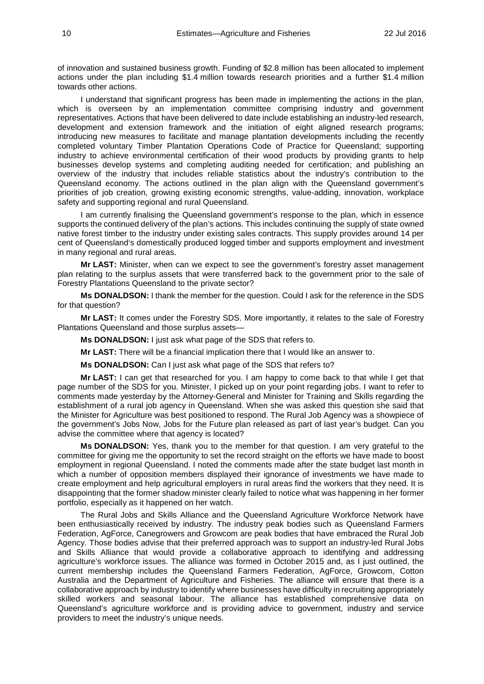of innovation and sustained business growth. Funding of \$2.8 million has been allocated to implement actions under the plan including \$1.4 million towards research priorities and a further \$1.4 million towards other actions.

I understand that significant progress has been made in implementing the actions in the plan, which is overseen by an implementation committee comprising industry and government representatives. Actions that have been delivered to date include establishing an industry-led research, development and extension framework and the initiation of eight aligned research programs; introducing new measures to facilitate and manage plantation developments including the recently completed voluntary Timber Plantation Operations Code of Practice for Queensland; supporting industry to achieve environmental certification of their wood products by providing grants to help businesses develop systems and completing auditing needed for certification; and publishing an overview of the industry that includes reliable statistics about the industry's contribution to the Queensland economy. The actions outlined in the plan align with the Queensland government's priorities of job creation, growing existing economic strengths, value-adding, innovation, workplace safety and supporting regional and rural Queensland.

I am currently finalising the Queensland government's response to the plan, which in essence supports the continued delivery of the plan's actions. This includes continuing the supply of state owned native forest timber to the industry under existing sales contracts. This supply provides around 14 per cent of Queensland's domestically produced logged timber and supports employment and investment in many regional and rural areas.

**Mr LAST:** Minister, when can we expect to see the government's forestry asset management plan relating to the surplus assets that were transferred back to the government prior to the sale of Forestry Plantations Queensland to the private sector?

**Ms DONALDSON:** I thank the member for the question. Could I ask for the reference in the SDS for that question?

**Mr LAST:** It comes under the Forestry SDS. More importantly, it relates to the sale of Forestry Plantations Queensland and those surplus assets—

**Ms DONALDSON:** I just ask what page of the SDS that refers to.

**Mr LAST:** There will be a financial implication there that I would like an answer to.

**Ms DONALDSON:** Can I just ask what page of the SDS that refers to?

**Mr LAST:** I can get that researched for you. I am happy to come back to that while I get that page number of the SDS for you. Minister, I picked up on your point regarding jobs. I want to refer to comments made yesterday by the Attorney-General and Minister for Training and Skills regarding the establishment of a rural job agency in Queensland. When she was asked this question she said that the Minister for Agriculture was best positioned to respond. The Rural Job Agency was a showpiece of the government's Jobs Now, Jobs for the Future plan released as part of last year's budget. Can you advise the committee where that agency is located?

**Ms DONALDSON:** Yes, thank you to the member for that question. I am very grateful to the committee for giving me the opportunity to set the record straight on the efforts we have made to boost employment in regional Queensland. I noted the comments made after the state budget last month in which a number of opposition members displayed their ignorance of investments we have made to create employment and help agricultural employers in rural areas find the workers that they need. It is disappointing that the former shadow minister clearly failed to notice what was happening in her former portfolio, especially as it happened on her watch.

The Rural Jobs and Skills Alliance and the Queensland Agriculture Workforce Network have been enthusiastically received by industry. The industry peak bodies such as Queensland Farmers Federation, AgForce, Canegrowers and Growcom are peak bodies that have embraced the Rural Job Agency. Those bodies advise that their preferred approach was to support an industry-led Rural Jobs and Skills Alliance that would provide a collaborative approach to identifying and addressing agriculture's workforce issues. The alliance was formed in October 2015 and, as I just outlined, the current membership includes the Queensland Farmers Federation, AgForce, Growcom, Cotton Australia and the Department of Agriculture and Fisheries. The alliance will ensure that there is a collaborative approach by industry to identify where businesses have difficulty in recruiting appropriately skilled workers and seasonal labour. The alliance has established comprehensive data on Queensland's agriculture workforce and is providing advice to government, industry and service providers to meet the industry's unique needs.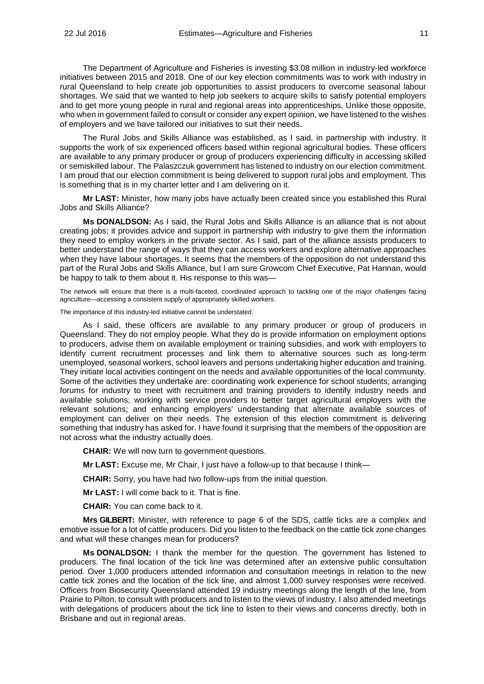The Department of Agriculture and Fisheries is investing \$3.08 million in industry-led workforce initiatives between 2015 and 2018. One of our key election commitments was to work with industry in rural Queensland to help create job opportunities to assist producers to overcome seasonal labour shortages. We said that we wanted to help job seekers to acquire skills to satisfy potential employers and to get more young people in rural and regional areas into apprenticeships. Unlike those opposite, who when in government failed to consult or consider any expert opinion, we have listened to the wishes of employers and we have tailored our initiatives to suit their needs.

The Rural Jobs and Skills Alliance was established, as I said, in partnership with industry. It supports the work of six experienced officers based within regional agricultural bodies. These officers are available to any primary producer or group of producers experiencing difficulty in accessing skilled or semiskilled labour. The Palaszczuk government has listened to industry on our election commitment. I am proud that our election commitment is being delivered to support rural jobs and employment. This is something that is in my charter letter and I am delivering on it.

**Mr LAST:** Minister, how many jobs have actually been created since you established this Rural Jobs and Skills Alliance?

**Ms DONALDSON:** As I said, the Rural Jobs and Skills Alliance is an alliance that is not about creating jobs; it provides advice and support in partnership with industry to give them the information they need to employ workers in the private sector. As I said, part of the alliance assists producers to better understand the range of ways that they can access workers and explore alternative approaches when they have labour shortages. It seems that the members of the opposition do not understand this part of the Rural Jobs and Skills Alliance, but I am sure Growcom Chief Executive, Pat Hannan, would be happy to talk to them about it. His response to this was—

The network will ensure that there is a multi-faceted, coordinated approach to tackling one of the major challenges facing agriculture—accessing a consistent supply of appropriately skilled workers.

The importance of this industry-led initiative cannot be understated.

As I said, these officers are available to any primary producer or group of producers in Queensland. They do not employ people. What they do is provide information on employment options to producers, advise them on available employment or training subsidies, and work with employers to identify current recruitment processes and link them to alternative sources such as long-term unemployed, seasonal workers, school leavers and persons undertaking higher education and training. They initiate local activities contingent on the needs and available opportunities of the local community. Some of the activities they undertake are: coordinating work experience for school students; arranging forums for industry to meet with recruitment and training providers to identify industry needs and available solutions; working with service providers to better target agricultural employers with the relevant solutions; and enhancing employers' understanding that alternate available sources of employment can deliver on their needs. The extension of this election commitment is delivering something that industry has asked for. I have found it surprising that the members of the opposition are not across what the industry actually does.

**CHAIR:** We will now turn to government questions.

**Mr LAST:** Excuse me, Mr Chair, I just have a follow-up to that because I think—

**CHAIR:** Sorry, you have had two follow-ups from the initial question.

**Mr LAST:** I will come back to it. That is fine.

**CHAIR:** You can come back to it.

**Mrs GILBERT:** Minister, with reference to page 6 of the SDS, cattle ticks are a complex and emotive issue for a lot of cattle producers. Did you listen to the feedback on the cattle tick zone changes and what will these changes mean for producers?

**Ms DONALDSON:** I thank the member for the question. The government has listened to producers. The final location of the tick line was determined after an extensive public consultation period. Over 1,000 producers attended information and consultation meetings in relation to the new cattle tick zones and the location of the tick line, and almost 1,000 survey responses were received. Officers from Biosecurity Queensland attended 19 industry meetings along the length of the line, from Prairie to Pilton, to consult with producers and to listen to the views of industry. I also attended meetings with delegations of producers about the tick line to listen to their views and concerns directly, both in Brisbane and out in regional areas.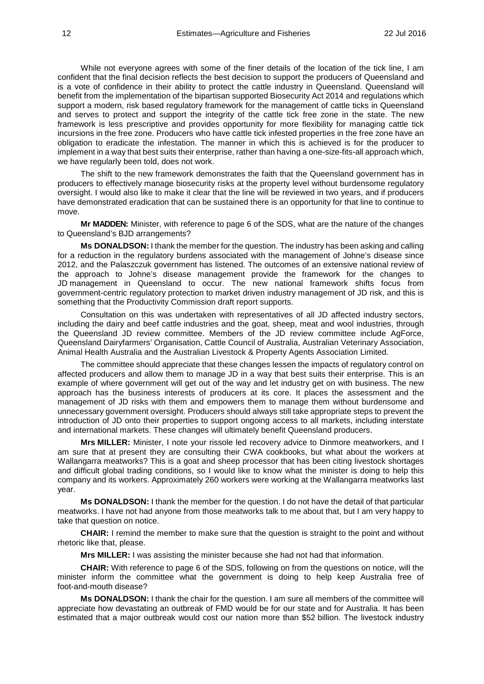While not everyone agrees with some of the finer details of the location of the tick line, I am confident that the final decision reflects the best decision to support the producers of Queensland and is a vote of confidence in their ability to protect the cattle industry in Queensland. Queensland will benefit from the implementation of the bipartisan supported Biosecurity Act 2014 and regulations which support a modern, risk based regulatory framework for the management of cattle ticks in Queensland and serves to protect and support the integrity of the cattle tick free zone in the state. The new framework is less prescriptive and provides opportunity for more flexibility for managing cattle tick incursions in the free zone. Producers who have cattle tick infested properties in the free zone have an obligation to eradicate the infestation. The manner in which this is achieved is for the producer to implement in a way that best suits their enterprise, rather than having a one-size-fits-all approach which, we have regularly been told, does not work.

The shift to the new framework demonstrates the faith that the Queensland government has in producers to effectively manage biosecurity risks at the property level without burdensome regulatory oversight. I would also like to make it clear that the line will be reviewed in two years, and if producers have demonstrated eradication that can be sustained there is an opportunity for that line to continue to move.

**Mr MADDEN:** Minister, with reference to page 6 of the SDS, what are the nature of the changes to Queensland's BJD arrangements?

**Ms DONALDSON:** I thank the member for the question. The industry has been asking and calling for a reduction in the regulatory burdens associated with the management of Johne's disease since 2012, and the Palaszczuk government has listened. The outcomes of an extensive national review of the approach to Johne's disease management provide the framework for the changes to JD management in Queensland to occur. The new national framework shifts focus from government-centric regulatory protection to market driven industry management of JD risk, and this is something that the Productivity Commission draft report supports.

Consultation on this was undertaken with representatives of all JD affected industry sectors, including the dairy and beef cattle industries and the goat, sheep, meat and wool industries, through the Queensland JD review committee. Members of the JD review committee include AgForce, Queensland Dairyfarmers' Organisation, Cattle Council of Australia, Australian Veterinary Association, Animal Health Australia and the Australian Livestock & Property Agents Association Limited.

The committee should appreciate that these changes lessen the impacts of regulatory control on affected producers and allow them to manage JD in a way that best suits their enterprise. This is an example of where government will get out of the way and let industry get on with business. The new approach has the business interests of producers at its core. It places the assessment and the management of JD risks with them and empowers them to manage them without burdensome and unnecessary government oversight. Producers should always still take appropriate steps to prevent the introduction of JD onto their properties to support ongoing access to all markets, including interstate and international markets. These changes will ultimately benefit Queensland producers.

**Mrs MILLER:** Minister, I note your rissole led recovery advice to Dinmore meatworkers, and I am sure that at present they are consulting their CWA cookbooks, but what about the workers at Wallangarra meatworks? This is a goat and sheep processor that has been citing livestock shortages and difficult global trading conditions, so I would like to know what the minister is doing to help this company and its workers. Approximately 260 workers were working at the Wallangarra meatworks last year.

**Ms DONALDSON:** I thank the member for the question. I do not have the detail of that particular meatworks. I have not had anyone from those meatworks talk to me about that, but I am very happy to take that question on notice.

**CHAIR:** I remind the member to make sure that the question is straight to the point and without rhetoric like that, please.

**Mrs MILLER:** I was assisting the minister because she had not had that information.

**CHAIR:** With reference to page 6 of the SDS, following on from the questions on notice, will the minister inform the committee what the government is doing to help keep Australia free of foot-and-mouth disease?

**Ms DONALDSON:** I thank the chair for the question. I am sure all members of the committee will appreciate how devastating an outbreak of FMD would be for our state and for Australia. It has been estimated that a major outbreak would cost our nation more than \$52 billion. The livestock industry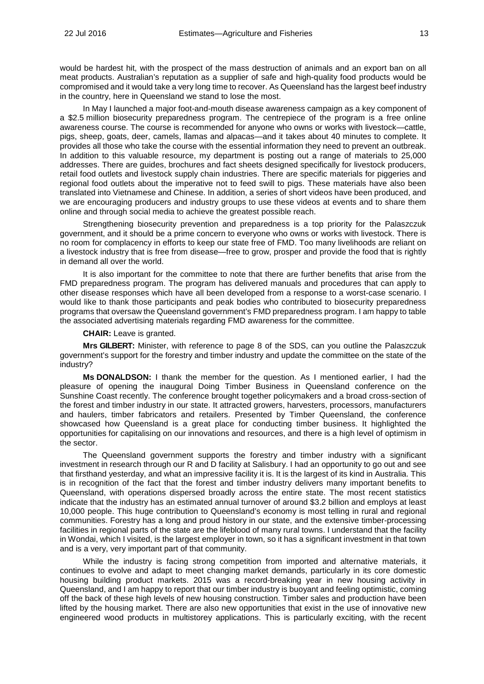would be hardest hit, with the prospect of the mass destruction of animals and an export ban on all meat products. Australian's reputation as a supplier of safe and high-quality food products would be compromised and it would take a very long time to recover. As Queensland has the largest beef industry in the country, here in Queensland we stand to lose the most.

In May I launched a major foot-and-mouth disease awareness campaign as a key component of a \$2.5 million biosecurity preparedness program. The centrepiece of the program is a free online awareness course. The course is recommended for anyone who owns or works with livestock—cattle, pigs, sheep, goats, deer, camels, llamas and alpacas—and it takes about 40 minutes to complete. It provides all those who take the course with the essential information they need to prevent an outbreak. In addition to this valuable resource, my department is posting out a range of materials to 25,000 addresses. There are guides, brochures and fact sheets designed specifically for livestock producers, retail food outlets and livestock supply chain industries. There are specific materials for piggeries and regional food outlets about the imperative not to feed swill to pigs. These materials have also been translated into Vietnamese and Chinese. In addition, a series of short videos have been produced, and we are encouraging producers and industry groups to use these videos at events and to share them online and through social media to achieve the greatest possible reach.

Strengthening biosecurity prevention and preparedness is a top priority for the Palaszczuk government, and it should be a prime concern to everyone who owns or works with livestock. There is no room for complacency in efforts to keep our state free of FMD. Too many livelihoods are reliant on a livestock industry that is free from disease—free to grow, prosper and provide the food that is rightly in demand all over the world.

It is also important for the committee to note that there are further benefits that arise from the FMD preparedness program. The program has delivered manuals and procedures that can apply to other disease responses which have all been developed from a response to a worst-case scenario. I would like to thank those participants and peak bodies who contributed to biosecurity preparedness programs that oversaw the Queensland government's FMD preparedness program. I am happy to table the associated advertising materials regarding FMD awareness for the committee.

**CHAIR:** Leave is granted.

**Mrs GILBERT:** Minister, with reference to page 8 of the SDS, can you outline the Palaszczuk government's support for the forestry and timber industry and update the committee on the state of the industry?

**Ms DONALDSON:** I thank the member for the question. As I mentioned earlier, I had the pleasure of opening the inaugural Doing Timber Business in Queensland conference on the Sunshine Coast recently. The conference brought together policymakers and a broad cross-section of the forest and timber industry in our state. It attracted growers, harvesters, processors, manufacturers and haulers, timber fabricators and retailers. Presented by Timber Queensland, the conference showcased how Queensland is a great place for conducting timber business. It highlighted the opportunities for capitalising on our innovations and resources, and there is a high level of optimism in the sector.

The Queensland government supports the forestry and timber industry with a significant investment in research through our R and D facility at Salisbury. I had an opportunity to go out and see that firsthand yesterday, and what an impressive facility it is. It is the largest of its kind in Australia. This is in recognition of the fact that the forest and timber industry delivers many important benefits to Queensland, with operations dispersed broadly across the entire state. The most recent statistics indicate that the industry has an estimated annual turnover of around \$3.2 billion and employs at least 10,000 people. This huge contribution to Queensland's economy is most telling in rural and regional communities. Forestry has a long and proud history in our state, and the extensive timber-processing facilities in regional parts of the state are the lifeblood of many rural towns. I understand that the facility in Wondai, which I visited, is the largest employer in town, so it has a significant investment in that town and is a very, very important part of that community.

While the industry is facing strong competition from imported and alternative materials, it continues to evolve and adapt to meet changing market demands, particularly in its core domestic housing building product markets. 2015 was a record-breaking year in new housing activity in Queensland, and I am happy to report that our timber industry is buoyant and feeling optimistic, coming off the back of these high levels of new housing construction. Timber sales and production have been lifted by the housing market. There are also new opportunities that exist in the use of innovative new engineered wood products in multistorey applications. This is particularly exciting, with the recent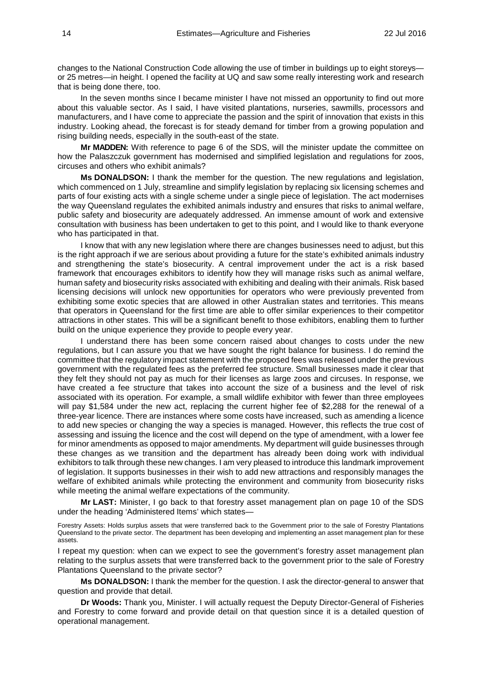changes to the National Construction Code allowing the use of timber in buildings up to eight storeys or 25 metres—in height. I opened the facility at UQ and saw some really interesting work and research that is being done there, too.

In the seven months since I became minister I have not missed an opportunity to find out more about this valuable sector. As I said, I have visited plantations, nurseries, sawmills, processors and manufacturers, and I have come to appreciate the passion and the spirit of innovation that exists in this industry. Looking ahead, the forecast is for steady demand for timber from a growing population and rising building needs, especially in the south-east of the state.

**Mr MADDEN:** With reference to page 6 of the SDS, will the minister update the committee on how the Palaszczuk government has modernised and simplified legislation and regulations for zoos, circuses and others who exhibit animals?

**Ms DONALDSON:** I thank the member for the question. The new regulations and legislation, which commenced on 1 July, streamline and simplify legislation by replacing six licensing schemes and parts of four existing acts with a single scheme under a single piece of legislation. The act modernises the way Queensland regulates the exhibited animals industry and ensures that risks to animal welfare, public safety and biosecurity are adequately addressed. An immense amount of work and extensive consultation with business has been undertaken to get to this point, and I would like to thank everyone who has participated in that.

I know that with any new legislation where there are changes businesses need to adjust, but this is the right approach if we are serious about providing a future for the state's exhibited animals industry and strengthening the state's biosecurity. A central improvement under the act is a risk based framework that encourages exhibitors to identify how they will manage risks such as animal welfare, human safety and biosecurity risks associated with exhibiting and dealing with their animals. Risk based licensing decisions will unlock new opportunities for operators who were previously prevented from exhibiting some exotic species that are allowed in other Australian states and territories. This means that operators in Queensland for the first time are able to offer similar experiences to their competitor attractions in other states. This will be a significant benefit to those exhibitors, enabling them to further build on the unique experience they provide to people every year.

I understand there has been some concern raised about changes to costs under the new regulations, but I can assure you that we have sought the right balance for business. I do remind the committee that the regulatory impact statement with the proposed fees was released under the previous government with the regulated fees as the preferred fee structure. Small businesses made it clear that they felt they should not pay as much for their licenses as large zoos and circuses. In response, we have created a fee structure that takes into account the size of a business and the level of risk associated with its operation. For example, a small wildlife exhibitor with fewer than three employees will pay \$1,584 under the new act, replacing the current higher fee of \$2,288 for the renewal of a three-year licence. There are instances where some costs have increased, such as amending a licence to add new species or changing the way a species is managed. However, this reflects the true cost of assessing and issuing the licence and the cost will depend on the type of amendment, with a lower fee for minor amendments as opposed to major amendments. My department will guide businesses through these changes as we transition and the department has already been doing work with individual exhibitors to talk through these new changes. I am very pleased to introduce this landmark improvement of legislation. It supports businesses in their wish to add new attractions and responsibly manages the welfare of exhibited animals while protecting the environment and community from biosecurity risks while meeting the animal welfare expectations of the community.

**Mr LAST:** Minister, I go back to that forestry asset management plan on page 10 of the SDS under the heading 'Administered Items' which states—

Forestry Assets: Holds surplus assets that were transferred back to the Government prior to the sale of Forestry Plantations Queensland to the private sector. The department has been developing and implementing an asset management plan for these assets.

I repeat my question: when can we expect to see the government's forestry asset management plan relating to the surplus assets that were transferred back to the government prior to the sale of Forestry Plantations Queensland to the private sector?

**Ms DONALDSON:** I thank the member for the question. I ask the director-general to answer that question and provide that detail.

**Dr Woods:** Thank you, Minister. I will actually request the Deputy Director-General of Fisheries and Forestry to come forward and provide detail on that question since it is a detailed question of operational management.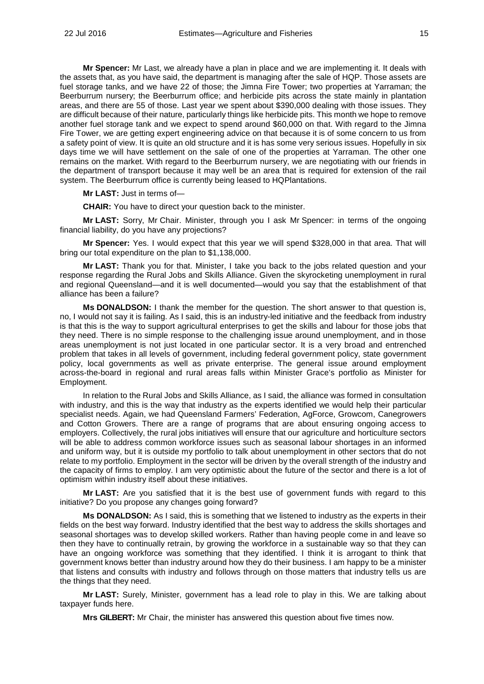**Mr Spencer:** Mr Last, we already have a plan in place and we are implementing it. It deals with the assets that, as you have said, the department is managing after the sale of HQP. Those assets are fuel storage tanks, and we have 22 of those; the Jimna Fire Tower; two properties at Yarraman; the Beerburrum nursery; the Beerburrum office; and herbicide pits across the state mainly in plantation areas, and there are 55 of those. Last year we spent about \$390,000 dealing with those issues. They are difficult because of their nature, particularly things like herbicide pits. This month we hope to remove another fuel storage tank and we expect to spend around \$60,000 on that. With regard to the Jimna Fire Tower, we are getting expert engineering advice on that because it is of some concern to us from a safety point of view. It is quite an old structure and it is has some very serious issues. Hopefully in six days time we will have settlement on the sale of one of the properties at Yarraman. The other one remains on the market. With regard to the Beerburrum nursery, we are negotiating with our friends in the department of transport because it may well be an area that is required for extension of the rail system. The Beerburrum office is currently being leased to HQPlantations.

**Mr LAST:** Just in terms of—

**CHAIR:** You have to direct your question back to the minister.

**Mr LAST:** Sorry, Mr Chair. Minister, through you I ask Mr Spencer: in terms of the ongoing financial liability, do you have any projections?

**Mr Spencer:** Yes. I would expect that this year we will spend \$328,000 in that area. That will bring our total expenditure on the plan to \$1,138,000.

**Mr LAST:** Thank you for that. Minister, I take you back to the jobs related question and your response regarding the Rural Jobs and Skills Alliance. Given the skyrocketing unemployment in rural and regional Queensland—and it is well documented—would you say that the establishment of that alliance has been a failure?

**Ms DONALDSON:** I thank the member for the question. The short answer to that question is, no, I would not say it is failing. As I said, this is an industry-led initiative and the feedback from industry is that this is the way to support agricultural enterprises to get the skills and labour for those jobs that they need. There is no simple response to the challenging issue around unemployment, and in those areas unemployment is not just located in one particular sector. It is a very broad and entrenched problem that takes in all levels of government, including federal government policy, state government policy, local governments as well as private enterprise. The general issue around employment across-the-board in regional and rural areas falls within Minister Grace's portfolio as Minister for Employment.

In relation to the Rural Jobs and Skills Alliance, as I said, the alliance was formed in consultation with industry, and this is the way that industry as the experts identified we would help their particular specialist needs. Again, we had Queensland Farmers' Federation, AgForce, Growcom, Canegrowers and Cotton Growers. There are a range of programs that are about ensuring ongoing access to employers. Collectively, the rural jobs initiatives will ensure that our agriculture and horticulture sectors will be able to address common workforce issues such as seasonal labour shortages in an informed and uniform way, but it is outside my portfolio to talk about unemployment in other sectors that do not relate to my portfolio. Employment in the sector will be driven by the overall strength of the industry and the capacity of firms to employ. I am very optimistic about the future of the sector and there is a lot of optimism within industry itself about these initiatives.

**Mr LAST:** Are you satisfied that it is the best use of government funds with regard to this initiative? Do you propose any changes going forward?

**Ms DONALDSON:** As I said, this is something that we listened to industry as the experts in their fields on the best way forward. Industry identified that the best way to address the skills shortages and seasonal shortages was to develop skilled workers. Rather than having people come in and leave so then they have to continually retrain, by growing the workforce in a sustainable way so that they can have an ongoing workforce was something that they identified. I think it is arrogant to think that government knows better than industry around how they do their business. I am happy to be a minister that listens and consults with industry and follows through on those matters that industry tells us are the things that they need.

**Mr LAST:** Surely, Minister, government has a lead role to play in this. We are talking about taxpayer funds here.

**Mrs GILBERT:** Mr Chair, the minister has answered this question about five times now.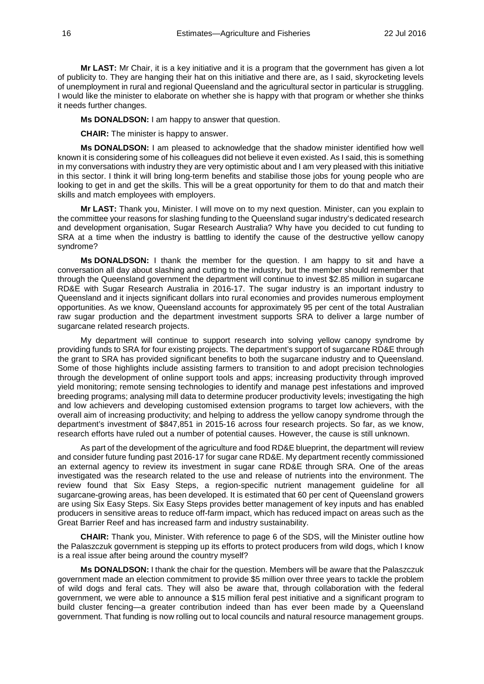**Mr LAST:** Mr Chair, it is a key initiative and it is a program that the government has given a lot of publicity to. They are hanging their hat on this initiative and there are, as I said, skyrocketing levels of unemployment in rural and regional Queensland and the agricultural sector in particular is struggling. I would like the minister to elaborate on whether she is happy with that program or whether she thinks it needs further changes.

**Ms DONALDSON:** I am happy to answer that question.

**CHAIR:** The minister is happy to answer.

**Ms DONALDSON:** I am pleased to acknowledge that the shadow minister identified how well known it is considering some of his colleagues did not believe it even existed. As I said, this is something in my conversations with industry they are very optimistic about and I am very pleased with this initiative in this sector. I think it will bring long-term benefits and stabilise those jobs for young people who are looking to get in and get the skills. This will be a great opportunity for them to do that and match their skills and match employees with employers.

**Mr LAST:** Thank you, Minister. I will move on to my next question. Minister, can you explain to the committee your reasons for slashing funding to the Queensland sugar industry's dedicated research and development organisation, Sugar Research Australia? Why have you decided to cut funding to SRA at a time when the industry is battling to identify the cause of the destructive yellow canopy syndrome?

**Ms DONALDSON:** I thank the member for the question. I am happy to sit and have a conversation all day about slashing and cutting to the industry, but the member should remember that through the Queensland government the department will continue to invest \$2.85 million in sugarcane RD&E with Sugar Research Australia in 2016-17. The sugar industry is an important industry to Queensland and it injects significant dollars into rural economies and provides numerous employment opportunities. As we know, Queensland accounts for approximately 95 per cent of the total Australian raw sugar production and the department investment supports SRA to deliver a large number of sugarcane related research projects.

My department will continue to support research into solving yellow canopy syndrome by providing funds to SRA for four existing projects. The department's support of sugarcane RD&E through the grant to SRA has provided significant benefits to both the sugarcane industry and to Queensland. Some of those highlights include assisting farmers to transition to and adopt precision technologies through the development of online support tools and apps; increasing productivity through improved yield monitoring; remote sensing technologies to identify and manage pest infestations and improved breeding programs; analysing mill data to determine producer productivity levels; investigating the high and low achievers and developing customised extension programs to target low achievers, with the overall aim of increasing productivity; and helping to address the yellow canopy syndrome through the department's investment of \$847,851 in 2015-16 across four research projects. So far, as we know, research efforts have ruled out a number of potential causes. However, the cause is still unknown.

As part of the development of the agriculture and food RD&E blueprint, the department will review and consider future funding past 2016-17 for sugar cane RD&E. My department recently commissioned an external agency to review its investment in sugar cane RD&E through SRA. One of the areas investigated was the research related to the use and release of nutrients into the environment. The review found that Six Easy Steps, a region-specific nutrient management guideline for all sugarcane-growing areas, has been developed. It is estimated that 60 per cent of Queensland growers are using Six Easy Steps. Six Easy Steps provides better management of key inputs and has enabled producers in sensitive areas to reduce off-farm impact, which has reduced impact on areas such as the Great Barrier Reef and has increased farm and industry sustainability.

**CHAIR:** Thank you, Minister. With reference to page 6 of the SDS, will the Minister outline how the Palaszczuk government is stepping up its efforts to protect producers from wild dogs, which I know is a real issue after being around the country myself?

**Ms DONALDSON:** I thank the chair for the question. Members will be aware that the Palaszczuk government made an election commitment to provide \$5 million over three years to tackle the problem of wild dogs and feral cats. They will also be aware that, through collaboration with the federal government, we were able to announce a \$15 million feral pest initiative and a significant program to build cluster fencing—a greater contribution indeed than has ever been made by a Queensland government. That funding is now rolling out to local councils and natural resource management groups.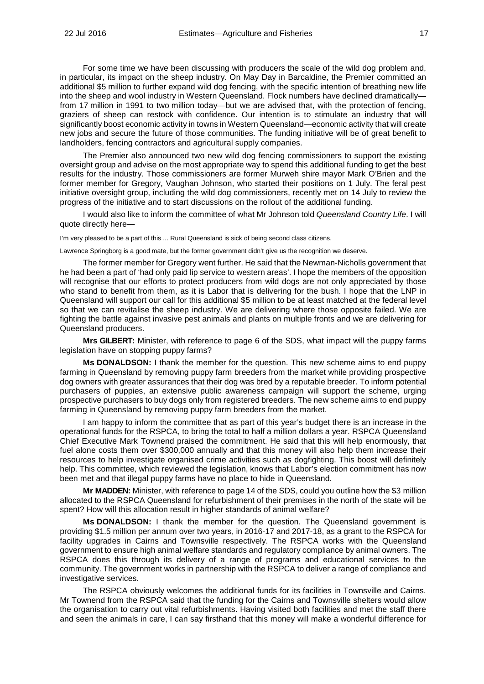For some time we have been discussing with producers the scale of the wild dog problem and, in particular, its impact on the sheep industry. On May Day in Barcaldine, the Premier committed an additional \$5 million to further expand wild dog fencing, with the specific intention of breathing new life into the sheep and wool industry in Western Queensland. Flock numbers have declined dramatically from 17 million in 1991 to two million today—but we are advised that, with the protection of fencing, graziers of sheep can restock with confidence. Our intention is to stimulate an industry that will significantly boost economic activity in towns in Western Queensland—economic activity that will create new jobs and secure the future of those communities. The funding initiative will be of great benefit to landholders, fencing contractors and agricultural supply companies.

The Premier also announced two new wild dog fencing commissioners to support the existing oversight group and advise on the most appropriate way to spend this additional funding to get the best results for the industry. Those commissioners are former Murweh shire mayor Mark O'Brien and the former member for Gregory, Vaughan Johnson, who started their positions on 1 July. The feral pest initiative oversight group, including the wild dog commissioners, recently met on 14 July to review the progress of the initiative and to start discussions on the rollout of the additional funding.

I would also like to inform the committee of what Mr Johnson told *Queensland Country Life*. I will quote directly here—

I'm very pleased to be a part of this ... Rural Queensland is sick of being second class citizens.

Lawrence Springborg is a good mate, but the former government didn't give us the recognition we deserve.

The former member for Gregory went further. He said that the Newman-Nicholls government that he had been a part of 'had only paid lip service to western areas'. I hope the members of the opposition will recognise that our efforts to protect producers from wild dogs are not only appreciated by those who stand to benefit from them, as it is Labor that is delivering for the bush. I hope that the LNP in Queensland will support our call for this additional \$5 million to be at least matched at the federal level so that we can revitalise the sheep industry. We are delivering where those opposite failed. We are fighting the battle against invasive pest animals and plants on multiple fronts and we are delivering for Queensland producers.

**Mrs GILBERT:** Minister, with reference to page 6 of the SDS, what impact will the puppy farms legislation have on stopping puppy farms?

**Ms DONALDSON:** I thank the member for the question. This new scheme aims to end puppy farming in Queensland by removing puppy farm breeders from the market while providing prospective dog owners with greater assurances that their dog was bred by a reputable breeder. To inform potential purchasers of puppies, an extensive public awareness campaign will support the scheme, urging prospective purchasers to buy dogs only from registered breeders. The new scheme aims to end puppy farming in Queensland by removing puppy farm breeders from the market.

I am happy to inform the committee that as part of this year's budget there is an increase in the operational funds for the RSPCA, to bring the total to half a million dollars a year. RSPCA Queensland Chief Executive Mark Townend praised the commitment. He said that this will help enormously, that fuel alone costs them over \$300,000 annually and that this money will also help them increase their resources to help investigate organised crime activities such as dogfighting. This boost will definitely help. This committee, which reviewed the legislation, knows that Labor's election commitment has now been met and that illegal puppy farms have no place to hide in Queensland.

**Mr MADDEN:** Minister, with reference to page 14 of the SDS, could you outline how the \$3 million allocated to the RSPCA Queensland for refurbishment of their premises in the north of the state will be spent? How will this allocation result in higher standards of animal welfare?

**Ms DONALDSON:** I thank the member for the question. The Queensland government is providing \$1.5 million per annum over two years, in 2016-17 and 2017-18, as a grant to the RSPCA for facility upgrades in Cairns and Townsville respectively. The RSPCA works with the Queensland government to ensure high animal welfare standards and regulatory compliance by animal owners. The RSPCA does this through its delivery of a range of programs and educational services to the community. The government works in partnership with the RSPCA to deliver a range of compliance and investigative services.

The RSPCA obviously welcomes the additional funds for its facilities in Townsville and Cairns. Mr Townend from the RSPCA said that the funding for the Cairns and Townsville shelters would allow the organisation to carry out vital refurbishments. Having visited both facilities and met the staff there and seen the animals in care, I can say firsthand that this money will make a wonderful difference for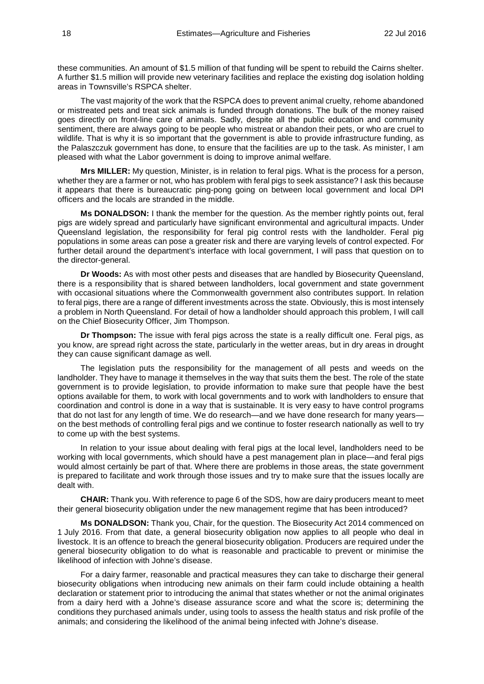these communities. An amount of \$1.5 million of that funding will be spent to rebuild the Cairns shelter. A further \$1.5 million will provide new veterinary facilities and replace the existing dog isolation holding areas in Townsville's RSPCA shelter.

The vast majority of the work that the RSPCA does to prevent animal cruelty, rehome abandoned or mistreated pets and treat sick animals is funded through donations. The bulk of the money raised goes directly on front-line care of animals. Sadly, despite all the public education and community sentiment, there are always going to be people who mistreat or abandon their pets, or who are cruel to wildlife. That is why it is so important that the government is able to provide infrastructure funding, as the Palaszczuk government has done, to ensure that the facilities are up to the task. As minister, I am pleased with what the Labor government is doing to improve animal welfare.

**Mrs MILLER:** My question, Minister, is in relation to feral pigs. What is the process for a person, whether they are a farmer or not, who has problem with feral pigs to seek assistance? I ask this because it appears that there is bureaucratic ping-pong going on between local government and local DPI officers and the locals are stranded in the middle.

**Ms DONALDSON:** I thank the member for the question. As the member rightly points out, feral pigs are widely spread and particularly have significant environmental and agricultural impacts. Under Queensland legislation, the responsibility for feral pig control rests with the landholder. Feral pig populations in some areas can pose a greater risk and there are varying levels of control expected. For further detail around the department's interface with local government, I will pass that question on to the director-general.

**Dr Woods:** As with most other pests and diseases that are handled by Biosecurity Queensland, there is a responsibility that is shared between landholders, local government and state government with occasional situations where the Commonwealth government also contributes support. In relation to feral pigs, there are a range of different investments across the state. Obviously, this is most intensely a problem in North Queensland. For detail of how a landholder should approach this problem, I will call on the Chief Biosecurity Officer, Jim Thompson.

**Dr Thompson:** The issue with feral pigs across the state is a really difficult one. Feral pigs, as you know, are spread right across the state, particularly in the wetter areas, but in dry areas in drought they can cause significant damage as well.

The legislation puts the responsibility for the management of all pests and weeds on the landholder. They have to manage it themselves in the way that suits them the best. The role of the state government is to provide legislation, to provide information to make sure that people have the best options available for them, to work with local governments and to work with landholders to ensure that coordination and control is done in a way that is sustainable. It is very easy to have control programs that do not last for any length of time. We do research—and we have done research for many years on the best methods of controlling feral pigs and we continue to foster research nationally as well to try to come up with the best systems.

In relation to your issue about dealing with feral pigs at the local level, landholders need to be working with local governments, which should have a pest management plan in place—and feral pigs would almost certainly be part of that. Where there are problems in those areas, the state government is prepared to facilitate and work through those issues and try to make sure that the issues locally are dealt with.

**CHAIR:** Thank you. With reference to page 6 of the SDS, how are dairy producers meant to meet their general biosecurity obligation under the new management regime that has been introduced?

**Ms DONALDSON:** Thank you, Chair, for the question. The Biosecurity Act 2014 commenced on 1 July 2016. From that date, a general biosecurity obligation now applies to all people who deal in livestock. It is an offence to breach the general biosecurity obligation. Producers are required under the general biosecurity obligation to do what is reasonable and practicable to prevent or minimise the likelihood of infection with Johne's disease.

For a dairy farmer, reasonable and practical measures they can take to discharge their general biosecurity obligations when introducing new animals on their farm could include obtaining a health declaration or statement prior to introducing the animal that states whether or not the animal originates from a dairy herd with a Johne's disease assurance score and what the score is; determining the conditions they purchased animals under, using tools to assess the health status and risk profile of the animals; and considering the likelihood of the animal being infected with Johne's disease.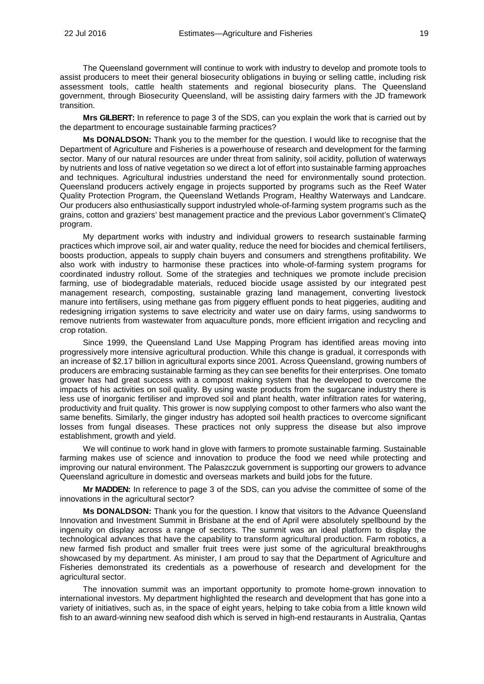The Queensland government will continue to work with industry to develop and promote tools to assist producers to meet their general biosecurity obligations in buying or selling cattle, including risk assessment tools, cattle health statements and regional biosecurity plans. The Queensland government, through Biosecurity Queensland, will be assisting dairy farmers with the JD framework transition.

**Mrs GILBERT:** In reference to page 3 of the SDS, can you explain the work that is carried out by the department to encourage sustainable farming practices?

**Ms DONALDSON:** Thank you to the member for the question. I would like to recognise that the Department of Agriculture and Fisheries is a powerhouse of research and development for the farming sector. Many of our natural resources are under threat from salinity, soil acidity, pollution of waterways by nutrients and loss of native vegetation so we direct a lot of effort into sustainable farming approaches and techniques. Agricultural industries understand the need for environmentally sound protection. Queensland producers actively engage in projects supported by programs such as the Reef Water Quality Protection Program, the Queensland Wetlands Program, Healthy Waterways and Landcare. Our producers also enthusiastically support industryled whole-of-farming system programs such as the grains, cotton and graziers' best management practice and the previous Labor government's ClimateQ program.

My department works with industry and individual growers to research sustainable farming practices which improve soil, air and water quality, reduce the need for biocides and chemical fertilisers, boosts production, appeals to supply chain buyers and consumers and strengthens profitability. We also work with industry to harmonise these practices into whole-of-farming system programs for coordinated industry rollout. Some of the strategies and techniques we promote include precision farming, use of biodegradable materials, reduced biocide usage assisted by our integrated pest management research, composting, sustainable grazing land management, converting livestock manure into fertilisers, using methane gas from piggery effluent ponds to heat piggeries, auditing and redesigning irrigation systems to save electricity and water use on dairy farms, using sandworms to remove nutrients from wastewater from aquaculture ponds, more efficient irrigation and recycling and crop rotation.

Since 1999, the Queensland Land Use Mapping Program has identified areas moving into progressively more intensive agricultural production. While this change is gradual, it corresponds with an increase of \$2.17 billion in agricultural exports since 2001. Across Queensland, growing numbers of producers are embracing sustainable farming as they can see benefits for their enterprises. One tomato grower has had great success with a compost making system that he developed to overcome the impacts of his activities on soil quality. By using waste products from the sugarcane industry there is less use of inorganic fertiliser and improved soil and plant health, water infiltration rates for watering, productivity and fruit quality. This grower is now supplying compost to other farmers who also want the same benefits. Similarly, the ginger industry has adopted soil health practices to overcome significant losses from fungal diseases. These practices not only suppress the disease but also improve establishment, growth and yield.

We will continue to work hand in glove with farmers to promote sustainable farming. Sustainable farming makes use of science and innovation to produce the food we need while protecting and improving our natural environment. The Palaszczuk government is supporting our growers to advance Queensland agriculture in domestic and overseas markets and build jobs for the future.

**Mr MADDEN:** In reference to page 3 of the SDS, can you advise the committee of some of the innovations in the agricultural sector?

**Ms DONALDSON:** Thank you for the question. I know that visitors to the Advance Queensland Innovation and Investment Summit in Brisbane at the end of April were absolutely spellbound by the ingenuity on display across a range of sectors. The summit was an ideal platform to display the technological advances that have the capability to transform agricultural production. Farm robotics, a new farmed fish product and smaller fruit trees were just some of the agricultural breakthroughs showcased by my department. As minister, I am proud to say that the Department of Agriculture and Fisheries demonstrated its credentials as a powerhouse of research and development for the agricultural sector.

The innovation summit was an important opportunity to promote home-grown innovation to international investors. My department highlighted the research and development that has gone into a variety of initiatives, such as, in the space of eight years, helping to take cobia from a little known wild fish to an award-winning new seafood dish which is served in high-end restaurants in Australia, Qantas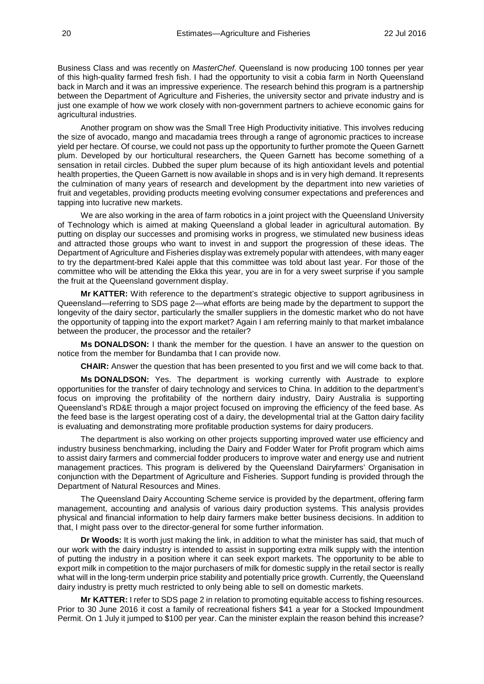Business Class and was recently on *MasterChef*. Queensland is now producing 100 tonnes per year of this high-quality farmed fresh fish. I had the opportunity to visit a cobia farm in North Queensland back in March and it was an impressive experience. The research behind this program is a partnership between the Department of Agriculture and Fisheries, the university sector and private industry and is just one example of how we work closely with non-government partners to achieve economic gains for agricultural industries.

Another program on show was the Small Tree High Productivity initiative. This involves reducing the size of avocado, mango and macadamia trees through a range of agronomic practices to increase yield per hectare. Of course, we could not pass up the opportunity to further promote the Queen Garnett plum. Developed by our horticultural researchers, the Queen Garnett has become something of a sensation in retail circles. Dubbed the super plum because of its high antioxidant levels and potential health properties, the Queen Garnett is now available in shops and is in very high demand. It represents the culmination of many years of research and development by the department into new varieties of fruit and vegetables, providing products meeting evolving consumer expectations and preferences and tapping into lucrative new markets.

We are also working in the area of farm robotics in a joint project with the Queensland University of Technology which is aimed at making Queensland a global leader in agricultural automation. By putting on display our successes and promising works in progress, we stimulated new business ideas and attracted those groups who want to invest in and support the progression of these ideas. The Department of Agriculture and Fisheries display was extremely popular with attendees, with many eager to try the department-bred Kalei apple that this committee was told about last year. For those of the committee who will be attending the Ekka this year, you are in for a very sweet surprise if you sample the fruit at the Queensland government display.

**Mr KATTER:** With reference to the department's strategic objective to support agribusiness in Queensland—referring to SDS page 2—what efforts are being made by the department to support the longevity of the dairy sector, particularly the smaller suppliers in the domestic market who do not have the opportunity of tapping into the export market? Again I am referring mainly to that market imbalance between the producer, the processor and the retailer?

**Ms DONALDSON:** I thank the member for the question. I have an answer to the question on notice from the member for Bundamba that I can provide now.

**CHAIR:** Answer the question that has been presented to you first and we will come back to that.

**Ms DONALDSON:** Yes. The department is working currently with Austrade to explore opportunities for the transfer of dairy technology and services to China. In addition to the department's focus on improving the profitability of the northern dairy industry, Dairy Australia is supporting Queensland's RD&E through a major project focused on improving the efficiency of the feed base. As the feed base is the largest operating cost of a dairy, the developmental trial at the Gatton dairy facility is evaluating and demonstrating more profitable production systems for dairy producers.

The department is also working on other projects supporting improved water use efficiency and industry business benchmarking, including the Dairy and Fodder Water for Profit program which aims to assist dairy farmers and commercial fodder producers to improve water and energy use and nutrient management practices. This program is delivered by the Queensland Dairyfarmers' Organisation in conjunction with the Department of Agriculture and Fisheries. Support funding is provided through the Department of Natural Resources and Mines.

The Queensland Dairy Accounting Scheme service is provided by the department, offering farm management, accounting and analysis of various dairy production systems. This analysis provides physical and financial information to help dairy farmers make better business decisions. In addition to that, I might pass over to the director-general for some further information.

**Dr Woods:** It is worth just making the link, in addition to what the minister has said, that much of our work with the dairy industry is intended to assist in supporting extra milk supply with the intention of putting the industry in a position where it can seek export markets. The opportunity to be able to export milk in competition to the major purchasers of milk for domestic supply in the retail sector is really what will in the long-term underpin price stability and potentially price growth. Currently, the Queensland dairy industry is pretty much restricted to only being able to sell on domestic markets.

**Mr KATTER:** I refer to SDS page 2 in relation to promoting equitable access to fishing resources. Prior to 30 June 2016 it cost a family of recreational fishers \$41 a year for a Stocked Impoundment Permit. On 1 July it jumped to \$100 per year. Can the minister explain the reason behind this increase?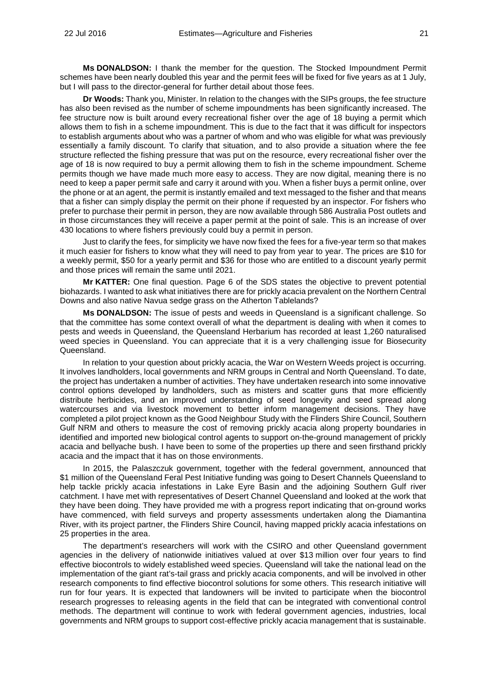**Ms DONALDSON:** I thank the member for the question. The Stocked Impoundment Permit schemes have been nearly doubled this year and the permit fees will be fixed for five years as at 1 July, but I will pass to the director-general for further detail about those fees.

**Dr Woods:** Thank you, Minister. In relation to the changes with the SIPs groups, the fee structure has also been revised as the number of scheme impoundments has been significantly increased. The fee structure now is built around every recreational fisher over the age of 18 buying a permit which allows them to fish in a scheme impoundment. This is due to the fact that it was difficult for inspectors to establish arguments about who was a partner of whom and who was eligible for what was previously essentially a family discount. To clarify that situation, and to also provide a situation where the fee structure reflected the fishing pressure that was put on the resource, every recreational fisher over the age of 18 is now required to buy a permit allowing them to fish in the scheme impoundment. Scheme permits though we have made much more easy to access. They are now digital, meaning there is no need to keep a paper permit safe and carry it around with you. When a fisher buys a permit online, over the phone or at an agent, the permit is instantly emailed and text messaged to the fisher and that means that a fisher can simply display the permit on their phone if requested by an inspector. For fishers who prefer to purchase their permit in person, they are now available through 586 Australia Post outlets and in those circumstances they will receive a paper permit at the point of sale. This is an increase of over 430 locations to where fishers previously could buy a permit in person.

Just to clarify the fees, for simplicity we have now fixed the fees for a five-year term so that makes it much easier for fishers to know what they will need to pay from year to year. The prices are \$10 for a weekly permit, \$50 for a yearly permit and \$36 for those who are entitled to a discount yearly permit and those prices will remain the same until 2021.

**Mr KATTER:** One final question. Page 6 of the SDS states the objective to prevent potential biohazards. I wanted to ask what initiatives there are for prickly acacia prevalent on the Northern Central Downs and also native Navua sedge grass on the Atherton Tablelands?

**Ms DONALDSON:** The issue of pests and weeds in Queensland is a significant challenge. So that the committee has some context overall of what the department is dealing with when it comes to pests and weeds in Queensland, the Queensland Herbarium has recorded at least 1,260 naturalised weed species in Queensland. You can appreciate that it is a very challenging issue for Biosecurity Queensland.

In relation to your question about prickly acacia, the War on Western Weeds project is occurring. It involves landholders, local governments and NRM groups in Central and North Queensland. To date, the project has undertaken a number of activities. They have undertaken research into some innovative control options developed by landholders, such as misters and scatter guns that more efficiently distribute herbicides, and an improved understanding of seed longevity and seed spread along watercourses and via livestock movement to better inform management decisions. They have completed a pilot project known as the Good Neighbour Study with the Flinders Shire Council, Southern Gulf NRM and others to measure the cost of removing prickly acacia along property boundaries in identified and imported new biological control agents to support on-the-ground management of prickly acacia and bellyache bush. I have been to some of the properties up there and seen firsthand prickly acacia and the impact that it has on those environments.

In 2015, the Palaszczuk government, together with the federal government, announced that \$1 million of the Queensland Feral Pest Initiative funding was going to Desert Channels Queensland to help tackle prickly acacia infestations in Lake Eyre Basin and the adjoining Southern Gulf river catchment. I have met with representatives of Desert Channel Queensland and looked at the work that they have been doing. They have provided me with a progress report indicating that on-ground works have commenced, with field surveys and property assessments undertaken along the Diamantina River, with its project partner, the Flinders Shire Council, having mapped prickly acacia infestations on 25 properties in the area.

The department's researchers will work with the CSIRO and other Queensland government agencies in the delivery of nationwide initiatives valued at over \$13 million over four years to find effective biocontrols to widely established weed species. Queensland will take the national lead on the implementation of the giant rat's-tail grass and prickly acacia components, and will be involved in other research components to find effective biocontrol solutions for some others. This research initiative will run for four years. It is expected that landowners will be invited to participate when the biocontrol research progresses to releasing agents in the field that can be integrated with conventional control methods. The department will continue to work with federal government agencies, industries, local governments and NRM groups to support cost-effective prickly acacia management that is sustainable.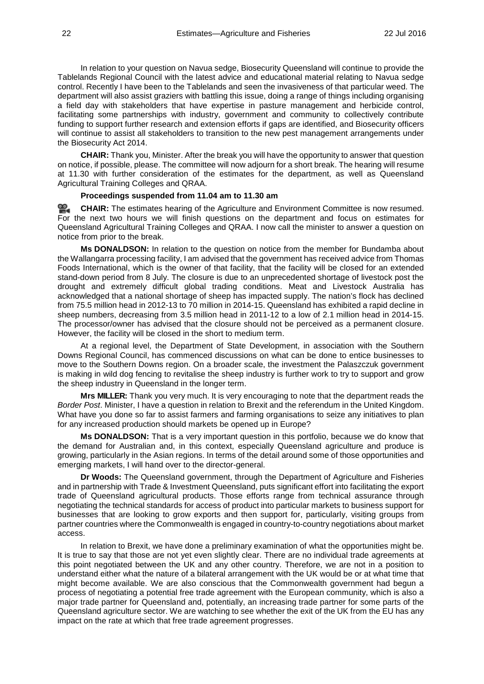In relation to your question on Navua sedge, Biosecurity Queensland will continue to provide the Tablelands Regional Council with the latest advice and educational material relating to Navua sedge control. Recently I have been to the Tablelands and seen the invasiveness of that particular weed. The department will also assist graziers with battling this issue, doing a range of things including organising a field day with stakeholders that have expertise in pasture management and herbicide control, facilitating some partnerships with industry, government and community to collectively contribute funding to support further research and extension efforts if gaps are identified, and Biosecurity officers will continue to assist all stakeholders to transition to the new pest management arrangements under the Biosecurity Act 2014.

**CHAIR:** Thank you, Minister. After the break you will have the opportunity to answer that question on notice, if possible, please. The committee will now adjourn for a short break. The hearing will resume at 11.30 with further consideration of the estimates for the department, as well as Queensland Agricultural Training Colleges and QRAA.

#### **Proceedings suspended from 11.04 am to 11.30 am**

옆. **[CHAIR:](http://www.parliament.qld.gov.au/docs/find.aspx?id=0Mba20160722_113039)** The estimates hearing of the Agriculture and Environment Committee is now resumed. For the next two hours we will finish questions on the department and focus on estimates for Queensland Agricultural Training Colleges and QRAA. I now call the minister to answer a question on notice from prior to the break.

**Ms DONALDSON:** In relation to the question on notice from the member for Bundamba about the Wallangarra processing facility, I am advised that the government has received advice from Thomas Foods International, which is the owner of that facility, that the facility will be closed for an extended stand-down period from 8 July. The closure is due to an unprecedented shortage of livestock post the drought and extremely difficult global trading conditions. Meat and Livestock Australia has acknowledged that a national shortage of sheep has impacted supply. The nation's flock has declined from 75.5 million head in 2012-13 to 70 million in 2014-15. Queensland has exhibited a rapid decline in sheep numbers, decreasing from 3.5 million head in 2011-12 to a low of 2.1 million head in 2014-15. The processor/owner has advised that the closure should not be perceived as a permanent closure. However, the facility will be closed in the short to medium term.

At a regional level, the Department of State Development, in association with the Southern Downs Regional Council, has commenced discussions on what can be done to entice businesses to move to the Southern Downs region. On a broader scale, the investment the Palaszczuk government is making in wild dog fencing to revitalise the sheep industry is further work to try to support and grow the sheep industry in Queensland in the longer term.

**Mrs MILLER:** Thank you very much. It is very encouraging to note that the department reads the *Border Post*. Minister, I have a question in relation to Brexit and the referendum in the United Kingdom. What have you done so far to assist farmers and farming organisations to seize any initiatives to plan for any increased production should markets be opened up in Europe?

**Ms DONALDSON:** That is a very important question in this portfolio, because we do know that the demand for Australian and, in this context, especially Queensland agriculture and produce is growing, particularly in the Asian regions. In terms of the detail around some of those opportunities and emerging markets, I will hand over to the director-general.

**Dr Woods:** The Queensland government, through the Department of Agriculture and Fisheries and in partnership with Trade & Investment Queensland, puts significant effort into facilitating the export trade of Queensland agricultural products. Those efforts range from technical assurance through negotiating the technical standards for access of product into particular markets to business support for businesses that are looking to grow exports and then support for, particularly, visiting groups from partner countries where the Commonwealth is engaged in country-to-country negotiations about market access.

In relation to Brexit, we have done a preliminary examination of what the opportunities might be. It is true to say that those are not yet even slightly clear. There are no individual trade agreements at this point negotiated between the UK and any other country. Therefore, we are not in a position to understand either what the nature of a bilateral arrangement with the UK would be or at what time that might become available. We are also conscious that the Commonwealth government had begun a process of negotiating a potential free trade agreement with the European community, which is also a major trade partner for Queensland and, potentially, an increasing trade partner for some parts of the Queensland agriculture sector. We are watching to see whether the exit of the UK from the EU has any impact on the rate at which that free trade agreement progresses.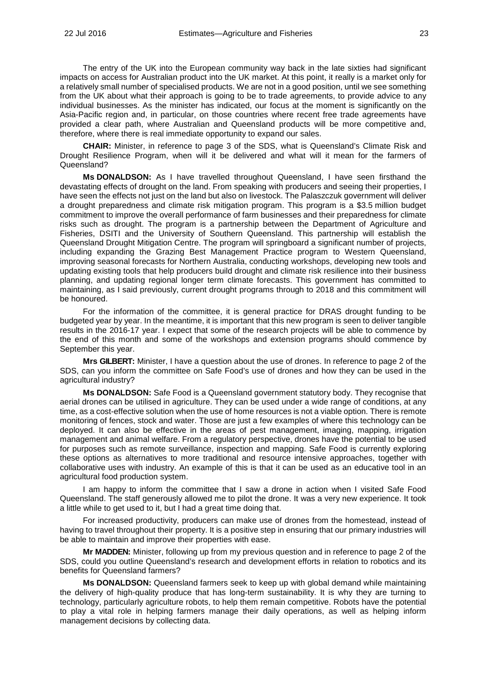The entry of the UK into the European community way back in the late sixties had significant impacts on access for Australian product into the UK market. At this point, it really is a market only for a relatively small number of specialised products. We are not in a good position, until we see something from the UK about what their approach is going to be to trade agreements, to provide advice to any individual businesses. As the minister has indicated, our focus at the moment is significantly on the Asia-Pacific region and, in particular, on those countries where recent free trade agreements have provided a clear path, where Australian and Queensland products will be more competitive and, therefore, where there is real immediate opportunity to expand our sales.

**CHAIR:** Minister, in reference to page 3 of the SDS, what is Queensland's Climate Risk and Drought Resilience Program, when will it be delivered and what will it mean for the farmers of Queensland?

**Ms DONALDSON:** As I have travelled throughout Queensland, I have seen firsthand the devastating effects of drought on the land. From speaking with producers and seeing their properties, I have seen the effects not just on the land but also on livestock. The Palaszczuk government will deliver a drought preparedness and climate risk mitigation program. This program is a \$3.5 million budget commitment to improve the overall performance of farm businesses and their preparedness for climate risks such as drought. The program is a partnership between the Department of Agriculture and Fisheries, DSITI and the University of Southern Queensland. This partnership will establish the Queensland Drought Mitigation Centre. The program will springboard a significant number of projects, including expanding the Grazing Best Management Practice program to Western Queensland, improving seasonal forecasts for Northern Australia, conducting workshops, developing new tools and updating existing tools that help producers build drought and climate risk resilience into their business planning, and updating regional longer term climate forecasts. This government has committed to maintaining, as I said previously, current drought programs through to 2018 and this commitment will be honoured.

For the information of the committee, it is general practice for DRAS drought funding to be budgeted year by year. In the meantime, it is important that this new program is seen to deliver tangible results in the 2016-17 year. I expect that some of the research projects will be able to commence by the end of this month and some of the workshops and extension programs should commence by September this year.

**Mrs GILBERT:** Minister, I have a question about the use of drones. In reference to page 2 of the SDS, can you inform the committee on Safe Food's use of drones and how they can be used in the agricultural industry?

**Ms DONALDSON:** Safe Food is a Queensland government statutory body. They recognise that aerial drones can be utilised in agriculture. They can be used under a wide range of conditions, at any time, as a cost-effective solution when the use of home resources is not a viable option. There is remote monitoring of fences, stock and water. Those are just a few examples of where this technology can be deployed. It can also be effective in the areas of pest management, imaging, mapping, irrigation management and animal welfare. From a regulatory perspective, drones have the potential to be used for purposes such as remote surveillance, inspection and mapping. Safe Food is currently exploring these options as alternatives to more traditional and resource intensive approaches, together with collaborative uses with industry. An example of this is that it can be used as an educative tool in an agricultural food production system.

I am happy to inform the committee that I saw a drone in action when I visited Safe Food Queensland. The staff generously allowed me to pilot the drone. It was a very new experience. It took a little while to get used to it, but I had a great time doing that.

For increased productivity, producers can make use of drones from the homestead, instead of having to travel throughout their property. It is a positive step in ensuring that our primary industries will be able to maintain and improve their properties with ease.

**Mr MADDEN:** Minister, following up from my previous question and in reference to page 2 of the SDS, could you outline Queensland's research and development efforts in relation to robotics and its benefits for Queensland farmers?

**Ms DONALDSON:** Queensland farmers seek to keep up with global demand while maintaining the delivery of high-quality produce that has long-term sustainability. It is why they are turning to technology, particularly agriculture robots, to help them remain competitive. Robots have the potential to play a vital role in helping farmers manage their daily operations, as well as helping inform management decisions by collecting data.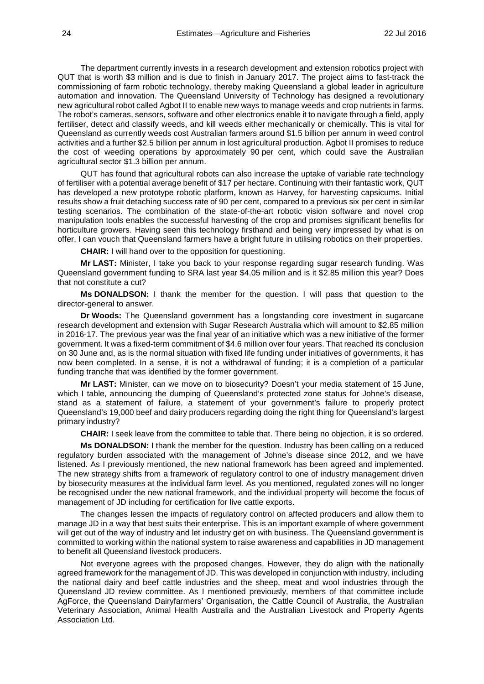The department currently invests in a research development and extension robotics project with QUT that is worth \$3 million and is due to finish in January 2017. The project aims to fast-track the commissioning of farm robotic technology, thereby making Queensland a global leader in agriculture automation and innovation. The Queensland University of Technology has designed a revolutionary new agricultural robot called Agbot II to enable new ways to manage weeds and crop nutrients in farms. The robot's cameras, sensors, software and other electronics enable it to navigate through a field, apply fertiliser, detect and classify weeds, and kill weeds either mechanically or chemically. This is vital for Queensland as currently weeds cost Australian farmers around \$1.5 billion per annum in weed control activities and a further \$2.5 billion per annum in lost agricultural production. Agbot II promises to reduce the cost of weeding operations by approximately 90 per cent, which could save the Australian agricultural sector \$1.3 billion per annum.

QUT has found that agricultural robots can also increase the uptake of variable rate technology of fertiliser with a potential average benefit of \$17 per hectare. Continuing with their fantastic work, QUT has developed a new prototype robotic platform, known as Harvey, for harvesting capsicums. Initial results show a fruit detaching success rate of 90 per cent, compared to a previous six per cent in similar testing scenarios. The combination of the state-of-the-art robotic vision software and novel crop manipulation tools enables the successful harvesting of the crop and promises significant benefits for horticulture growers. Having seen this technology firsthand and being very impressed by what is on offer, I can vouch that Queensland farmers have a bright future in utilising robotics on their properties.

**CHAIR:** I will hand over to the opposition for questioning.

**Mr LAST:** Minister, I take you back to your response regarding sugar research funding. Was Queensland government funding to SRA last year \$4.05 million and is it \$2.85 million this year? Does that not constitute a cut?

**Ms DONALDSON:** I thank the member for the question. I will pass that question to the director-general to answer.

**Dr Woods:** The Queensland government has a longstanding core investment in sugarcane research development and extension with Sugar Research Australia which will amount to \$2.85 million in 2016-17. The previous year was the final year of an initiative which was a new initiative of the former government. It was a fixed-term commitment of \$4.6 million over four years. That reached its conclusion on 30 June and, as is the normal situation with fixed life funding under initiatives of governments, it has now been completed. In a sense, it is not a withdrawal of funding; it is a completion of a particular funding tranche that was identified by the former government.

**Mr LAST:** Minister, can we move on to biosecurity? Doesn't your media statement of 15 June, which I table, announcing the dumping of Queensland's protected zone status for Johne's disease, stand as a statement of failure, a statement of your government's failure to properly protect Queensland's 19,000 beef and dairy producers regarding doing the right thing for Queensland's largest primary industry?

**CHAIR:** I seek leave from the committee to table that. There being no objection, it is so ordered.

**Ms DONALDSON:** I thank the member for the question. Industry has been calling on a reduced regulatory burden associated with the management of Johne's disease since 2012, and we have listened. As I previously mentioned, the new national framework has been agreed and implemented. The new strategy shifts from a framework of regulatory control to one of industry management driven by biosecurity measures at the individual farm level. As you mentioned, regulated zones will no longer be recognised under the new national framework, and the individual property will become the focus of management of JD including for certification for live cattle exports.

The changes lessen the impacts of regulatory control on affected producers and allow them to manage JD in a way that best suits their enterprise. This is an important example of where government will get out of the way of industry and let industry get on with business. The Queensland government is committed to working within the national system to raise awareness and capabilities in JD management to benefit all Queensland livestock producers.

Not everyone agrees with the proposed changes. However, they do align with the nationally agreed framework for the management of JD. This was developed in conjunction with industry, including the national dairy and beef cattle industries and the sheep, meat and wool industries through the Queensland JD review committee. As I mentioned previously, members of that committee include AgForce, the Queensland Dairyfarmers' Organisation, the Cattle Council of Australia, the Australian Veterinary Association, Animal Health Australia and the Australian Livestock and Property Agents Association Ltd.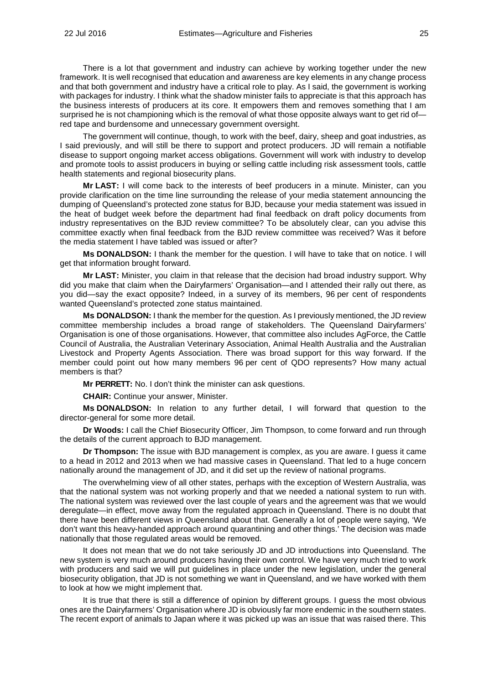There is a lot that government and industry can achieve by working together under the new framework. It is well recognised that education and awareness are key elements in any change process and that both government and industry have a critical role to play. As I said, the government is working with packages for industry. I think what the shadow minister fails to appreciate is that this approach has the business interests of producers at its core. It empowers them and removes something that I am surprised he is not championing which is the removal of what those opposite always want to get rid ofred tape and burdensome and unnecessary government oversight.

The government will continue, though, to work with the beef, dairy, sheep and goat industries, as I said previously, and will still be there to support and protect producers. JD will remain a notifiable disease to support ongoing market access obligations. Government will work with industry to develop and promote tools to assist producers in buying or selling cattle including risk assessment tools, cattle health statements and regional biosecurity plans.

**Mr LAST:** I will come back to the interests of beef producers in a minute. Minister, can you provide clarification on the time line surrounding the release of your media statement announcing the dumping of Queensland's protected zone status for BJD, because your media statement was issued in the heat of budget week before the department had final feedback on draft policy documents from industry representatives on the BJD review committee? To be absolutely clear, can you advise this committee exactly when final feedback from the BJD review committee was received? Was it before the media statement I have tabled was issued or after?

**Ms DONALDSON:** I thank the member for the question. I will have to take that on notice. I will get that information brought forward.

**Mr LAST:** Minister, you claim in that release that the decision had broad industry support. Why did you make that claim when the Dairyfarmers' Organisation—and I attended their rally out there, as you did—say the exact opposite? Indeed, in a survey of its members, 96 per cent of respondents wanted Queensland's protected zone status maintained.

**Ms DONALDSON:** I thank the member for the question. As I previously mentioned, the JD review committee membership includes a broad range of stakeholders. The Queensland Dairyfarmers' Organisation is one of those organisations. However, that committee also includes AgForce, the Cattle Council of Australia, the Australian Veterinary Association, Animal Health Australia and the Australian Livestock and Property Agents Association. There was broad support for this way forward. If the member could point out how many members 96 per cent of QDO represents? How many actual members is that?

**Mr PERRETT:** No. I don't think the minister can ask questions.

**CHAIR:** Continue your answer, Minister.

**Ms DONALDSON:** In relation to any further detail, I will forward that question to the director-general for some more detail.

**Dr Woods:** I call the Chief Biosecurity Officer, Jim Thompson, to come forward and run through the details of the current approach to BJD management.

**Dr Thompson:** The issue with BJD management is complex, as you are aware. I guess it came to a head in 2012 and 2013 when we had massive cases in Queensland. That led to a huge concern nationally around the management of JD, and it did set up the review of national programs.

The overwhelming view of all other states, perhaps with the exception of Western Australia, was that the national system was not working properly and that we needed a national system to run with. The national system was reviewed over the last couple of years and the agreement was that we would deregulate—in effect, move away from the regulated approach in Queensland. There is no doubt that there have been different views in Queensland about that. Generally a lot of people were saying, 'We don't want this heavy-handed approach around quarantining and other things.' The decision was made nationally that those regulated areas would be removed.

It does not mean that we do not take seriously JD and JD introductions into Queensland. The new system is very much around producers having their own control. We have very much tried to work with producers and said we will put guidelines in place under the new legislation, under the general biosecurity obligation, that JD is not something we want in Queensland, and we have worked with them to look at how we might implement that.

It is true that there is still a difference of opinion by different groups. I guess the most obvious ones are the Dairyfarmers' Organisation where JD is obviously far more endemic in the southern states. The recent export of animals to Japan where it was picked up was an issue that was raised there. This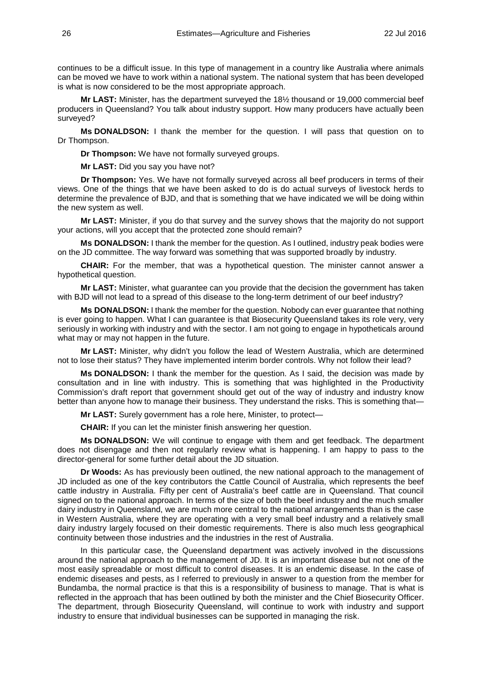continues to be a difficult issue. In this type of management in a country like Australia where animals can be moved we have to work within a national system. The national system that has been developed is what is now considered to be the most appropriate approach.

**Mr LAST:** Minister, has the department surveyed the 18½ thousand or 19,000 commercial beef producers in Queensland? You talk about industry support. How many producers have actually been surveyed?

**Ms DONALDSON:** I thank the member for the question. I will pass that question on to Dr Thompson.

**Dr Thompson:** We have not formally surveyed groups.

**Mr LAST:** Did you say you have not?

**Dr Thompson:** Yes. We have not formally surveyed across all beef producers in terms of their views. One of the things that we have been asked to do is do actual surveys of livestock herds to determine the prevalence of BJD, and that is something that we have indicated we will be doing within the new system as well.

**Mr LAST:** Minister, if you do that survey and the survey shows that the majority do not support your actions, will you accept that the protected zone should remain?

**Ms DONALDSON:** I thank the member for the question. As I outlined, industry peak bodies were on the JD committee. The way forward was something that was supported broadly by industry.

**CHAIR:** For the member, that was a hypothetical question. The minister cannot answer a hypothetical question.

**Mr LAST:** Minister, what guarantee can you provide that the decision the government has taken with BJD will not lead to a spread of this disease to the long-term detriment of our beef industry?

**Ms DONALDSON:** I thank the member for the question. Nobody can ever guarantee that nothing is ever going to happen. What I can guarantee is that Biosecurity Queensland takes its role very, very seriously in working with industry and with the sector. I am not going to engage in hypotheticals around what may or may not happen in the future.

**Mr LAST:** Minister, why didn't you follow the lead of Western Australia, which are determined not to lose their status? They have implemented interim border controls. Why not follow their lead?

**Ms DONALDSON:** I thank the member for the question. As I said, the decision was made by consultation and in line with industry. This is something that was highlighted in the Productivity Commission's draft report that government should get out of the way of industry and industry know better than anyone how to manage their business. They understand the risks. This is something that—

**Mr LAST:** Surely government has a role here, Minister, to protect—

**CHAIR:** If you can let the minister finish answering her question.

**Ms DONALDSON:** We will continue to engage with them and get feedback. The department does not disengage and then not regularly review what is happening. I am happy to pass to the director-general for some further detail about the JD situation.

**Dr Woods:** As has previously been outlined, the new national approach to the management of JD included as one of the key contributors the Cattle Council of Australia, which represents the beef cattle industry in Australia. Fifty per cent of Australia's beef cattle are in Queensland. That council signed on to the national approach. In terms of the size of both the beef industry and the much smaller dairy industry in Queensland, we are much more central to the national arrangements than is the case in Western Australia, where they are operating with a very small beef industry and a relatively small dairy industry largely focused on their domestic requirements. There is also much less geographical continuity between those industries and the industries in the rest of Australia.

In this particular case, the Queensland department was actively involved in the discussions around the national approach to the management of JD. It is an important disease but not one of the most easily spreadable or most difficult to control diseases. It is an endemic disease. In the case of endemic diseases and pests, as I referred to previously in answer to a question from the member for Bundamba, the normal practice is that this is a responsibility of business to manage. That is what is reflected in the approach that has been outlined by both the minister and the Chief Biosecurity Officer. The department, through Biosecurity Queensland, will continue to work with industry and support industry to ensure that individual businesses can be supported in managing the risk.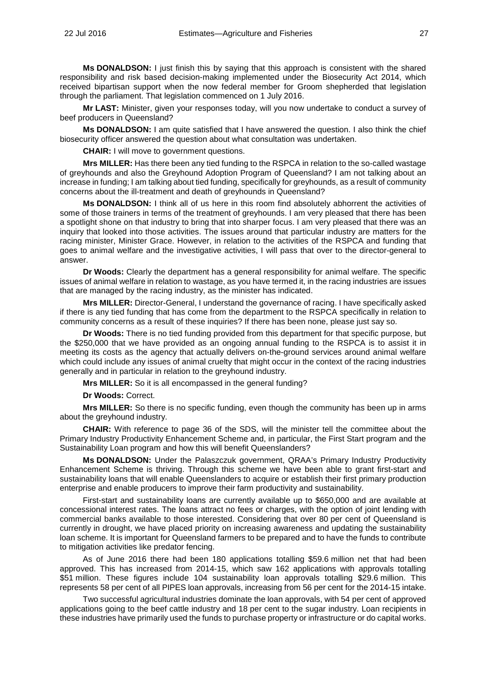**Ms DONALDSON:** I just finish this by saying that this approach is consistent with the shared responsibility and risk based decision-making implemented under the Biosecurity Act 2014, which received bipartisan support when the now federal member for Groom shepherded that legislation through the parliament. That legislation commenced on 1 July 2016.

**Mr LAST:** Minister, given your responses today, will you now undertake to conduct a survey of beef producers in Queensland?

**Ms DONALDSON:** I am quite satisfied that I have answered the question. I also think the chief biosecurity officer answered the question about what consultation was undertaken.

**CHAIR:** I will move to government questions.

**Mrs MILLER:** Has there been any tied funding to the RSPCA in relation to the so-called wastage of greyhounds and also the Greyhound Adoption Program of Queensland? I am not talking about an increase in funding; I am talking about tied funding, specifically for greyhounds, as a result of community concerns about the ill-treatment and death of greyhounds in Queensland?

**Ms DONALDSON:** I think all of us here in this room find absolutely abhorrent the activities of some of those trainers in terms of the treatment of greyhounds. I am very pleased that there has been a spotlight shone on that industry to bring that into sharper focus. I am very pleased that there was an inquiry that looked into those activities. The issues around that particular industry are matters for the racing minister, Minister Grace. However, in relation to the activities of the RSPCA and funding that goes to animal welfare and the investigative activities, I will pass that over to the director-general to answer.

**Dr Woods:** Clearly the department has a general responsibility for animal welfare. The specific issues of animal welfare in relation to wastage, as you have termed it, in the racing industries are issues that are managed by the racing industry, as the minister has indicated.

**Mrs MILLER:** Director-General, I understand the governance of racing. I have specifically asked if there is any tied funding that has come from the department to the RSPCA specifically in relation to community concerns as a result of these inquiries? If there has been none, please just say so.

**Dr Woods:** There is no tied funding provided from this department for that specific purpose, but the \$250,000 that we have provided as an ongoing annual funding to the RSPCA is to assist it in meeting its costs as the agency that actually delivers on-the-ground services around animal welfare which could include any issues of animal cruelty that might occur in the context of the racing industries generally and in particular in relation to the greyhound industry.

**Mrs MILLER:** So it is all encompassed in the general funding?

**Dr Woods:** Correct.

**Mrs MILLER:** So there is no specific funding, even though the community has been up in arms about the greyhound industry.

**CHAIR:** With reference to page 36 of the SDS, will the minister tell the committee about the Primary Industry Productivity Enhancement Scheme and, in particular, the First Start program and the Sustainability Loan program and how this will benefit Queenslanders?

**Ms DONALDSON:** Under the Palaszczuk government, QRAA's Primary Industry Productivity Enhancement Scheme is thriving. Through this scheme we have been able to grant first-start and sustainability loans that will enable Queenslanders to acquire or establish their first primary production enterprise and enable producers to improve their farm productivity and sustainability.

First-start and sustainability loans are currently available up to \$650,000 and are available at concessional interest rates. The loans attract no fees or charges, with the option of joint lending with commercial banks available to those interested. Considering that over 80 per cent of Queensland is currently in drought, we have placed priority on increasing awareness and updating the sustainability loan scheme. It is important for Queensland farmers to be prepared and to have the funds to contribute to mitigation activities like predator fencing.

As of June 2016 there had been 180 applications totalling \$59.6 million net that had been approved. This has increased from 2014-15, which saw 162 applications with approvals totalling \$51 million. These figures include 104 sustainability loan approvals totalling \$29.6 million. This represents 58 per cent of all PIPES loan approvals, increasing from 56 per cent for the 2014-15 intake.

Two successful agricultural industries dominate the loan approvals, with 54 per cent of approved applications going to the beef cattle industry and 18 per cent to the sugar industry. Loan recipients in these industries have primarily used the funds to purchase property or infrastructure or do capital works.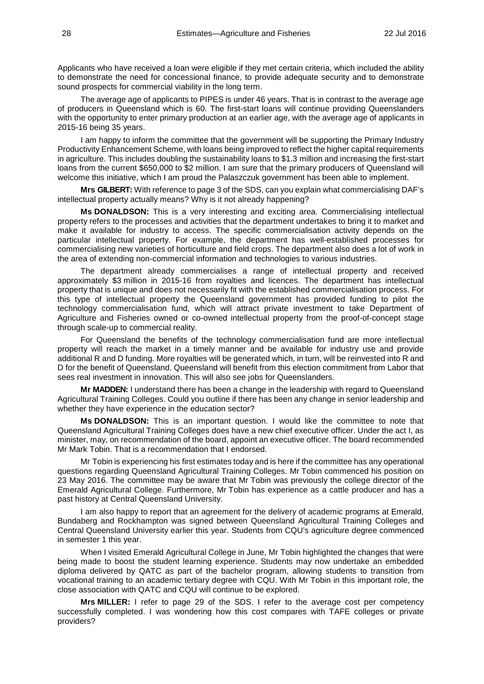Applicants who have received a loan were eligible if they met certain criteria, which included the ability to demonstrate the need for concessional finance, to provide adequate security and to demonstrate sound prospects for commercial viability in the long term.

The average age of applicants to PIPES is under 46 years. That is in contrast to the average age of producers in Queensland which is 60. The first-start loans will continue providing Queenslanders with the opportunity to enter primary production at an earlier age, with the average age of applicants in 2015-16 being 35 years.

I am happy to inform the committee that the government will be supporting the Primary Industry Productivity Enhancement Scheme, with loans being improved to reflect the higher capital requirements in agriculture. This includes doubling the sustainability loans to \$1.3 million and increasing the first-start loans from the current \$650,000 to \$2 million. I am sure that the primary producers of Queensland will welcome this initiative, which I am proud the Palaszczuk government has been able to implement.

**Mrs GILBERT:** With reference to page 3 of the SDS, can you explain what commercialising DAF's intellectual property actually means? Why is it not already happening?

**Ms DONALDSON:** This is a very interesting and exciting area. Commercialising intellectual property refers to the processes and activities that the department undertakes to bring it to market and make it available for industry to access. The specific commercialisation activity depends on the particular intellectual property. For example, the department has well-established processes for commercialising new varieties of horticulture and field crops. The department also does a lot of work in the area of extending non-commercial information and technologies to various industries.

The department already commercialises a range of intellectual property and received approximately \$3 million in 2015-16 from royalties and licences. The department has intellectual property that is unique and does not necessarily fit with the established commercialisation process. For this type of intellectual property the Queensland government has provided funding to pilot the technology commercialisation fund, which will attract private investment to take Department of Agriculture and Fisheries owned or co-owned intellectual property from the proof-of-concept stage through scale-up to commercial reality.

For Queensland the benefits of the technology commercialisation fund are more intellectual property will reach the market in a timely manner and be available for industry use and provide additional R and D funding. More royalties will be generated which, in turn, will be reinvested into R and D for the benefit of Queensland. Queensland will benefit from this election commitment from Labor that sees real investment in innovation. This will also see jobs for Queenslanders.

**Mr MADDEN:** I understand there has been a change in the leadership with regard to Queensland Agricultural Training Colleges. Could you outline if there has been any change in senior leadership and whether they have experience in the education sector?

**Ms DONALDSON:** This is an important question. I would like the committee to note that Queensland Agricultural Training Colleges does have a new chief executive officer. Under the act I, as minister, may, on recommendation of the board, appoint an executive officer. The board recommended Mr Mark Tobin. That is a recommendation that I endorsed.

Mr Tobin is experiencing his first estimates today and is here if the committee has any operational questions regarding Queensland Agricultural Training Colleges. Mr Tobin commenced his position on 23 May 2016. The committee may be aware that Mr Tobin was previously the college director of the Emerald Agricultural College. Furthermore, Mr Tobin has experience as a cattle producer and has a past history at Central Queensland University.

I am also happy to report that an agreement for the delivery of academic programs at Emerald, Bundaberg and Rockhampton was signed between Queensland Agricultural Training Colleges and Central Queensland University earlier this year. Students from CQU's agriculture degree commenced in semester 1 this year.

When I visited Emerald Agricultural College in June, Mr Tobin highlighted the changes that were being made to boost the student learning experience. Students may now undertake an embedded diploma delivered by QATC as part of the bachelor program, allowing students to transition from vocational training to an academic tertiary degree with CQU. With Mr Tobin in this important role, the close association with QATC and CQU will continue to be explored.

**Mrs MILLER:** I refer to page 29 of the SDS. I refer to the average cost per competency successfully completed. I was wondering how this cost compares with TAFE colleges or private providers?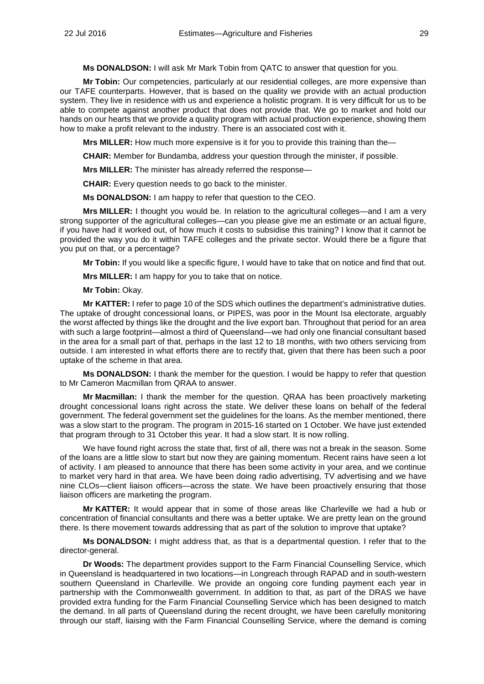**Ms DONALDSON:** I will ask Mr Mark Tobin from QATC to answer that question for you.

**Mr Tobin:** Our competencies, particularly at our residential colleges, are more expensive than our TAFE counterparts. However, that is based on the quality we provide with an actual production system. They live in residence with us and experience a holistic program. It is very difficult for us to be able to compete against another product that does not provide that. We go to market and hold our hands on our hearts that we provide a quality program with actual production experience, showing them how to make a profit relevant to the industry. There is an associated cost with it.

**Mrs MILLER:** How much more expensive is it for you to provide this training than the—

**CHAIR:** Member for Bundamba, address your question through the minister, if possible.

**Mrs MILLER:** The minister has already referred the response—

**CHAIR:** Every question needs to go back to the minister.

**Ms DONALDSON:** I am happy to refer that question to the CEO.

**Mrs MILLER:** I thought you would be. In relation to the agricultural colleges—and I am a very strong supporter of the agricultural colleges—can you please give me an estimate or an actual figure, if you have had it worked out, of how much it costs to subsidise this training? I know that it cannot be provided the way you do it within TAFE colleges and the private sector. Would there be a figure that you put on that, or a percentage?

**Mr Tobin:** If you would like a specific figure, I would have to take that on notice and find that out.

**Mrs MILLER:** I am happy for you to take that on notice.

**Mr Tobin:** Okay.

**Mr KATTER:** I refer to page 10 of the SDS which outlines the department's administrative duties. The uptake of drought concessional loans, or PIPES, was poor in the Mount Isa electorate, arguably the worst affected by things like the drought and the live export ban. Throughout that period for an area with such a large footprint—almost a third of Queensland—we had only one financial consultant based in the area for a small part of that, perhaps in the last 12 to 18 months, with two others servicing from outside. I am interested in what efforts there are to rectify that, given that there has been such a poor uptake of the scheme in that area.

**Ms DONALDSON:** I thank the member for the question. I would be happy to refer that question to Mr Cameron Macmillan from QRAA to answer.

**Mr Macmillan:** I thank the member for the question. QRAA has been proactively marketing drought concessional loans right across the state. We deliver these loans on behalf of the federal government. The federal government set the guidelines for the loans. As the member mentioned, there was a slow start to the program. The program in 2015-16 started on 1 October. We have just extended that program through to 31 October this year. It had a slow start. It is now rolling.

We have found right across the state that, first of all, there was not a break in the season. Some of the loans are a little slow to start but now they are gaining momentum. Recent rains have seen a lot of activity. I am pleased to announce that there has been some activity in your area, and we continue to market very hard in that area. We have been doing radio advertising, TV advertising and we have nine CLOs—client liaison officers—across the state. We have been proactively ensuring that those liaison officers are marketing the program.

**Mr KATTER:** It would appear that in some of those areas like Charleville we had a hub or concentration of financial consultants and there was a better uptake. We are pretty lean on the ground there. Is there movement towards addressing that as part of the solution to improve that uptake?

**Ms DONALDSON:** I might address that, as that is a departmental question. I refer that to the director-general.

**Dr Woods:** The department provides support to the Farm Financial Counselling Service, which in Queensland is headquartered in two locations—in Longreach through RAPAD and in south-western southern Queensland in Charleville. We provide an ongoing core funding payment each year in partnership with the Commonwealth government. In addition to that, as part of the DRAS we have provided extra funding for the Farm Financial Counselling Service which has been designed to match the demand. In all parts of Queensland during the recent drought, we have been carefully monitoring through our staff, liaising with the Farm Financial Counselling Service, where the demand is coming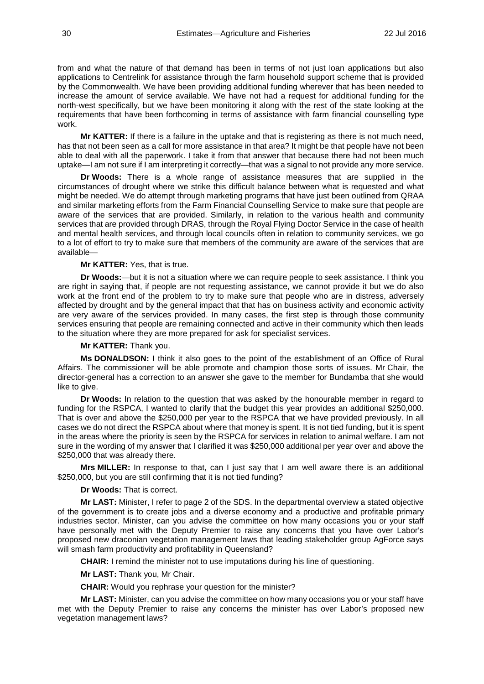from and what the nature of that demand has been in terms of not just loan applications but also applications to Centrelink for assistance through the farm household support scheme that is provided by the Commonwealth. We have been providing additional funding wherever that has been needed to increase the amount of service available. We have not had a request for additional funding for the north-west specifically, but we have been monitoring it along with the rest of the state looking at the requirements that have been forthcoming in terms of assistance with farm financial counselling type work.

**Mr KATTER:** If there is a failure in the uptake and that is registering as there is not much need, has that not been seen as a call for more assistance in that area? It might be that people have not been able to deal with all the paperwork. I take it from that answer that because there had not been much uptake—I am not sure if I am interpreting it correctly—that was a signal to not provide any more service.

**Dr Woods:** There is a whole range of assistance measures that are supplied in the circumstances of drought where we strike this difficult balance between what is requested and what might be needed. We do attempt through marketing programs that have just been outlined from QRAA and similar marketing efforts from the Farm Financial Counselling Service to make sure that people are aware of the services that are provided. Similarly, in relation to the various health and community services that are provided through DRAS, through the Royal Flying Doctor Service in the case of health and mental health services, and through local councils often in relation to community services, we go to a lot of effort to try to make sure that members of the community are aware of the services that are available—

#### **Mr KATTER:** Yes, that is true.

**Dr Woods:**—but it is not a situation where we can require people to seek assistance. I think you are right in saying that, if people are not requesting assistance, we cannot provide it but we do also work at the front end of the problem to try to make sure that people who are in distress, adversely affected by drought and by the general impact that that has on business activity and economic activity are very aware of the services provided. In many cases, the first step is through those community services ensuring that people are remaining connected and active in their community which then leads to the situation where they are more prepared for ask for specialist services.

#### **Mr KATTER:** Thank you.

**Ms DONALDSON:** I think it also goes to the point of the establishment of an Office of Rural Affairs. The commissioner will be able promote and champion those sorts of issues. Mr Chair, the director-general has a correction to an answer she gave to the member for Bundamba that she would like to give.

**Dr Woods:** In relation to the question that was asked by the honourable member in regard to funding for the RSPCA, I wanted to clarify that the budget this year provides an additional \$250,000. That is over and above the \$250,000 per year to the RSPCA that we have provided previously. In all cases we do not direct the RSPCA about where that money is spent. It is not tied funding, but it is spent in the areas where the priority is seen by the RSPCA for services in relation to animal welfare. I am not sure in the wording of my answer that I clarified it was \$250,000 additional per year over and above the \$250,000 that was already there.

**Mrs MILLER:** In response to that, can I just say that I am well aware there is an additional \$250,000, but you are still confirming that it is not tied funding?

#### **Dr Woods:** That is correct.

**Mr LAST:** Minister, I refer to page 2 of the SDS. In the departmental overview a stated objective of the government is to create jobs and a diverse economy and a productive and profitable primary industries sector. Minister, can you advise the committee on how many occasions you or your staff have personally met with the Deputy Premier to raise any concerns that you have over Labor's proposed new draconian vegetation management laws that leading stakeholder group AgForce says will smash farm productivity and profitability in Queensland?

**CHAIR:** I remind the minister not to use imputations during his line of questioning.

**Mr LAST:** Thank you, Mr Chair.

**CHAIR:** Would you rephrase your question for the minister?

**Mr LAST:** Minister, can you advise the committee on how many occasions you or your staff have met with the Deputy Premier to raise any concerns the minister has over Labor's proposed new vegetation management laws?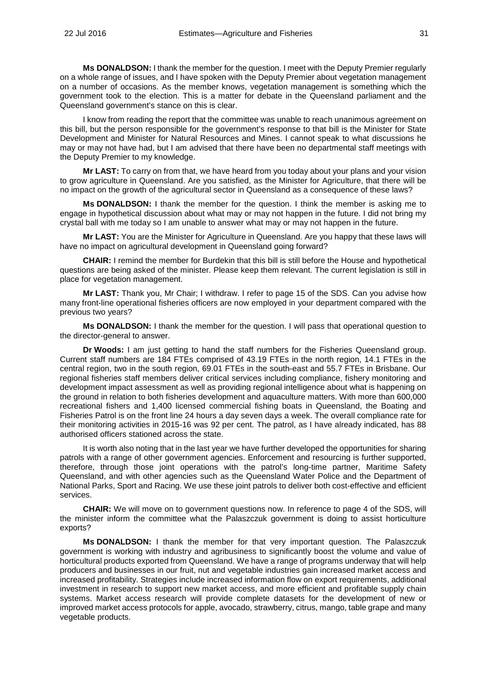**Ms DONALDSON:** I thank the member for the question. I meet with the Deputy Premier regularly on a whole range of issues, and I have spoken with the Deputy Premier about vegetation management on a number of occasions. As the member knows, vegetation management is something which the government took to the election. This is a matter for debate in the Queensland parliament and the Queensland government's stance on this is clear.

I know from reading the report that the committee was unable to reach unanimous agreement on this bill, but the person responsible for the government's response to that bill is the Minister for State Development and Minister for Natural Resources and Mines. I cannot speak to what discussions he may or may not have had, but I am advised that there have been no departmental staff meetings with the Deputy Premier to my knowledge.

**Mr LAST:** To carry on from that, we have heard from you today about your plans and your vision to grow agriculture in Queensland. Are you satisfied, as the Minister for Agriculture, that there will be no impact on the growth of the agricultural sector in Queensland as a consequence of these laws?

**Ms DONALDSON:** I thank the member for the question. I think the member is asking me to engage in hypothetical discussion about what may or may not happen in the future. I did not bring my crystal ball with me today so I am unable to answer what may or may not happen in the future.

**Mr LAST:** You are the Minister for Agriculture in Queensland. Are you happy that these laws will have no impact on agricultural development in Queensland going forward?

**CHAIR:** I remind the member for Burdekin that this bill is still before the House and hypothetical questions are being asked of the minister. Please keep them relevant. The current legislation is still in place for vegetation management.

**Mr LAST:** Thank you, Mr Chair; I withdraw. I refer to page 15 of the SDS. Can you advise how many front-line operational fisheries officers are now employed in your department compared with the previous two years?

**Ms DONALDSON:** I thank the member for the question. I will pass that operational question to the director-general to answer.

**Dr Woods:** I am just getting to hand the staff numbers for the Fisheries Queensland group. Current staff numbers are 184 FTEs comprised of 43.19 FTEs in the north region, 14.1 FTEs in the central region, two in the south region, 69.01 FTEs in the south-east and 55.7 FTEs in Brisbane. Our regional fisheries staff members deliver critical services including compliance, fishery monitoring and development impact assessment as well as providing regional intelligence about what is happening on the ground in relation to both fisheries development and aquaculture matters. With more than 600,000 recreational fishers and 1,400 licensed commercial fishing boats in Queensland, the Boating and Fisheries Patrol is on the front line 24 hours a day seven days a week. The overall compliance rate for their monitoring activities in 2015-16 was 92 per cent. The patrol, as I have already indicated, has 88 authorised officers stationed across the state.

It is worth also noting that in the last year we have further developed the opportunities for sharing patrols with a range of other government agencies. Enforcement and resourcing is further supported, therefore, through those joint operations with the patrol's long-time partner, Maritime Safety Queensland, and with other agencies such as the Queensland Water Police and the Department of National Parks, Sport and Racing. We use these joint patrols to deliver both cost-effective and efficient services.

**CHAIR:** We will move on to government questions now. In reference to page 4 of the SDS, will the minister inform the committee what the Palaszczuk government is doing to assist horticulture exports?

**Ms DONALDSON:** I thank the member for that very important question. The Palaszczuk government is working with industry and agribusiness to significantly boost the volume and value of horticultural products exported from Queensland. We have a range of programs underway that will help producers and businesses in our fruit, nut and vegetable industries gain increased market access and increased profitability. Strategies include increased information flow on export requirements, additional investment in research to support new market access, and more efficient and profitable supply chain systems. Market access research will provide complete datasets for the development of new or improved market access protocols for apple, avocado, strawberry, citrus, mango, table grape and many vegetable products.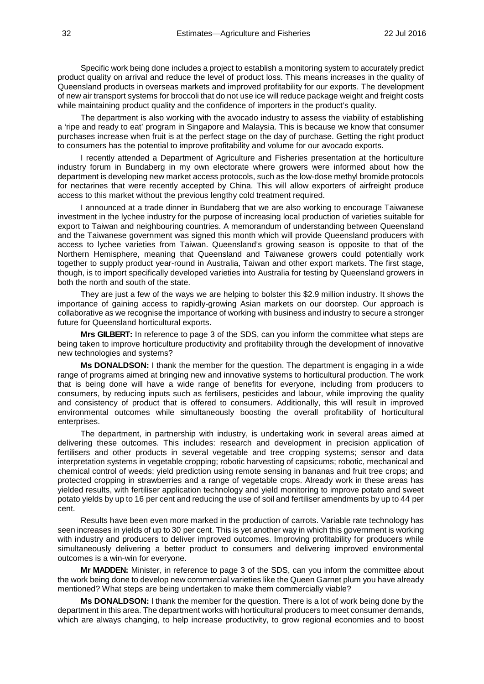Specific work being done includes a project to establish a monitoring system to accurately predict product quality on arrival and reduce the level of product loss. This means increases in the quality of Queensland products in overseas markets and improved profitability for our exports. The development of new air transport systems for broccoli that do not use ice will reduce package weight and freight costs while maintaining product quality and the confidence of importers in the product's quality.

The department is also working with the avocado industry to assess the viability of establishing a 'ripe and ready to eat' program in Singapore and Malaysia. This is because we know that consumer purchases increase when fruit is at the perfect stage on the day of purchase. Getting the right product to consumers has the potential to improve profitability and volume for our avocado exports.

I recently attended a Department of Agriculture and Fisheries presentation at the horticulture industry forum in Bundaberg in my own electorate where growers were informed about how the department is developing new market access protocols, such as the low-dose methyl bromide protocols for nectarines that were recently accepted by China. This will allow exporters of airfreight produce access to this market without the previous lengthy cold treatment required.

I announced at a trade dinner in Bundaberg that we are also working to encourage Taiwanese investment in the lychee industry for the purpose of increasing local production of varieties suitable for export to Taiwan and neighbouring countries. A memorandum of understanding between Queensland and the Taiwanese government was signed this month which will provide Queensland producers with access to lychee varieties from Taiwan. Queensland's growing season is opposite to that of the Northern Hemisphere, meaning that Queensland and Taiwanese growers could potentially work together to supply product year-round in Australia, Taiwan and other export markets. The first stage, though, is to import specifically developed varieties into Australia for testing by Queensland growers in both the north and south of the state.

They are just a few of the ways we are helping to bolster this \$2.9 million industry. It shows the importance of gaining access to rapidly-growing Asian markets on our doorstep. Our approach is collaborative as we recognise the importance of working with business and industry to secure a stronger future for Queensland horticultural exports.

**Mrs GILBERT:** In reference to page 3 of the SDS, can you inform the committee what steps are being taken to improve horticulture productivity and profitability through the development of innovative new technologies and systems?

**Ms DONALDSON:** I thank the member for the question. The department is engaging in a wide range of programs aimed at bringing new and innovative systems to horticultural production. The work that is being done will have a wide range of benefits for everyone, including from producers to consumers, by reducing inputs such as fertilisers, pesticides and labour, while improving the quality and consistency of product that is offered to consumers. Additionally, this will result in improved environmental outcomes while simultaneously boosting the overall profitability of horticultural enterprises.

The department, in partnership with industry, is undertaking work in several areas aimed at delivering these outcomes. This includes: research and development in precision application of fertilisers and other products in several vegetable and tree cropping systems; sensor and data interpretation systems in vegetable cropping; robotic harvesting of capsicums; robotic, mechanical and chemical control of weeds; yield prediction using remote sensing in bananas and fruit tree crops; and protected cropping in strawberries and a range of vegetable crops. Already work in these areas has yielded results, with fertiliser application technology and yield monitoring to improve potato and sweet potato yields by up to 16 per cent and reducing the use of soil and fertiliser amendments by up to 44 per cent.

Results have been even more marked in the production of carrots. Variable rate technology has seen increases in yields of up to 30 per cent. This is yet another way in which this government is working with industry and producers to deliver improved outcomes. Improving profitability for producers while simultaneously delivering a better product to consumers and delivering improved environmental outcomes is a win-win for everyone.

**Mr MADDEN:** Minister, in reference to page 3 of the SDS, can you inform the committee about the work being done to develop new commercial varieties like the Queen Garnet plum you have already mentioned? What steps are being undertaken to make them commercially viable?

**Ms DONALDSON:** I thank the member for the question. There is a lot of work being done by the department in this area. The department works with horticultural producers to meet consumer demands, which are always changing, to help increase productivity, to grow regional economies and to boost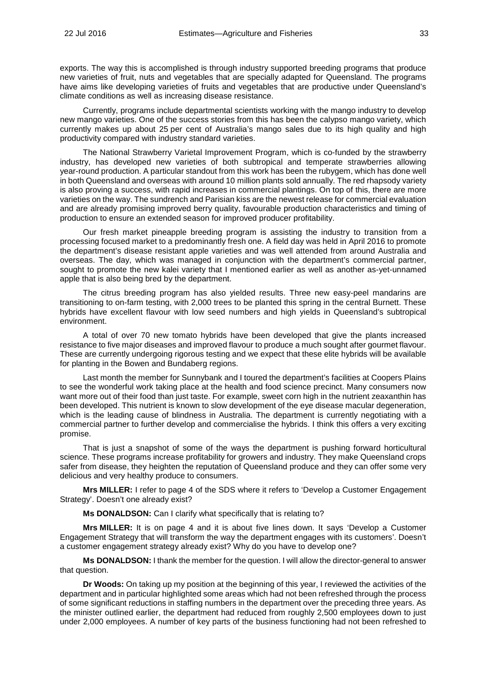exports. The way this is accomplished is through industry supported breeding programs that produce new varieties of fruit, nuts and vegetables that are specially adapted for Queensland. The programs have aims like developing varieties of fruits and vegetables that are productive under Queensland's climate conditions as well as increasing disease resistance.

Currently, programs include departmental scientists working with the mango industry to develop new mango varieties. One of the success stories from this has been the calypso mango variety, which currently makes up about 25 per cent of Australia's mango sales due to its high quality and high productivity compared with industry standard varieties.

The National Strawberry Varietal Improvement Program, which is co-funded by the strawberry industry, has developed new varieties of both subtropical and temperate strawberries allowing year-round production. A particular standout from this work has been the rubygem, which has done well in both Queensland and overseas with around 10 million plants sold annually. The red rhapsody variety is also proving a success, with rapid increases in commercial plantings. On top of this, there are more varieties on the way. The sundrench and Parisian kiss are the newest release for commercial evaluation and are already promising improved berry quality, favourable production characteristics and timing of production to ensure an extended season for improved producer profitability.

Our fresh market pineapple breeding program is assisting the industry to transition from a processing focused market to a predominantly fresh one. A field day was held in April 2016 to promote the department's disease resistant apple varieties and was well attended from around Australia and overseas. The day, which was managed in conjunction with the department's commercial partner, sought to promote the new kalei variety that I mentioned earlier as well as another as-yet-unnamed apple that is also being bred by the department.

The citrus breeding program has also yielded results. Three new easy-peel mandarins are transitioning to on-farm testing, with 2,000 trees to be planted this spring in the central Burnett. These hybrids have excellent flavour with low seed numbers and high yields in Queensland's subtropical environment.

A total of over 70 new tomato hybrids have been developed that give the plants increased resistance to five major diseases and improved flavour to produce a much sought after gourmet flavour. These are currently undergoing rigorous testing and we expect that these elite hybrids will be available for planting in the Bowen and Bundaberg regions.

Last month the member for Sunnybank and I toured the department's facilities at Coopers Plains to see the wonderful work taking place at the health and food science precinct. Many consumers now want more out of their food than just taste. For example, sweet corn high in the nutrient zeaxanthin has been developed. This nutrient is known to slow development of the eye disease macular degeneration, which is the leading cause of blindness in Australia. The department is currently negotiating with a commercial partner to further develop and commercialise the hybrids. I think this offers a very exciting promise.

That is just a snapshot of some of the ways the department is pushing forward horticultural science. These programs increase profitability for growers and industry. They make Queensland crops safer from disease, they heighten the reputation of Queensland produce and they can offer some very delicious and very healthy produce to consumers.

**Mrs MILLER:** I refer to page 4 of the SDS where it refers to 'Develop a Customer Engagement Strategy'. Doesn't one already exist?

**Ms DONALDSON:** Can I clarify what specifically that is relating to?

**Mrs MILLER:** It is on page 4 and it is about five lines down. It says 'Develop a Customer Engagement Strategy that will transform the way the department engages with its customers'. Doesn't a customer engagement strategy already exist? Why do you have to develop one?

**Ms DONALDSON:** I thank the member for the question. I will allow the director-general to answer that question.

**Dr Woods:** On taking up my position at the beginning of this year, I reviewed the activities of the department and in particular highlighted some areas which had not been refreshed through the process of some significant reductions in staffing numbers in the department over the preceding three years. As the minister outlined earlier, the department had reduced from roughly 2,500 employees down to just under 2,000 employees. A number of key parts of the business functioning had not been refreshed to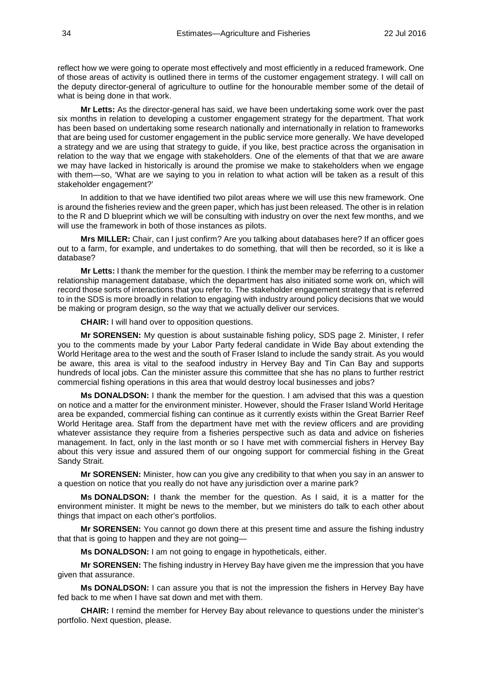reflect how we were going to operate most effectively and most efficiently in a reduced framework. One of those areas of activity is outlined there in terms of the customer engagement strategy. I will call on the deputy director-general of agriculture to outline for the honourable member some of the detail of what is being done in that work.

**Mr Letts:** As the director-general has said, we have been undertaking some work over the past six months in relation to developing a customer engagement strategy for the department. That work has been based on undertaking some research nationally and internationally in relation to frameworks that are being used for customer engagement in the public service more generally. We have developed a strategy and we are using that strategy to guide, if you like, best practice across the organisation in relation to the way that we engage with stakeholders. One of the elements of that that we are aware we may have lacked in historically is around the promise we make to stakeholders when we engage with them—so, 'What are we saying to you in relation to what action will be taken as a result of this stakeholder engagement?'

In addition to that we have identified two pilot areas where we will use this new framework. One is around the fisheries review and the green paper, which has just been released. The other is in relation to the R and D blueprint which we will be consulting with industry on over the next few months, and we will use the framework in both of those instances as pilots.

**Mrs MILLER:** Chair, can I just confirm? Are you talking about databases here? If an officer goes out to a farm, for example, and undertakes to do something, that will then be recorded, so it is like a database?

**Mr Letts:** I thank the member for the question. I think the member may be referring to a customer relationship management database, which the department has also initiated some work on, which will record those sorts of interactions that you refer to. The stakeholder engagement strategy that is referred to in the SDS is more broadly in relation to engaging with industry around policy decisions that we would be making or program design, so the way that we actually deliver our services.

**CHAIR:** I will hand over to opposition questions.

**Mr SORENSEN:** My question is about sustainable fishing policy, SDS page 2. Minister, I refer you to the comments made by your Labor Party federal candidate in Wide Bay about extending the World Heritage area to the west and the south of Fraser Island to include the sandy strait. As you would be aware, this area is vital to the seafood industry in Hervey Bay and Tin Can Bay and supports hundreds of local jobs. Can the minister assure this committee that she has no plans to further restrict commercial fishing operations in this area that would destroy local businesses and jobs?

**Ms DONALDSON:** I thank the member for the question. I am advised that this was a question on notice and a matter for the environment minister. However, should the Fraser Island World Heritage area be expanded, commercial fishing can continue as it currently exists within the Great Barrier Reef World Heritage area. Staff from the department have met with the review officers and are providing whatever assistance they require from a fisheries perspective such as data and advice on fisheries management. In fact, only in the last month or so I have met with commercial fishers in Hervey Bay about this very issue and assured them of our ongoing support for commercial fishing in the Great Sandy Strait.

**Mr SORENSEN:** Minister, how can you give any credibility to that when you say in an answer to a question on notice that you really do not have any jurisdiction over a marine park?

**Ms DONALDSON:** I thank the member for the question. As I said, it is a matter for the environment minister. It might be news to the member, but we ministers do talk to each other about things that impact on each other's portfolios.

**Mr SORENSEN:** You cannot go down there at this present time and assure the fishing industry that that is going to happen and they are not going—

**Ms DONALDSON:** I am not going to engage in hypotheticals, either.

**Mr SORENSEN:** The fishing industry in Hervey Bay have given me the impression that you have given that assurance.

**Ms DONALDSON:** I can assure you that is not the impression the fishers in Hervey Bay have fed back to me when I have sat down and met with them.

**CHAIR:** I remind the member for Hervey Bay about relevance to questions under the minister's portfolio. Next question, please.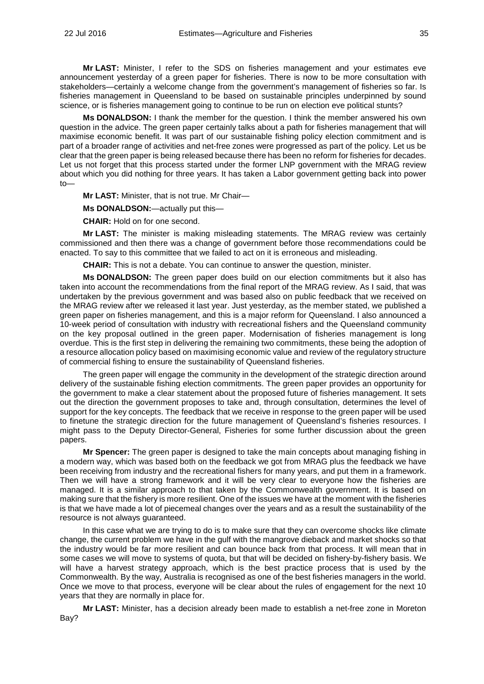**Mr LAST:** Minister, I refer to the SDS on fisheries management and your estimates eve announcement yesterday of a green paper for fisheries. There is now to be more consultation with stakeholders—certainly a welcome change from the government's management of fisheries so far. Is fisheries management in Queensland to be based on sustainable principles underpinned by sound science, or is fisheries management going to continue to be run on election eve political stunts?

**Ms DONALDSON:** I thank the member for the question. I think the member answered his own question in the advice. The green paper certainly talks about a path for fisheries management that will maximise economic benefit. It was part of our sustainable fishing policy election commitment and is part of a broader range of activities and net-free zones were progressed as part of the policy. Let us be clear that the green paper is being released because there has been no reform for fisheries for decades. Let us not forget that this process started under the former LNP government with the MRAG review about which you did nothing for three years. It has taken a Labor government getting back into power to—

**Mr LAST:** Minister, that is not true. Mr Chair—

**Ms DONALDSON:**—actually put this—

**CHAIR:** Hold on for one second.

**Mr LAST:** The minister is making misleading statements. The MRAG review was certainly commissioned and then there was a change of government before those recommendations could be enacted. To say to this committee that we failed to act on it is erroneous and misleading.

**CHAIR:** This is not a debate. You can continue to answer the question, minister.

**Ms DONALDSON:** The green paper does build on our election commitments but it also has taken into account the recommendations from the final report of the MRAG review. As I said, that was undertaken by the previous government and was based also on public feedback that we received on the MRAG review after we released it last year. Just yesterday, as the member stated, we published a green paper on fisheries management, and this is a major reform for Queensland. I also announced a 10-week period of consultation with industry with recreational fishers and the Queensland community on the key proposal outlined in the green paper. Modernisation of fisheries management is long overdue. This is the first step in delivering the remaining two commitments, these being the adoption of a resource allocation policy based on maximising economic value and review of the regulatory structure of commercial fishing to ensure the sustainability of Queensland fisheries.

The green paper will engage the community in the development of the strategic direction around delivery of the sustainable fishing election commitments. The green paper provides an opportunity for the government to make a clear statement about the proposed future of fisheries management. It sets out the direction the government proposes to take and, through consultation, determines the level of support for the key concepts. The feedback that we receive in response to the green paper will be used to finetune the strategic direction for the future management of Queensland's fisheries resources. I might pass to the Deputy Director-General, Fisheries for some further discussion about the green papers.

**Mr Spencer:** The green paper is designed to take the main concepts about managing fishing in a modern way, which was based both on the feedback we got from MRAG plus the feedback we have been receiving from industry and the recreational fishers for many years, and put them in a framework. Then we will have a strong framework and it will be very clear to everyone how the fisheries are managed. It is a similar approach to that taken by the Commonwealth government. It is based on making sure that the fishery is more resilient. One of the issues we have at the moment with the fisheries is that we have made a lot of piecemeal changes over the years and as a result the sustainability of the resource is not always guaranteed.

In this case what we are trying to do is to make sure that they can overcome shocks like climate change, the current problem we have in the gulf with the mangrove dieback and market shocks so that the industry would be far more resilient and can bounce back from that process. It will mean that in some cases we will move to systems of quota, but that will be decided on fishery-by-fishery basis. We will have a harvest strategy approach, which is the best practice process that is used by the Commonwealth. By the way, Australia is recognised as one of the best fisheries managers in the world. Once we move to that process, everyone will be clear about the rules of engagement for the next 10 years that they are normally in place for.

**Mr LAST:** Minister, has a decision already been made to establish a net-free zone in Moreton Bay?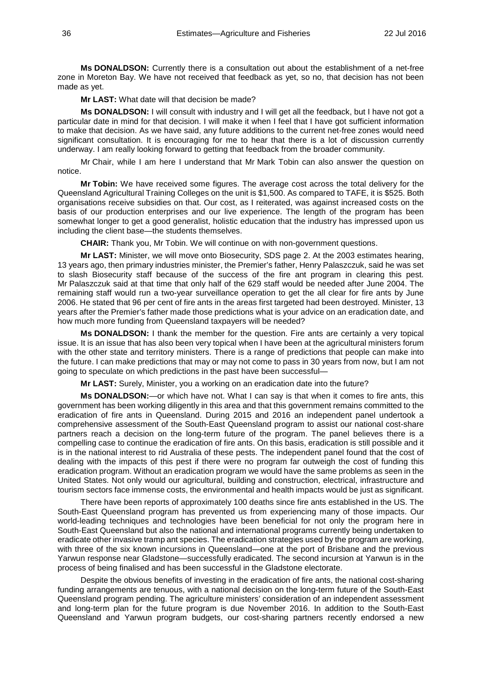**Ms DONALDSON:** Currently there is a consultation out about the establishment of a net-free zone in Moreton Bay. We have not received that feedback as yet, so no, that decision has not been made as yet.

**Mr LAST:** What date will that decision be made?

**Ms DONALDSON:** I will consult with industry and I will get all the feedback, but I have not got a particular date in mind for that decision. I will make it when I feel that I have got sufficient information to make that decision. As we have said, any future additions to the current net-free zones would need significant consultation. It is encouraging for me to hear that there is a lot of discussion currently underway. I am really looking forward to getting that feedback from the broader community.

Mr Chair, while I am here I understand that Mr Mark Tobin can also answer the question on notice.

**Mr Tobin:** We have received some figures. The average cost across the total delivery for the Queensland Agricultural Training Colleges on the unit is \$1,500. As compared to TAFE, it is \$525. Both organisations receive subsidies on that. Our cost, as I reiterated, was against increased costs on the basis of our production enterprises and our live experience. The length of the program has been somewhat longer to get a good generalist, holistic education that the industry has impressed upon us including the client base—the students themselves.

**CHAIR:** Thank you, Mr Tobin. We will continue on with non-government questions.

**Mr LAST:** Minister, we will move onto Biosecurity, SDS page 2. At the 2003 estimates hearing, 13 years ago, then primary industries minister, the Premier's father, Henry Palaszczuk, said he was set to slash Biosecurity staff because of the success of the fire ant program in clearing this pest. Mr Palaszczuk said at that time that only half of the 629 staff would be needed after June 2004. The remaining staff would run a two-year surveillance operation to get the all clear for fire ants by June 2006. He stated that 96 per cent of fire ants in the areas first targeted had been destroyed. Minister, 13 years after the Premier's father made those predictions what is your advice on an eradication date, and how much more funding from Queensland taxpayers will be needed?

**Ms DONALDSON:** I thank the member for the question. Fire ants are certainly a very topical issue. It is an issue that has also been very topical when I have been at the agricultural ministers forum with the other state and territory ministers. There is a range of predictions that people can make into the future. I can make predictions that may or may not come to pass in 30 years from now, but I am not going to speculate on which predictions in the past have been successful—

**Mr LAST:** Surely, Minister, you a working on an eradication date into the future?

**Ms DONALDSON:**—or which have not. What I can say is that when it comes to fire ants, this government has been working diligently in this area and that this government remains committed to the eradication of fire ants in Queensland. During 2015 and 2016 an independent panel undertook a comprehensive assessment of the South-East Queensland program to assist our national cost-share partners reach a decision on the long-term future of the program. The panel believes there is a compelling case to continue the eradication of fire ants. On this basis, eradication is still possible and it is in the national interest to rid Australia of these pests. The independent panel found that the cost of dealing with the impacts of this pest if there were no program far outweigh the cost of funding this eradication program. Without an eradication program we would have the same problems as seen in the United States. Not only would our agricultural, building and construction, electrical, infrastructure and tourism sectors face immense costs, the environmental and health impacts would be just as significant.

There have been reports of approximately 100 deaths since fire ants established in the US. The South-East Queensland program has prevented us from experiencing many of those impacts. Our world-leading techniques and technologies have been beneficial for not only the program here in South-East Queensland but also the national and international programs currently being undertaken to eradicate other invasive tramp ant species. The eradication strategies used by the program are working, with three of the six known incursions in Queensland—one at the port of Brisbane and the previous Yarwun response near Gladstone—successfully eradicated. The second incursion at Yarwun is in the process of being finalised and has been successful in the Gladstone electorate.

Despite the obvious benefits of investing in the eradication of fire ants, the national cost-sharing funding arrangements are tenuous, with a national decision on the long-term future of the South-East Queensland program pending. The agriculture ministers' consideration of an independent assessment and long-term plan for the future program is due November 2016. In addition to the South-East Queensland and Yarwun program budgets, our cost-sharing partners recently endorsed a new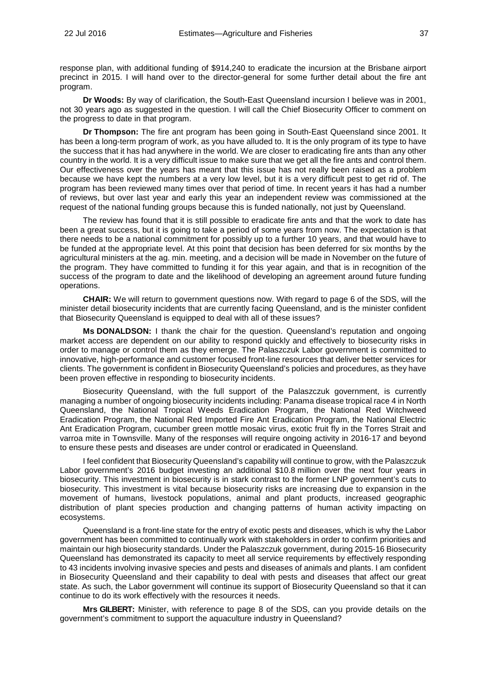response plan, with additional funding of \$914,240 to eradicate the incursion at the Brisbane airport precinct in 2015. I will hand over to the director-general for some further detail about the fire ant program.

**Dr Woods:** By way of clarification, the South-East Queensland incursion I believe was in 2001, not 30 years ago as suggested in the question. I will call the Chief Biosecurity Officer to comment on the progress to date in that program.

**Dr Thompson:** The fire ant program has been going in South-East Queensland since 2001. It has been a long-term program of work, as you have alluded to. It is the only program of its type to have the success that it has had anywhere in the world. We are closer to eradicating fire ants than any other country in the world. It is a very difficult issue to make sure that we get all the fire ants and control them. Our effectiveness over the years has meant that this issue has not really been raised as a problem because we have kept the numbers at a very low level, but it is a very difficult pest to get rid of. The program has been reviewed many times over that period of time. In recent years it has had a number of reviews, but over last year and early this year an independent review was commissioned at the request of the national funding groups because this is funded nationally, not just by Queensland.

The review has found that it is still possible to eradicate fire ants and that the work to date has been a great success, but it is going to take a period of some years from now. The expectation is that there needs to be a national commitment for possibly up to a further 10 years, and that would have to be funded at the appropriate level. At this point that decision has been deferred for six months by the agricultural ministers at the ag. min. meeting, and a decision will be made in November on the future of the program. They have committed to funding it for this year again, and that is in recognition of the success of the program to date and the likelihood of developing an agreement around future funding operations.

**CHAIR:** We will return to government questions now. With regard to page 6 of the SDS, will the minister detail biosecurity incidents that are currently facing Queensland, and is the minister confident that Biosecurity Queensland is equipped to deal with all of these issues?

**Ms DONALDSON:** I thank the chair for the question. Queensland's reputation and ongoing market access are dependent on our ability to respond quickly and effectively to biosecurity risks in order to manage or control them as they emerge. The Palaszczuk Labor government is committed to innovative, high-performance and customer focused front-line resources that deliver better services for clients. The government is confident in Biosecurity Queensland's policies and procedures, as they have been proven effective in responding to biosecurity incidents.

Biosecurity Queensland, with the full support of the Palaszczuk government, is currently managing a number of ongoing biosecurity incidents including: Panama disease tropical race 4 in North Queensland, the National Tropical Weeds Eradication Program, the National Red Witchweed Eradication Program, the National Red Imported Fire Ant Eradication Program, the National Electric Ant Eradication Program, cucumber green mottle mosaic virus, exotic fruit fly in the Torres Strait and varroa mite in Townsville. Many of the responses will require ongoing activity in 2016-17 and beyond to ensure these pests and diseases are under control or eradicated in Queensland.

I feel confident that Biosecurity Queensland's capability will continue to grow, with the Palaszczuk Labor government's 2016 budget investing an additional \$10.8 million over the next four years in biosecurity. This investment in biosecurity is in stark contrast to the former LNP government's cuts to biosecurity. This investment is vital because biosecurity risks are increasing due to expansion in the movement of humans, livestock populations, animal and plant products, increased geographic distribution of plant species production and changing patterns of human activity impacting on ecosystems.

Queensland is a front-line state for the entry of exotic pests and diseases, which is why the Labor government has been committed to continually work with stakeholders in order to confirm priorities and maintain our high biosecurity standards. Under the Palaszczuk government, during 2015-16 Biosecurity Queensland has demonstrated its capacity to meet all service requirements by effectively responding to 43 incidents involving invasive species and pests and diseases of animals and plants. I am confident in Biosecurity Queensland and their capability to deal with pests and diseases that affect our great state. As such, the Labor government will continue its support of Biosecurity Queensland so that it can continue to do its work effectively with the resources it needs.

**Mrs GILBERT:** Minister, with reference to page 8 of the SDS, can you provide details on the government's commitment to support the aquaculture industry in Queensland?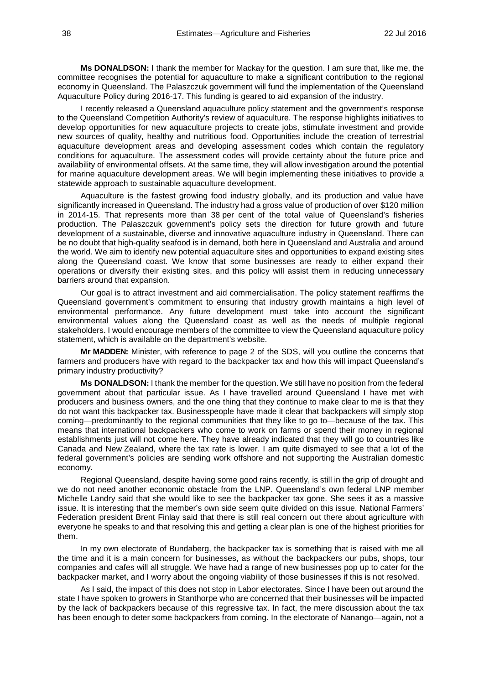**Ms DONALDSON:** I thank the member for Mackay for the question. I am sure that, like me, the committee recognises the potential for aquaculture to make a significant contribution to the regional economy in Queensland. The Palaszczuk government will fund the implementation of the Queensland Aquaculture Policy during 2016-17. This funding is geared to aid expansion of the industry.

I recently released a Queensland aquaculture policy statement and the government's response to the Queensland Competition Authority's review of aquaculture. The response highlights initiatives to develop opportunities for new aquaculture projects to create jobs, stimulate investment and provide new sources of quality, healthy and nutritious food. Opportunities include the creation of terrestrial aquaculture development areas and developing assessment codes which contain the regulatory conditions for aquaculture. The assessment codes will provide certainty about the future price and availability of environmental offsets. At the same time, they will allow investigation around the potential for marine aquaculture development areas. We will begin implementing these initiatives to provide a statewide approach to sustainable aquaculture development.

Aquaculture is the fastest growing food industry globally, and its production and value have significantly increased in Queensland. The industry had a gross value of production of over \$120 million in 2014-15. That represents more than 38 per cent of the total value of Queensland's fisheries production. The Palaszczuk government's policy sets the direction for future growth and future development of a sustainable, diverse and innovative aquaculture industry in Queensland. There can be no doubt that high-quality seafood is in demand, both here in Queensland and Australia and around the world. We aim to identify new potential aquaculture sites and opportunities to expand existing sites along the Queensland coast. We know that some businesses are ready to either expand their operations or diversify their existing sites, and this policy will assist them in reducing unnecessary barriers around that expansion.

Our goal is to attract investment and aid commercialisation. The policy statement reaffirms the Queensland government's commitment to ensuring that industry growth maintains a high level of environmental performance. Any future development must take into account the significant environmental values along the Queensland coast as well as the needs of multiple regional stakeholders. I would encourage members of the committee to view the Queensland aquaculture policy statement, which is available on the department's website.

**Mr MADDEN:** Minister, with reference to page 2 of the SDS, will you outline the concerns that farmers and producers have with regard to the backpacker tax and how this will impact Queensland's primary industry productivity?

**Ms DONALDSON:** I thank the member for the question. We still have no position from the federal government about that particular issue. As I have travelled around Queensland I have met with producers and business owners, and the one thing that they continue to make clear to me is that they do not want this backpacker tax. Businesspeople have made it clear that backpackers will simply stop coming—predominantly to the regional communities that they like to go to—because of the tax. This means that international backpackers who come to work on farms or spend their money in regional establishments just will not come here. They have already indicated that they will go to countries like Canada and New Zealand, where the tax rate is lower. I am quite dismayed to see that a lot of the federal government's policies are sending work offshore and not supporting the Australian domestic economy.

Regional Queensland, despite having some good rains recently, is still in the grip of drought and we do not need another economic obstacle from the LNP. Queensland's own federal LNP member Michelle Landry said that she would like to see the backpacker tax gone. She sees it as a massive issue. It is interesting that the member's own side seem quite divided on this issue. National Farmers' Federation president Brent Finlay said that there is still real concern out there about agriculture with everyone he speaks to and that resolving this and getting a clear plan is one of the highest priorities for them.

In my own electorate of Bundaberg, the backpacker tax is something that is raised with me all the time and it is a main concern for businesses, as without the backpackers our pubs, shops, tour companies and cafes will all struggle. We have had a range of new businesses pop up to cater for the backpacker market, and I worry about the ongoing viability of those businesses if this is not resolved.

As I said, the impact of this does not stop in Labor electorates. Since I have been out around the state I have spoken to growers in Stanthorpe who are concerned that their businesses will be impacted by the lack of backpackers because of this regressive tax. In fact, the mere discussion about the tax has been enough to deter some backpackers from coming. In the electorate of Nanango—again, not a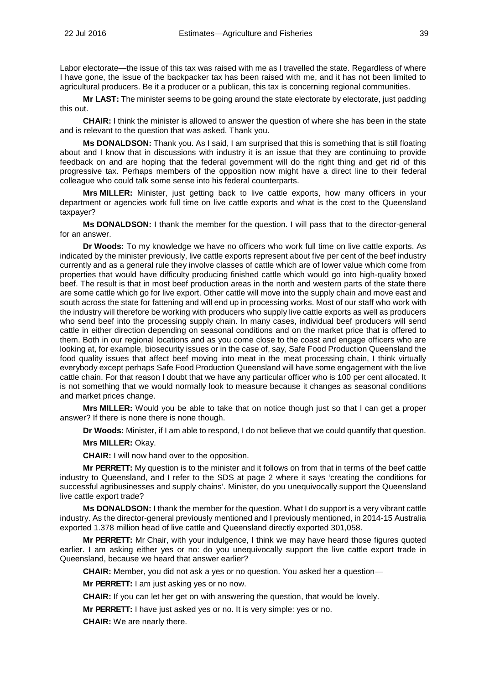Labor electorate—the issue of this tax was raised with me as I travelled the state. Regardless of where I have gone, the issue of the backpacker tax has been raised with me, and it has not been limited to agricultural producers. Be it a producer or a publican, this tax is concerning regional communities.

**Mr LAST:** The minister seems to be going around the state electorate by electorate, just padding this out.

**CHAIR:** I think the minister is allowed to answer the question of where she has been in the state and is relevant to the question that was asked. Thank you.

**Ms DONALDSON:** Thank you. As I said, I am surprised that this is something that is still floating about and I know that in discussions with industry it is an issue that they are continuing to provide feedback on and are hoping that the federal government will do the right thing and get rid of this progressive tax. Perhaps members of the opposition now might have a direct line to their federal colleague who could talk some sense into his federal counterparts.

**Mrs MILLER:** Minister, just getting back to live cattle exports, how many officers in your department or agencies work full time on live cattle exports and what is the cost to the Queensland taxpayer?

**Ms DONALDSON:** I thank the member for the question. I will pass that to the director-general for an answer.

**Dr Woods:** To my knowledge we have no officers who work full time on live cattle exports. As indicated by the minister previously, live cattle exports represent about five per cent of the beef industry currently and as a general rule they involve classes of cattle which are of lower value which come from properties that would have difficulty producing finished cattle which would go into high-quality boxed beef. The result is that in most beef production areas in the north and western parts of the state there are some cattle which go for live export. Other cattle will move into the supply chain and move east and south across the state for fattening and will end up in processing works. Most of our staff who work with the industry will therefore be working with producers who supply live cattle exports as well as producers who send beef into the processing supply chain. In many cases, individual beef producers will send cattle in either direction depending on seasonal conditions and on the market price that is offered to them. Both in our regional locations and as you come close to the coast and engage officers who are looking at, for example, biosecurity issues or in the case of, say, Safe Food Production Queensland the food quality issues that affect beef moving into meat in the meat processing chain, I think virtually everybody except perhaps Safe Food Production Queensland will have some engagement with the live cattle chain. For that reason I doubt that we have any particular officer who is 100 per cent allocated. It is not something that we would normally look to measure because it changes as seasonal conditions and market prices change.

**Mrs MILLER:** Would you be able to take that on notice though just so that I can get a proper answer? If there is none there is none though.

**Dr Woods:** Minister, if I am able to respond, I do not believe that we could quantify that question.

**Mrs MILLER:** Okay.

**CHAIR:** I will now hand over to the opposition.

**Mr PERRETT:** My question is to the minister and it follows on from that in terms of the beef cattle industry to Queensland, and I refer to the SDS at page 2 where it says 'creating the conditions for successful agribusinesses and supply chains'. Minister, do you unequivocally support the Queensland live cattle export trade?

**Ms DONALDSON:** I thank the member for the question. What I do support is a very vibrant cattle industry. As the director-general previously mentioned and I previously mentioned, in 2014-15 Australia exported 1.378 million head of live cattle and Queensland directly exported 301,058.

**Mr PERRETT:** Mr Chair, with your indulgence, I think we may have heard those figures quoted earlier. I am asking either yes or no: do you unequivocally support the live cattle export trade in Queensland, because we heard that answer earlier?

**CHAIR:** Member, you did not ask a yes or no question. You asked her a question—

**Mr PERRETT:** I am just asking yes or no now.

**CHAIR:** If you can let her get on with answering the question, that would be lovely.

**Mr PERRETT:** I have just asked yes or no. It is very simple: yes or no.

**CHAIR:** We are nearly there.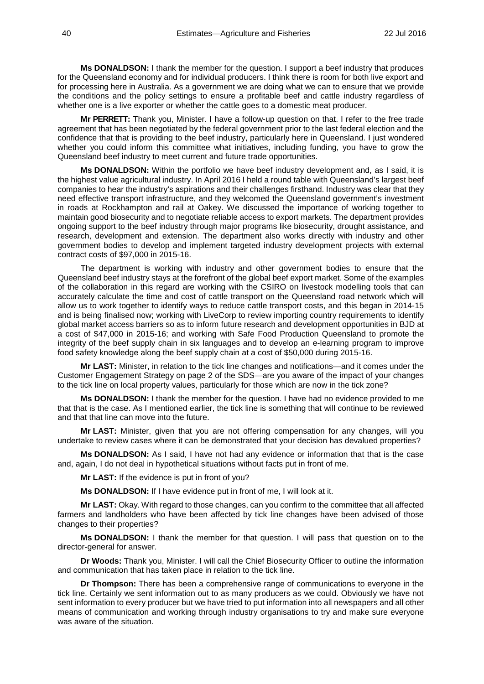**Ms DONALDSON:** I thank the member for the question. I support a beef industry that produces for the Queensland economy and for individual producers. I think there is room for both live export and for processing here in Australia. As a government we are doing what we can to ensure that we provide the conditions and the policy settings to ensure a profitable beef and cattle industry regardless of whether one is a live exporter or whether the cattle goes to a domestic meat producer.

**Mr PERRETT:** Thank you, Minister. I have a follow-up question on that. I refer to the free trade agreement that has been negotiated by the federal government prior to the last federal election and the confidence that that is providing to the beef industry, particularly here in Queensland. I just wondered whether you could inform this committee what initiatives, including funding, you have to grow the Queensland beef industry to meet current and future trade opportunities.

**Ms DONALDSON:** Within the portfolio we have beef industry development and, as I said, it is the highest value agricultural industry. In April 2016 I held a round table with Queensland's largest beef companies to hear the industry's aspirations and their challenges firsthand. Industry was clear that they need effective transport infrastructure, and they welcomed the Queensland government's investment in roads at Rockhampton and rail at Oakey. We discussed the importance of working together to maintain good biosecurity and to negotiate reliable access to export markets. The department provides ongoing support to the beef industry through major programs like biosecurity, drought assistance, and research, development and extension. The department also works directly with industry and other government bodies to develop and implement targeted industry development projects with external contract costs of \$97,000 in 2015-16.

The department is working with industry and other government bodies to ensure that the Queensland beef industry stays at the forefront of the global beef export market. Some of the examples of the collaboration in this regard are working with the CSIRO on livestock modelling tools that can accurately calculate the time and cost of cattle transport on the Queensland road network which will allow us to work together to identify ways to reduce cattle transport costs, and this began in 2014-15 and is being finalised now; working with LiveCorp to review importing country requirements to identify global market access barriers so as to inform future research and development opportunities in BJD at a cost of \$47,000 in 2015-16; and working with Safe Food Production Queensland to promote the integrity of the beef supply chain in six languages and to develop an e-learning program to improve food safety knowledge along the beef supply chain at a cost of \$50,000 during 2015-16.

**Mr LAST:** Minister, in relation to the tick line changes and notifications—and it comes under the Customer Engagement Strategy on page 2 of the SDS—are you aware of the impact of your changes to the tick line on local property values, particularly for those which are now in the tick zone?

**Ms DONALDSON:** I thank the member for the question. I have had no evidence provided to me that that is the case. As I mentioned earlier, the tick line is something that will continue to be reviewed and that that line can move into the future.

**Mr LAST:** Minister, given that you are not offering compensation for any changes, will you undertake to review cases where it can be demonstrated that your decision has devalued properties?

**Ms DONALDSON:** As I said, I have not had any evidence or information that that is the case and, again, I do not deal in hypothetical situations without facts put in front of me.

**Mr LAST:** If the evidence is put in front of you?

**Ms DONALDSON:** If I have evidence put in front of me, I will look at it.

**Mr LAST:** Okay. With regard to those changes, can you confirm to the committee that all affected farmers and landholders who have been affected by tick line changes have been advised of those changes to their properties?

**Ms DONALDSON:** I thank the member for that question. I will pass that question on to the director-general for answer.

**Dr Woods:** Thank you, Minister. I will call the Chief Biosecurity Officer to outline the information and communication that has taken place in relation to the tick line.

**Dr Thompson:** There has been a comprehensive range of communications to everyone in the tick line. Certainly we sent information out to as many producers as we could. Obviously we have not sent information to every producer but we have tried to put information into all newspapers and all other means of communication and working through industry organisations to try and make sure everyone was aware of the situation.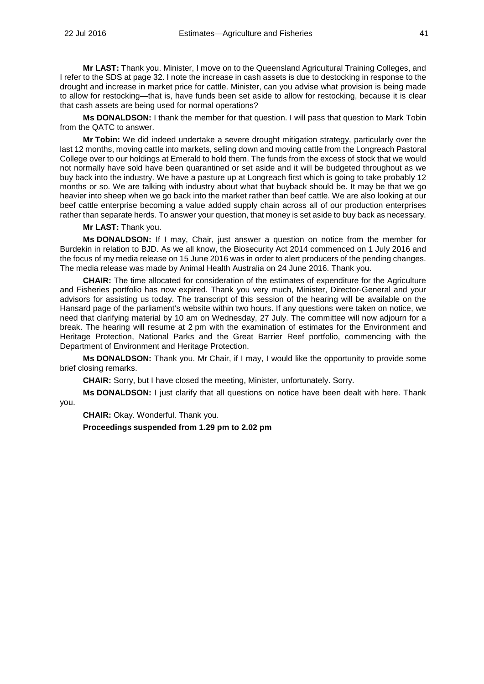**Mr LAST:** Thank you. Minister, I move on to the Queensland Agricultural Training Colleges, and I refer to the SDS at page 32. I note the increase in cash assets is due to destocking in response to the drought and increase in market price for cattle. Minister, can you advise what provision is being made to allow for restocking—that is, have funds been set aside to allow for restocking, because it is clear that cash assets are being used for normal operations?

**Ms DONALDSON:** I thank the member for that question. I will pass that question to Mark Tobin from the QATC to answer.

**Mr Tobin:** We did indeed undertake a severe drought mitigation strategy, particularly over the last 12 months, moving cattle into markets, selling down and moving cattle from the Longreach Pastoral College over to our holdings at Emerald to hold them. The funds from the excess of stock that we would not normally have sold have been quarantined or set aside and it will be budgeted throughout as we buy back into the industry. We have a pasture up at Longreach first which is going to take probably 12 months or so. We are talking with industry about what that buyback should be. It may be that we go heavier into sheep when we go back into the market rather than beef cattle. We are also looking at our beef cattle enterprise becoming a value added supply chain across all of our production enterprises rather than separate herds. To answer your question, that money is set aside to buy back as necessary.

**Mr LAST:** Thank you.

**Ms DONALDSON:** If I may, Chair, just answer a question on notice from the member for Burdekin in relation to BJD. As we all know, the Biosecurity Act 2014 commenced on 1 July 2016 and the focus of my media release on 15 June 2016 was in order to alert producers of the pending changes. The media release was made by Animal Health Australia on 24 June 2016. Thank you.

**CHAIR:** The time allocated for consideration of the estimates of expenditure for the Agriculture and Fisheries portfolio has now expired. Thank you very much, Minister, Director-General and your advisors for assisting us today. The transcript of this session of the hearing will be available on the Hansard page of the parliament's website within two hours. If any questions were taken on notice, we need that clarifying material by 10 am on Wednesday, 27 July. The committee will now adjourn for a break. The hearing will resume at 2 pm with the examination of estimates for the Environment and Heritage Protection, National Parks and the Great Barrier Reef portfolio, commencing with the Department of Environment and Heritage Protection.

**Ms DONALDSON:** Thank you. Mr Chair, if I may, I would like the opportunity to provide some brief closing remarks.

**CHAIR:** Sorry, but I have closed the meeting, Minister, unfortunately. Sorry.

**Ms DONALDSON:** I just clarify that all questions on notice have been dealt with here. Thank you.

**CHAIR:** Okay. Wonderful. Thank you.

**Proceedings suspended from 1.29 pm to 2.02 pm**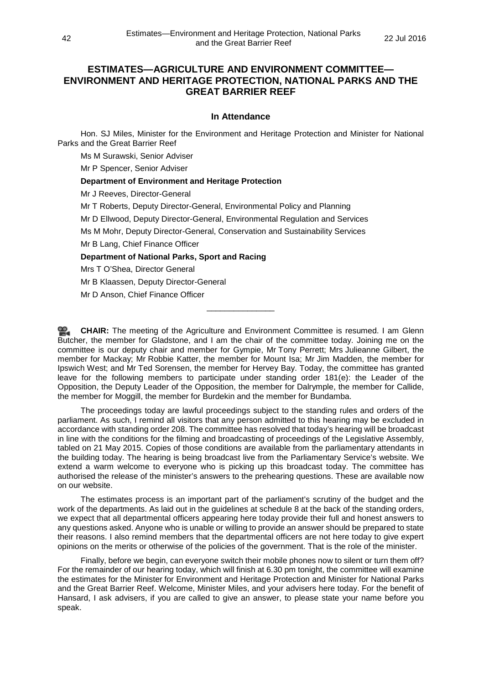# **ESTIMATES—AGRICULTURE AND ENVIRONMENT COMMITTEE— ENVIRONMENT AND HERITAGE PROTECTION, NATIONAL PARKS AND THE GREAT BARRIER REEF**

## **In Attendance**

Hon. SJ Miles, Minister for the Environment and Heritage Protection and Minister for National Parks and the Great Barrier Reef

Ms M Surawski, Senior Adviser

Mr P Spencer, Senior Adviser

# **Department of Environment and Heritage Protection**

Mr J Reeves, Director-General

Mr T Roberts, Deputy Director-General, Environmental Policy and Planning

Mr D Ellwood, Deputy Director-General, Environmental Regulation and Services

Ms M Mohr, Deputy Director-General, Conservation and Sustainability Services

Mr B Lang, Chief Finance Officer

**Department of National Parks, Sport and Racing**

Mrs T O'Shea, Director General

Mr B Klaassen, Deputy Director-General

Mr D Anson, Chief Finance Officer

**[CHAIR:](http://www.parliament.qld.gov.au/docs/find.aspx?id=0Mba20160722_140331)** The meeting of the Agriculture and Environment Committee is resumed. I am Glenn Butcher, the member for Gladstone, and I am the chair of the committee today. Joining me on the committee is our deputy chair and member for Gympie, Mr Tony Perrett; Mrs Julieanne Gilbert, the member for Mackay; Mr Robbie Katter, the member for Mount Isa; Mr Jim Madden, the member for Ipswich West; and Mr Ted Sorensen, the member for Hervey Bay. Today, the committee has granted leave for the following members to participate under standing order 181(e): the Leader of the Opposition, the Deputy Leader of the Opposition, the member for Dalrymple, the member for Callide, the member for Moggill, the member for Burdekin and the member for Bundamba.

\_\_\_\_\_\_\_\_\_\_\_\_\_\_\_

The proceedings today are lawful proceedings subject to the standing rules and orders of the parliament. As such, I remind all visitors that any person admitted to this hearing may be excluded in accordance with standing order 208. The committee has resolved that today's hearing will be broadcast in line with the conditions for the filming and broadcasting of proceedings of the Legislative Assembly, tabled on 21 May 2015. Copies of those conditions are available from the parliamentary attendants in the building today. The hearing is being broadcast live from the Parliamentary Service's website. We extend a warm welcome to everyone who is picking up this broadcast today. The committee has authorised the release of the minister's answers to the prehearing questions. These are available now on our website.

The estimates process is an important part of the parliament's scrutiny of the budget and the work of the departments. As laid out in the guidelines at schedule 8 at the back of the standing orders, we expect that all departmental officers appearing here today provide their full and honest answers to any questions asked. Anyone who is unable or willing to provide an answer should be prepared to state their reasons. I also remind members that the departmental officers are not here today to give expert opinions on the merits or otherwise of the policies of the government. That is the role of the minister.

Finally, before we begin, can everyone switch their mobile phones now to silent or turn them off? For the remainder of our hearing today, which will finish at 6.30 pm tonight, the committee will examine the estimates for the Minister for Environment and Heritage Protection and Minister for National Parks and the Great Barrier Reef. Welcome, Minister Miles, and your advisers here today. For the benefit of Hansard, I ask advisers, if you are called to give an answer, to please state your name before you speak.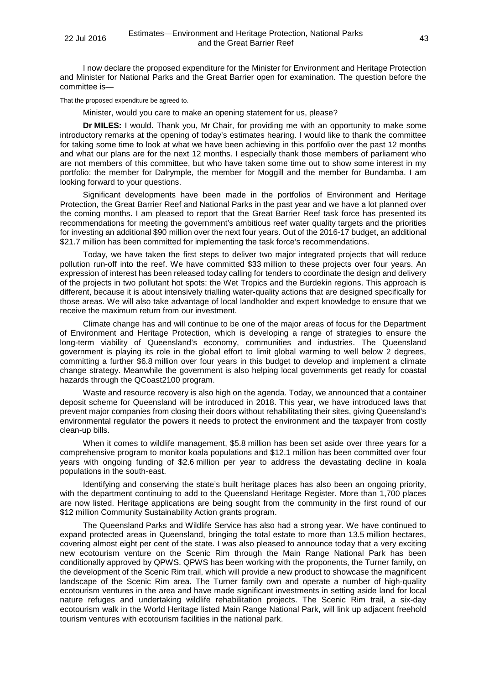I now declare the proposed expenditure for the Minister for Environment and Heritage Protection and Minister for National Parks and the Great Barrier open for examination. The question before the committee is—

That the proposed expenditure be agreed to.

Minister, would you care to make an opening statement for us, please?

**Dr MILES:** I would. Thank you, Mr Chair, for providing me with an opportunity to make some introductory remarks at the opening of today's estimates hearing. I would like to thank the committee for taking some time to look at what we have been achieving in this portfolio over the past 12 months and what our plans are for the next 12 months. I especially thank those members of parliament who are not members of this committee, but who have taken some time out to show some interest in my portfolio: the member for Dalrymple, the member for Moggill and the member for Bundamba. I am looking forward to your questions.

Significant developments have been made in the portfolios of Environment and Heritage Protection, the Great Barrier Reef and National Parks in the past year and we have a lot planned over the coming months. I am pleased to report that the Great Barrier Reef task force has presented its recommendations for meeting the government's ambitious reef water quality targets and the priorities for investing an additional \$90 million over the next four years. Out of the 2016-17 budget, an additional \$21.7 million has been committed for implementing the task force's recommendations.

Today, we have taken the first steps to deliver two major integrated projects that will reduce pollution run-off into the reef. We have committed \$33 million to these projects over four years. An expression of interest has been released today calling for tenders to coordinate the design and delivery of the projects in two pollutant hot spots: the Wet Tropics and the Burdekin regions. This approach is different, because it is about intensively trialling water-quality actions that are designed specifically for those areas. We will also take advantage of local landholder and expert knowledge to ensure that we receive the maximum return from our investment.

Climate change has and will continue to be one of the major areas of focus for the Department of Environment and Heritage Protection, which is developing a range of strategies to ensure the long-term viability of Queensland's economy, communities and industries. The Queensland government is playing its role in the global effort to limit global warming to well below 2 degrees, committing a further \$6.8 million over four years in this budget to develop and implement a climate change strategy. Meanwhile the government is also helping local governments get ready for coastal hazards through the QCoast2100 program.

Waste and resource recovery is also high on the agenda. Today, we announced that a container deposit scheme for Queensland will be introduced in 2018. This year, we have introduced laws that prevent major companies from closing their doors without rehabilitating their sites, giving Queensland's environmental regulator the powers it needs to protect the environment and the taxpayer from costly clean-up bills.

When it comes to wildlife management, \$5.8 million has been set aside over three years for a comprehensive program to monitor koala populations and \$12.1 million has been committed over four years with ongoing funding of \$2.6 million per year to address the devastating decline in koala populations in the south-east.

Identifying and conserving the state's built heritage places has also been an ongoing priority, with the department continuing to add to the Queensland Heritage Register. More than 1,700 places are now listed. Heritage applications are being sought from the community in the first round of our \$12 million Community Sustainability Action grants program.

The Queensland Parks and Wildlife Service has also had a strong year. We have continued to expand protected areas in Queensland, bringing the total estate to more than 13.5 million hectares, covering almost eight per cent of the state. I was also pleased to announce today that a very exciting new ecotourism venture on the Scenic Rim through the Main Range National Park has been conditionally approved by QPWS. QPWS has been working with the proponents, the Turner family, on the development of the Scenic Rim trail, which will provide a new product to showcase the magnificent landscape of the Scenic Rim area. The Turner family own and operate a number of high-quality ecotourism ventures in the area and have made significant investments in setting aside land for local nature refuges and undertaking wildlife rehabilitation projects. The Scenic Rim trail, a six-day ecotourism walk in the World Heritage listed Main Range National Park, will link up adjacent freehold tourism ventures with ecotourism facilities in the national park.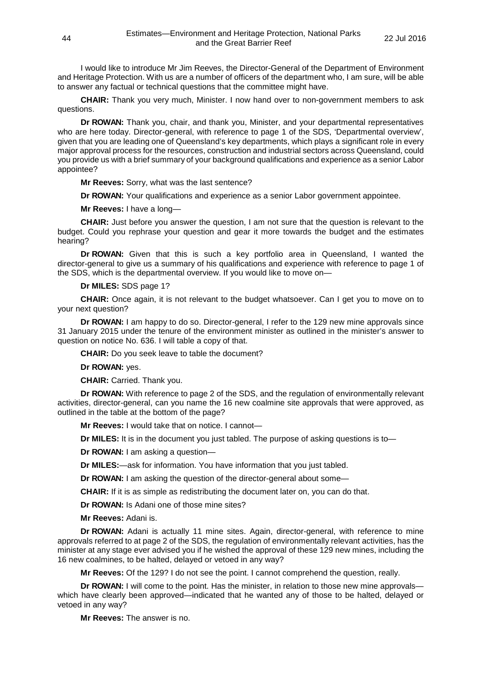I would like to introduce Mr Jim Reeves, the Director-General of the Department of Environment and Heritage Protection. With us are a number of officers of the department who, I am sure, will be able to answer any factual or technical questions that the committee might have.

**CHAIR:** Thank you very much, Minister. I now hand over to non-government members to ask questions.

**Dr ROWAN:** Thank you, chair, and thank you, Minister, and your departmental representatives who are here today. Director-general, with reference to page 1 of the SDS, 'Departmental overview', given that you are leading one of Queensland's key departments, which plays a significant role in every major approval process for the resources, construction and industrial sectors across Queensland, could you provide us with a brief summary of your background qualifications and experience as a senior Labor appointee?

**Mr Reeves:** Sorry, what was the last sentence?

**Dr ROWAN:** Your qualifications and experience as a senior Labor government appointee.

**Mr Reeves:** I have a long—

**CHAIR:** Just before you answer the question, I am not sure that the question is relevant to the budget. Could you rephrase your question and gear it more towards the budget and the estimates hearing?

**Dr ROWAN:** Given that this is such a key portfolio area in Queensland, I wanted the director-general to give us a summary of his qualifications and experience with reference to page 1 of the SDS, which is the departmental overview. If you would like to move on—

## **Dr MILES:** SDS page 1?

**CHAIR:** Once again, it is not relevant to the budget whatsoever. Can I get you to move on to your next question?

**Dr ROWAN:** I am happy to do so. Director-general, I refer to the 129 new mine approvals since 31 January 2015 under the tenure of the environment minister as outlined in the minister's answer to question on notice No. 636. I will table a copy of that.

**CHAIR:** Do you seek leave to table the document?

**Dr ROWAN:** yes.

**CHAIR:** Carried. Thank you.

**Dr ROWAN:** With reference to page 2 of the SDS, and the regulation of environmentally relevant activities, director-general, can you name the 16 new coalmine site approvals that were approved, as outlined in the table at the bottom of the page?

**Mr Reeves:** I would take that on notice. I cannot—

**Dr MILES:** It is in the document you just tabled. The purpose of asking questions is to—

**Dr ROWAN:** I am asking a question—

**Dr MILES:**—ask for information. You have information that you just tabled.

**Dr ROWAN:** I am asking the question of the director-general about some—

**CHAIR:** If it is as simple as redistributing the document later on, you can do that.

**Dr ROWAN:** Is Adani one of those mine sites?

**Mr Reeves:** Adani is.

**Dr ROWAN:** Adani is actually 11 mine sites. Again, director-general, with reference to mine approvals referred to at page 2 of the SDS, the regulation of environmentally relevant activities, has the minister at any stage ever advised you if he wished the approval of these 129 new mines, including the 16 new coalmines, to be halted, delayed or vetoed in any way?

**Mr Reeves:** Of the 129? I do not see the point. I cannot comprehend the question, really.

**Dr ROWAN:** I will come to the point. Has the minister, in relation to those new mine approvals which have clearly been approved—indicated that he wanted any of those to be halted, delayed or vetoed in any way?

**Mr Reeves:** The answer is no.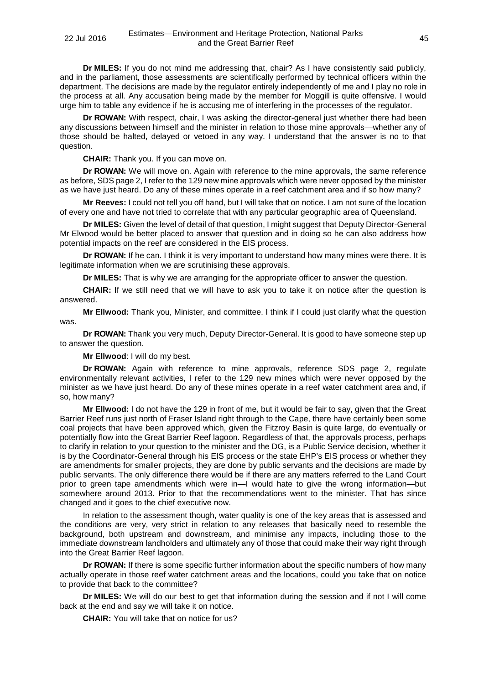**Dr MILES:** If you do not mind me addressing that, chair? As I have consistently said publicly, and in the parliament, those assessments are scientifically performed by technical officers within the department. The decisions are made by the regulator entirely independently of me and I play no role in the process at all. Any accusation being made by the member for Moggill is quite offensive. I would urge him to table any evidence if he is accusing me of interfering in the processes of the regulator.

**Dr ROWAN:** With respect, chair, I was asking the director-general just whether there had been any discussions between himself and the minister in relation to those mine approvals—whether any of those should be halted, delayed or vetoed in any way. I understand that the answer is no to that question.

**CHAIR:** Thank you. If you can move on.

**Dr ROWAN:** We will move on. Again with reference to the mine approvals, the same reference as before, SDS page 2, I refer to the 129 new mine approvals which were never opposed by the minister as we have just heard. Do any of these mines operate in a reef catchment area and if so how many?

**Mr Reeves:** I could not tell you off hand, but I will take that on notice. I am not sure of the location of every one and have not tried to correlate that with any particular geographic area of Queensland.

**Dr MILES:** Given the level of detail of that question, I might suggest that Deputy Director-General Mr Elwood would be better placed to answer that question and in doing so he can also address how potential impacts on the reef are considered in the EIS process.

**Dr ROWAN:** If he can. I think it is very important to understand how many mines were there. It is legitimate information when we are scrutinising these approvals.

**Dr MILES:** That is why we are arranging for the appropriate officer to answer the question.

**CHAIR:** If we still need that we will have to ask you to take it on notice after the question is answered.

**Mr Ellwood:** Thank you, Minister, and committee. I think if I could just clarify what the question was.

**Dr ROWAN:** Thank you very much, Deputy Director-General. It is good to have someone step up to answer the question.

**Mr Ellwood**: I will do my best.

**Dr ROWAN:** Again with reference to mine approvals, reference SDS page 2, regulate environmentally relevant activities, I refer to the 129 new mines which were never opposed by the minister as we have just heard. Do any of these mines operate in a reef water catchment area and, if so, how many?

**Mr Ellwood:** I do not have the 129 in front of me, but it would be fair to say, given that the Great Barrier Reef runs just north of Fraser Island right through to the Cape, there have certainly been some coal projects that have been approved which, given the Fitzroy Basin is quite large, do eventually or potentially flow into the Great Barrier Reef lagoon. Regardless of that, the approvals process, perhaps to clarify in relation to your question to the minister and the DG, is a Public Service decision, whether it is by the Coordinator-General through his EIS process or the state EHP's EIS process or whether they are amendments for smaller projects, they are done by public servants and the decisions are made by public servants. The only difference there would be if there are any matters referred to the Land Court prior to green tape amendments which were in—I would hate to give the wrong information—but somewhere around 2013. Prior to that the recommendations went to the minister. That has since changed and it goes to the chief executive now.

In relation to the assessment though, water quality is one of the key areas that is assessed and the conditions are very, very strict in relation to any releases that basically need to resemble the background, both upstream and downstream, and minimise any impacts, including those to the immediate downstream landholders and ultimately any of those that could make their way right through into the Great Barrier Reef lagoon.

**Dr ROWAN:** If there is some specific further information about the specific numbers of how many actually operate in those reef water catchment areas and the locations, could you take that on notice to provide that back to the committee?

**Dr MILES:** We will do our best to get that information during the session and if not I will come back at the end and say we will take it on notice.

**CHAIR:** You will take that on notice for us?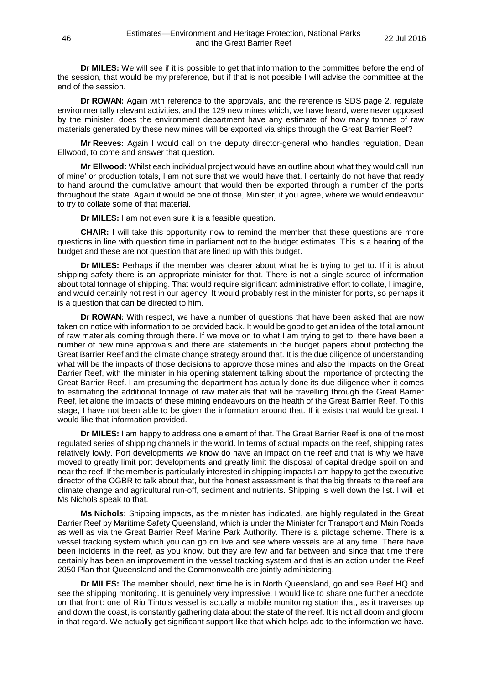**Dr MILES:** We will see if it is possible to get that information to the committee before the end of the session, that would be my preference, but if that is not possible I will advise the committee at the end of the session.

**Dr ROWAN:** Again with reference to the approvals, and the reference is SDS page 2, regulate environmentally relevant activities, and the 129 new mines which, we have heard, were never opposed by the minister, does the environment department have any estimate of how many tonnes of raw materials generated by these new mines will be exported via ships through the Great Barrier Reef?

**Mr Reeves:** Again I would call on the deputy director-general who handles regulation, Dean Ellwood, to come and answer that question.

**Mr Ellwood:** Whilst each individual project would have an outline about what they would call 'run of mine' or production totals, I am not sure that we would have that. I certainly do not have that ready to hand around the cumulative amount that would then be exported through a number of the ports throughout the state. Again it would be one of those, Minister, if you agree, where we would endeavour to try to collate some of that material.

**Dr MILES:** I am not even sure it is a feasible question.

**CHAIR:** I will take this opportunity now to remind the member that these questions are more questions in line with question time in parliament not to the budget estimates. This is a hearing of the budget and these are not question that are lined up with this budget.

**Dr MILES:** Perhaps if the member was clearer about what he is trying to get to. If it is about shipping safety there is an appropriate minister for that. There is not a single source of information about total tonnage of shipping. That would require significant administrative effort to collate, I imagine, and would certainly not rest in our agency. It would probably rest in the minister for ports, so perhaps it is a question that can be directed to him.

**Dr ROWAN:** With respect, we have a number of questions that have been asked that are now taken on notice with information to be provided back. It would be good to get an idea of the total amount of raw materials coming through there. If we move on to what I am trying to get to: there have been a number of new mine approvals and there are statements in the budget papers about protecting the Great Barrier Reef and the climate change strategy around that. It is the due diligence of understanding what will be the impacts of those decisions to approve those mines and also the impacts on the Great Barrier Reef, with the minister in his opening statement talking about the importance of protecting the Great Barrier Reef. I am presuming the department has actually done its due diligence when it comes to estimating the additional tonnage of raw materials that will be travelling through the Great Barrier Reef, let alone the impacts of these mining endeavours on the health of the Great Barrier Reef. To this stage, I have not been able to be given the information around that. If it exists that would be great. I would like that information provided.

**Dr MILES:** I am happy to address one element of that. The Great Barrier Reef is one of the most regulated series of shipping channels in the world. In terms of actual impacts on the reef, shipping rates relatively lowly. Port developments we know do have an impact on the reef and that is why we have moved to greatly limit port developments and greatly limit the disposal of capital dredge spoil on and near the reef. If the member is particularly interested in shipping impacts I am happy to get the executive director of the OGBR to talk about that, but the honest assessment is that the big threats to the reef are climate change and agricultural run-off, sediment and nutrients. Shipping is well down the list. I will let Ms Nichols speak to that.

**Ms Nichols:** Shipping impacts, as the minister has indicated, are highly regulated in the Great Barrier Reef by Maritime Safety Queensland, which is under the Minister for Transport and Main Roads as well as via the Great Barrier Reef Marine Park Authority. There is a pilotage scheme. There is a vessel tracking system which you can go on live and see where vessels are at any time. There have been incidents in the reef, as you know, but they are few and far between and since that time there certainly has been an improvement in the vessel tracking system and that is an action under the Reef 2050 Plan that Queensland and the Commonwealth are jointly administering.

**Dr MILES:** The member should, next time he is in North Queensland, go and see Reef HQ and see the shipping monitoring. It is genuinely very impressive. I would like to share one further anecdote on that front: one of Rio Tinto's vessel is actually a mobile monitoring station that, as it traverses up and down the coast, is constantly gathering data about the state of the reef. It is not all doom and gloom in that regard. We actually get significant support like that which helps add to the information we have.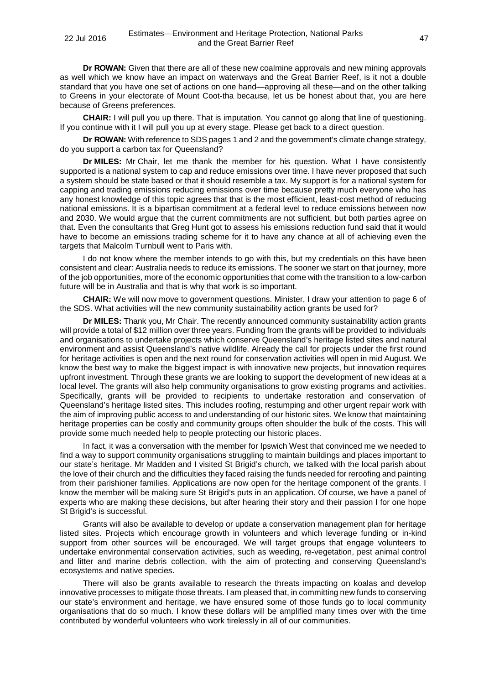**Dr ROWAN:** Given that there are all of these new coalmine approvals and new mining approvals as well which we know have an impact on waterways and the Great Barrier Reef, is it not a double standard that you have one set of actions on one hand—approving all these—and on the other talking to Greens in your electorate of Mount Coot-tha because, let us be honest about that, you are here because of Greens preferences.

**CHAIR:** I will pull you up there. That is imputation. You cannot go along that line of questioning. If you continue with it I will pull you up at every stage. Please get back to a direct question.

**Dr ROWAN:** With reference to SDS pages 1 and 2 and the government's climate change strategy, do you support a carbon tax for Queensland?

**Dr MILES:** Mr Chair, let me thank the member for his question. What I have consistently supported is a national system to cap and reduce emissions over time. I have never proposed that such a system should be state based or that it should resemble a tax. My support is for a national system for capping and trading emissions reducing emissions over time because pretty much everyone who has any honest knowledge of this topic agrees that that is the most efficient, least-cost method of reducing national emissions. It is a bipartisan commitment at a federal level to reduce emissions between now and 2030. We would argue that the current commitments are not sufficient, but both parties agree on that. Even the consultants that Greg Hunt got to assess his emissions reduction fund said that it would have to become an emissions trading scheme for it to have any chance at all of achieving even the targets that Malcolm Turnbull went to Paris with.

I do not know where the member intends to go with this, but my credentials on this have been consistent and clear: Australia needs to reduce its emissions. The sooner we start on that journey, more of the job opportunities, more of the economic opportunities that come with the transition to a low-carbon future will be in Australia and that is why that work is so important.

**CHAIR:** We will now move to government questions. Minister, I draw your attention to page 6 of the SDS. What activities will the new community sustainability action grants be used for?

**Dr MILES:** Thank you, Mr Chair. The recently announced community sustainability action grants will provide a total of \$12 million over three years. Funding from the grants will be provided to individuals and organisations to undertake projects which conserve Queensland's heritage listed sites and natural environment and assist Queensland's native wildlife. Already the call for projects under the first round for heritage activities is open and the next round for conservation activities will open in mid August. We know the best way to make the biggest impact is with innovative new projects, but innovation requires upfront investment. Through these grants we are looking to support the development of new ideas at a local level. The grants will also help community organisations to grow existing programs and activities. Specifically, grants will be provided to recipients to undertake restoration and conservation of Queensland's heritage listed sites. This includes roofing, restumping and other urgent repair work with the aim of improving public access to and understanding of our historic sites. We know that maintaining heritage properties can be costly and community groups often shoulder the bulk of the costs. This will provide some much needed help to people protecting our historic places.

In fact, it was a conversation with the member for Ipswich West that convinced me we needed to find a way to support community organisations struggling to maintain buildings and places important to our state's heritage. Mr Madden and I visited St Brigid's church, we talked with the local parish about the love of their church and the difficulties they faced raising the funds needed for reroofing and painting from their parishioner families. Applications are now open for the heritage component of the grants. I know the member will be making sure St Brigid's puts in an application. Of course, we have a panel of experts who are making these decisions, but after hearing their story and their passion I for one hope St Brigid's is successful.

Grants will also be available to develop or update a conservation management plan for heritage listed sites. Projects which encourage growth in volunteers and which leverage funding or in-kind support from other sources will be encouraged. We will target groups that engage volunteers to undertake environmental conservation activities, such as weeding, re-vegetation, pest animal control and litter and marine debris collection, with the aim of protecting and conserving Queensland's ecosystems and native species.

There will also be grants available to research the threats impacting on koalas and develop innovative processes to mitigate those threats. I am pleased that, in committing new funds to conserving our state's environment and heritage, we have ensured some of those funds go to local community organisations that do so much. I know these dollars will be amplified many times over with the time contributed by wonderful volunteers who work tirelessly in all of our communities.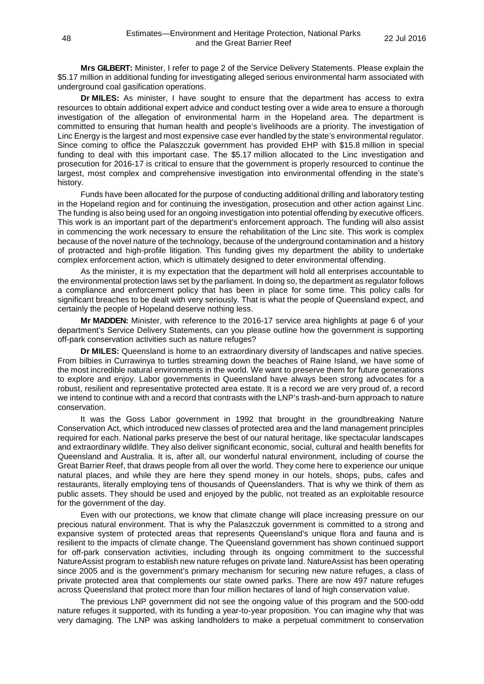**Mrs GILBERT:** Minister, I refer to page 2 of the Service Delivery Statements. Please explain the \$5.17 million in additional funding for investigating alleged serious environmental harm associated with underground coal gasification operations.

**Dr MILES:** As minister, I have sought to ensure that the department has access to extra resources to obtain additional expert advice and conduct testing over a wide area to ensure a thorough investigation of the allegation of environmental harm in the Hopeland area. The department is committed to ensuring that human health and people's livelihoods are a priority. The investigation of Linc Energy is the largest and most expensive case ever handled by the state's environmental regulator. Since coming to office the Palaszczuk government has provided EHP with \$15.8 million in special funding to deal with this important case. The \$5.17 million allocated to the Linc investigation and prosecution for 2016-17 is critical to ensure that the government is properly resourced to continue the largest, most complex and comprehensive investigation into environmental offending in the state's history.

Funds have been allocated for the purpose of conducting additional drilling and laboratory testing in the Hopeland region and for continuing the investigation, prosecution and other action against Linc. The funding is also being used for an ongoing investigation into potential offending by executive officers. This work is an important part of the department's enforcement approach. The funding will also assist in commencing the work necessary to ensure the rehabilitation of the Linc site. This work is complex because of the novel nature of the technology, because of the underground contamination and a history of protracted and high-profile litigation. This funding gives my department the ability to undertake complex enforcement action, which is ultimately designed to deter environmental offending.

As the minister, it is my expectation that the department will hold all enterprises accountable to the environmental protection laws set by the parliament. In doing so, the department as regulator follows a compliance and enforcement policy that has been in place for some time. This policy calls for significant breaches to be dealt with very seriously. That is what the people of Queensland expect, and certainly the people of Hopeland deserve nothing less.

**Mr MADDEN:** Minister, with reference to the 2016-17 service area highlights at page 6 of your department's Service Delivery Statements, can you please outline how the government is supporting off-park conservation activities such as nature refuges?

**Dr MILES:** Queensland is home to an extraordinary diversity of landscapes and native species. From bilbies in Currawinya to turtles streaming down the beaches of Raine Island, we have some of the most incredible natural environments in the world. We want to preserve them for future generations to explore and enjoy. Labor governments in Queensland have always been strong advocates for a robust, resilient and representative protected area estate. It is a record we are very proud of, a record we intend to continue with and a record that contrasts with the LNP's trash-and-burn approach to nature conservation.

It was the Goss Labor government in 1992 that brought in the groundbreaking Nature Conservation Act, which introduced new classes of protected area and the land management principles required for each. National parks preserve the best of our natural heritage, like spectacular landscapes and extraordinary wildlife. They also deliver significant economic, social, cultural and health benefits for Queensland and Australia. It is, after all, our wonderful natural environment, including of course the Great Barrier Reef, that draws people from all over the world. They come here to experience our unique natural places, and while they are here they spend money in our hotels, shops, pubs, cafes and restaurants, literally employing tens of thousands of Queenslanders. That is why we think of them as public assets. They should be used and enjoyed by the public, not treated as an exploitable resource for the government of the day.

Even with our protections, we know that climate change will place increasing pressure on our precious natural environment. That is why the Palaszczuk government is committed to a strong and expansive system of protected areas that represents Queensland's unique flora and fauna and is resilient to the impacts of climate change. The Queensland government has shown continued support for off-park conservation activities, including through its ongoing commitment to the successful NatureAssist program to establish new nature refuges on private land. NatureAssist has been operating since 2005 and is the government's primary mechanism for securing new nature refuges, a class of private protected area that complements our state owned parks. There are now 497 nature refuges across Queensland that protect more than four million hectares of land of high conservation value.

The previous LNP government did not see the ongoing value of this program and the 500-odd nature refuges it supported, with its funding a year-to-year proposition. You can imagine why that was very damaging. The LNP was asking landholders to make a perpetual commitment to conservation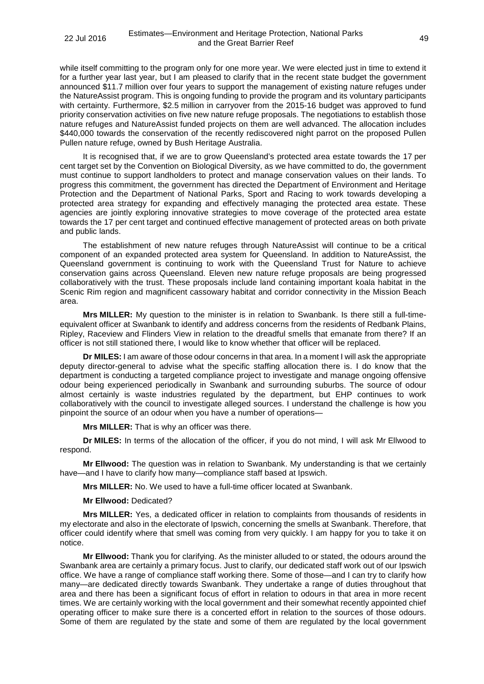while itself committing to the program only for one more year. We were elected just in time to extend it for a further year last year, but I am pleased to clarify that in the recent state budget the government announced \$11.7 million over four years to support the management of existing nature refuges under the NatureAssist program. This is ongoing funding to provide the program and its voluntary participants with certainty. Furthermore, \$2.5 million in carryover from the 2015-16 budget was approved to fund priority conservation activities on five new nature refuge proposals. The negotiations to establish those nature refuges and NatureAssist funded projects on them are well advanced. The allocation includes \$440,000 towards the conservation of the recently rediscovered night parrot on the proposed Pullen Pullen nature refuge, owned by Bush Heritage Australia.

It is recognised that, if we are to grow Queensland's protected area estate towards the 17 per cent target set by the Convention on Biological Diversity, as we have committed to do, the government must continue to support landholders to protect and manage conservation values on their lands. To progress this commitment, the government has directed the Department of Environment and Heritage Protection and the Department of National Parks, Sport and Racing to work towards developing a protected area strategy for expanding and effectively managing the protected area estate. These agencies are jointly exploring innovative strategies to move coverage of the protected area estate towards the 17 per cent target and continued effective management of protected areas on both private and public lands.

The establishment of new nature refuges through NatureAssist will continue to be a critical component of an expanded protected area system for Queensland. In addition to NatureAssist, the Queensland government is continuing to work with the Queensland Trust for Nature to achieve conservation gains across Queensland. Eleven new nature refuge proposals are being progressed collaboratively with the trust. These proposals include land containing important koala habitat in the Scenic Rim region and magnificent cassowary habitat and corridor connectivity in the Mission Beach area.

**Mrs MILLER:** My question to the minister is in relation to Swanbank. Is there still a full-timeequivalent officer at Swanbank to identify and address concerns from the residents of Redbank Plains, Ripley, Raceview and Flinders View in relation to the dreadful smells that emanate from there? If an officer is not still stationed there, I would like to know whether that officer will be replaced.

**Dr MILES:** I am aware of those odour concerns in that area. In a moment I will ask the appropriate deputy director-general to advise what the specific staffing allocation there is. I do know that the department is conducting a targeted compliance project to investigate and manage ongoing offensive odour being experienced periodically in Swanbank and surrounding suburbs. The source of odour almost certainly is waste industries regulated by the department, but EHP continues to work collaboratively with the council to investigate alleged sources. I understand the challenge is how you pinpoint the source of an odour when you have a number of operations—

**Mrs MILLER:** That is why an officer was there.

**Dr MILES:** In terms of the allocation of the officer, if you do not mind, I will ask Mr Ellwood to respond.

**Mr Ellwood:** The question was in relation to Swanbank. My understanding is that we certainly have—and I have to clarify how many—compliance staff based at Ipswich.

**Mrs MILLER:** No. We used to have a full-time officer located at Swanbank.

**Mr Ellwood:** Dedicated?

**Mrs MILLER:** Yes, a dedicated officer in relation to complaints from thousands of residents in my electorate and also in the electorate of Ipswich, concerning the smells at Swanbank. Therefore, that officer could identify where that smell was coming from very quickly. I am happy for you to take it on notice.

**Mr Ellwood:** Thank you for clarifying. As the minister alluded to or stated, the odours around the Swanbank area are certainly a primary focus. Just to clarify, our dedicated staff work out of our Ipswich office. We have a range of compliance staff working there. Some of those—and I can try to clarify how many—are dedicated directly towards Swanbank. They undertake a range of duties throughout that area and there has been a significant focus of effort in relation to odours in that area in more recent times. We are certainly working with the local government and their somewhat recently appointed chief operating officer to make sure there is a concerted effort in relation to the sources of those odours. Some of them are regulated by the state and some of them are regulated by the local government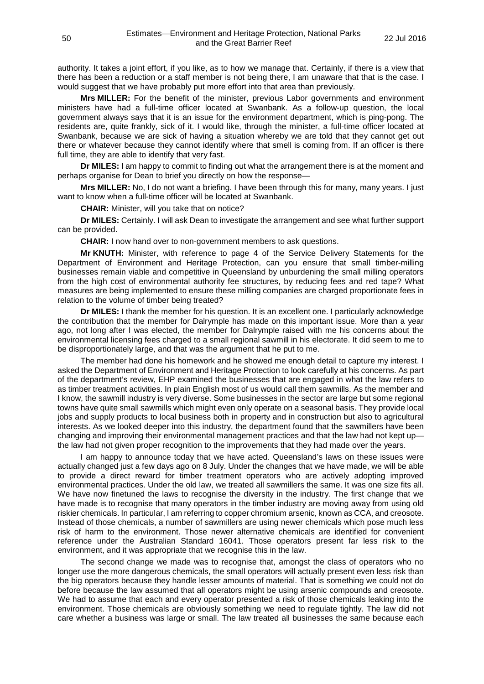authority. It takes a joint effort, if you like, as to how we manage that. Certainly, if there is a view that there has been a reduction or a staff member is not being there, I am unaware that that is the case. I would suggest that we have probably put more effort into that area than previously.

**Mrs MILLER:** For the benefit of the minister, previous Labor governments and environment ministers have had a full-time officer located at Swanbank. As a follow-up question, the local government always says that it is an issue for the environment department, which is ping-pong. The residents are, quite frankly, sick of it. I would like, through the minister, a full-time officer located at Swanbank, because we are sick of having a situation whereby we are told that they cannot get out there or whatever because they cannot identify where that smell is coming from. If an officer is there full time, they are able to identify that very fast.

**Dr MILES:** I am happy to commit to finding out what the arrangement there is at the moment and perhaps organise for Dean to brief you directly on how the response—

**Mrs MILLER:** No, I do not want a briefing. I have been through this for many, many years. I just want to know when a full-time officer will be located at Swanbank.

**CHAIR:** Minister, will you take that on notice?

**Dr MILES:** Certainly. I will ask Dean to investigate the arrangement and see what further support can be provided.

**CHAIR:** I now hand over to non-government members to ask questions.

**Mr KNUTH:** Minister, with reference to page 4 of the Service Delivery Statements for the Department of Environment and Heritage Protection, can you ensure that small timber-milling businesses remain viable and competitive in Queensland by unburdening the small milling operators from the high cost of environmental authority fee structures, by reducing fees and red tape? What measures are being implemented to ensure these milling companies are charged proportionate fees in relation to the volume of timber being treated?

**Dr MILES:** I thank the member for his question. It is an excellent one. I particularly acknowledge the contribution that the member for Dalrymple has made on this important issue. More than a year ago, not long after I was elected, the member for Dalrymple raised with me his concerns about the environmental licensing fees charged to a small regional sawmill in his electorate. It did seem to me to be disproportionately large, and that was the argument that he put to me.

The member had done his homework and he showed me enough detail to capture my interest. I asked the Department of Environment and Heritage Protection to look carefully at his concerns. As part of the department's review, EHP examined the businesses that are engaged in what the law refers to as timber treatment activities. In plain English most of us would call them sawmills. As the member and I know, the sawmill industry is very diverse. Some businesses in the sector are large but some regional towns have quite small sawmills which might even only operate on a seasonal basis. They provide local jobs and supply products to local business both in property and in construction but also to agricultural interests. As we looked deeper into this industry, the department found that the sawmillers have been changing and improving their environmental management practices and that the law had not kept up the law had not given proper recognition to the improvements that they had made over the years.

I am happy to announce today that we have acted. Queensland's laws on these issues were actually changed just a few days ago on 8 July. Under the changes that we have made, we will be able to provide a direct reward for timber treatment operators who are actively adopting improved environmental practices. Under the old law, we treated all sawmillers the same. It was one size fits all. We have now finetuned the laws to recognise the diversity in the industry. The first change that we have made is to recognise that many operators in the timber industry are moving away from using old riskier chemicals. In particular, I am referring to copper chromium arsenic, known as CCA, and creosote. Instead of those chemicals, a number of sawmillers are using newer chemicals which pose much less risk of harm to the environment. Those newer alternative chemicals are identified for convenient reference under the Australian Standard 16041. Those operators present far less risk to the environment, and it was appropriate that we recognise this in the law.

The second change we made was to recognise that, amongst the class of operators who no longer use the more dangerous chemicals, the small operators will actually present even less risk than the big operators because they handle lesser amounts of material. That is something we could not do before because the law assumed that all operators might be using arsenic compounds and creosote. We had to assume that each and every operator presented a risk of those chemicals leaking into the environment. Those chemicals are obviously something we need to regulate tightly. The law did not care whether a business was large or small. The law treated all businesses the same because each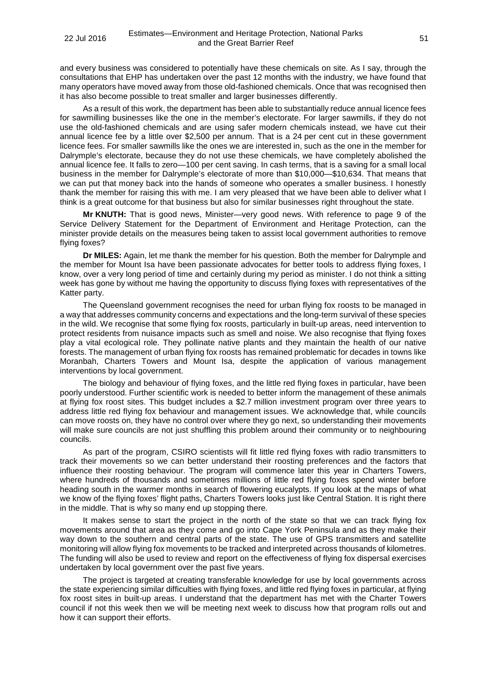and every business was considered to potentially have these chemicals on site. As I say, through the consultations that EHP has undertaken over the past 12 months with the industry, we have found that many operators have moved away from those old-fashioned chemicals. Once that was recognised then it has also become possible to treat smaller and larger businesses differently.

As a result of this work, the department has been able to substantially reduce annual licence fees for sawmilling businesses like the one in the member's electorate. For larger sawmills, if they do not use the old-fashioned chemicals and are using safer modern chemicals instead, we have cut their annual licence fee by a little over \$2,500 per annum. That is a 24 per cent cut in these government licence fees. For smaller sawmills like the ones we are interested in, such as the one in the member for Dalrymple's electorate, because they do not use these chemicals, we have completely abolished the annual licence fee. It falls to zero—100 per cent saving. In cash terms, that is a saving for a small local business in the member for Dalrymple's electorate of more than \$10,000—\$10,634. That means that we can put that money back into the hands of someone who operates a smaller business. I honestly thank the member for raising this with me. I am very pleased that we have been able to deliver what I think is a great outcome for that business but also for similar businesses right throughout the state.

**Mr KNUTH:** That is good news, Minister—very good news. With reference to page 9 of the Service Delivery Statement for the Department of Environment and Heritage Protection, can the minister provide details on the measures being taken to assist local government authorities to remove flying foxes?

**Dr MILES:** Again, let me thank the member for his question. Both the member for Dalrymple and the member for Mount Isa have been passionate advocates for better tools to address flying foxes, I know, over a very long period of time and certainly during my period as minister. I do not think a sitting week has gone by without me having the opportunity to discuss flying foxes with representatives of the Katter party.

The Queensland government recognises the need for urban flying fox roosts to be managed in a way that addresses community concerns and expectations and the long-term survival of these species in the wild. We recognise that some flying fox roosts, particularly in built-up areas, need intervention to protect residents from nuisance impacts such as smell and noise. We also recognise that flying foxes play a vital ecological role. They pollinate native plants and they maintain the health of our native forests. The management of urban flying fox roosts has remained problematic for decades in towns like Moranbah, Charters Towers and Mount Isa, despite the application of various management interventions by local government.

The biology and behaviour of flying foxes, and the little red flying foxes in particular, have been poorly understood. Further scientific work is needed to better inform the management of these animals at flying fox roost sites. This budget includes a \$2.7 million investment program over three years to address little red flying fox behaviour and management issues. We acknowledge that, while councils can move roosts on, they have no control over where they go next, so understanding their movements will make sure councils are not just shuffling this problem around their community or to neighbouring councils.

As part of the program, CSIRO scientists will fit little red flying foxes with radio transmitters to track their movements so we can better understand their roosting preferences and the factors that influence their roosting behaviour. The program will commence later this year in Charters Towers, where hundreds of thousands and sometimes millions of little red flying foxes spend winter before heading south in the warmer months in search of flowering eucalypts. If you look at the maps of what we know of the flying foxes' flight paths, Charters Towers looks just like Central Station. It is right there in the middle. That is why so many end up stopping there.

It makes sense to start the project in the north of the state so that we can track flying fox movements around that area as they come and go into Cape York Peninsula and as they make their way down to the southern and central parts of the state. The use of GPS transmitters and satellite monitoring will allow flying fox movements to be tracked and interpreted across thousands of kilometres. The funding will also be used to review and report on the effectiveness of flying fox dispersal exercises undertaken by local government over the past five years.

The project is targeted at creating transferable knowledge for use by local governments across the state experiencing similar difficulties with flying foxes, and little red flying foxes in particular, at flying fox roost sites in built-up areas. I understand that the department has met with the Charter Towers council if not this week then we will be meeting next week to discuss how that program rolls out and how it can support their efforts.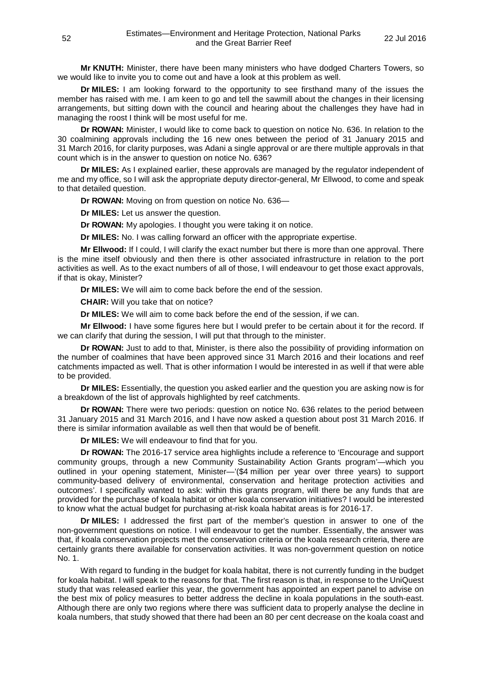**Mr KNUTH:** Minister, there have been many ministers who have dodged Charters Towers, so we would like to invite you to come out and have a look at this problem as well.

**Dr MILES:** I am looking forward to the opportunity to see firsthand many of the issues the member has raised with me. I am keen to go and tell the sawmill about the changes in their licensing arrangements, but sitting down with the council and hearing about the challenges they have had in managing the roost I think will be most useful for me.

**Dr ROWAN:** Minister, I would like to come back to question on notice No. 636. In relation to the 30 coalmining approvals including the 16 new ones between the period of 31 January 2015 and 31 March 2016, for clarity purposes, was Adani a single approval or are there multiple approvals in that count which is in the answer to question on notice No. 636?

**Dr MILES:** As I explained earlier, these approvals are managed by the regulator independent of me and my office, so I will ask the appropriate deputy director-general, Mr Ellwood, to come and speak to that detailed question.

**Dr ROWAN:** Moving on from question on notice No. 636—

**Dr MILES:** Let us answer the question.

**Dr ROWAN:** My apologies. I thought you were taking it on notice.

**Dr MILES:** No. I was calling forward an officer with the appropriate expertise.

**Mr Ellwood:** If I could, I will clarify the exact number but there is more than one approval. There is the mine itself obviously and then there is other associated infrastructure in relation to the port activities as well. As to the exact numbers of all of those, I will endeavour to get those exact approvals, if that is okay, Minister?

**Dr MILES:** We will aim to come back before the end of the session.

**CHAIR:** Will you take that on notice?

**Dr MILES:** We will aim to come back before the end of the session, if we can.

**Mr Ellwood:** I have some figures here but I would prefer to be certain about it for the record. If we can clarify that during the session, I will put that through to the minister.

**Dr ROWAN:** Just to add to that, Minister, is there also the possibility of providing information on the number of coalmines that have been approved since 31 March 2016 and their locations and reef catchments impacted as well. That is other information I would be interested in as well if that were able to be provided.

**Dr MILES:** Essentially, the question you asked earlier and the question you are asking now is for a breakdown of the list of approvals highlighted by reef catchments.

**Dr ROWAN:** There were two periods: question on notice No. 636 relates to the period between 31 January 2015 and 31 March 2016, and I have now asked a question about post 31 March 2016. If there is similar information available as well then that would be of benefit.

**Dr MILES:** We will endeavour to find that for you.

**Dr ROWAN:** The 2016-17 service area highlights include a reference to 'Encourage and support community groups, through a new Community Sustainability Action Grants program'—which you outlined in your opening statement, Minister—'(\$4 million per year over three years) to support community-based delivery of environmental, conservation and heritage protection activities and outcomes'. I specifically wanted to ask: within this grants program, will there be any funds that are provided for the purchase of koala habitat or other koala conservation initiatives? I would be interested to know what the actual budget for purchasing at-risk koala habitat areas is for 2016-17.

**Dr MILES:** I addressed the first part of the member's question in answer to one of the non-government questions on notice. I will endeavour to get the number. Essentially, the answer was that, if koala conservation projects met the conservation criteria or the koala research criteria, there are certainly grants there available for conservation activities. It was non-government question on notice No. 1.

With regard to funding in the budget for koala habitat, there is not currently funding in the budget for koala habitat. I will speak to the reasons for that. The first reason is that, in response to the UniQuest study that was released earlier this year, the government has appointed an expert panel to advise on the best mix of policy measures to better address the decline in koala populations in the south-east. Although there are only two regions where there was sufficient data to properly analyse the decline in koala numbers, that study showed that there had been an 80 per cent decrease on the koala coast and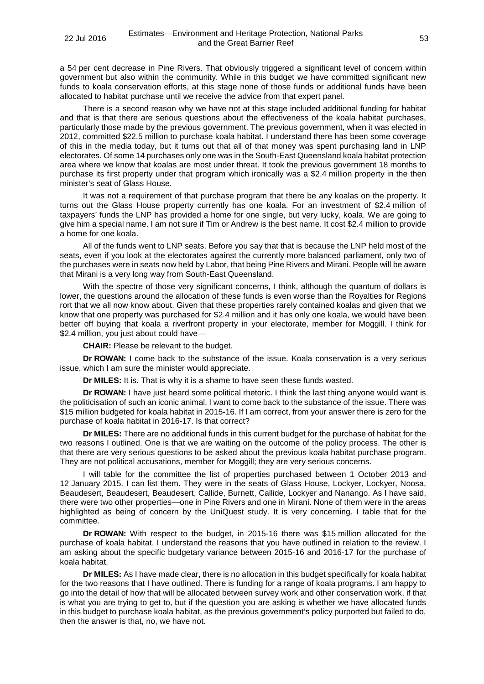a 54 per cent decrease in Pine Rivers. That obviously triggered a significant level of concern within government but also within the community. While in this budget we have committed significant new funds to koala conservation efforts, at this stage none of those funds or additional funds have been allocated to habitat purchase until we receive the advice from that expert panel.

There is a second reason why we have not at this stage included additional funding for habitat and that is that there are serious questions about the effectiveness of the koala habitat purchases, particularly those made by the previous government. The previous government, when it was elected in 2012, committed \$22.5 million to purchase koala habitat. I understand there has been some coverage of this in the media today, but it turns out that all of that money was spent purchasing land in LNP electorates. Of some 14 purchases only one was in the South-East Queensland koala habitat protection area where we know that koalas are most under threat. It took the previous government 18 months to purchase its first property under that program which ironically was a \$2.4 million property in the then minister's seat of Glass House.

It was not a requirement of that purchase program that there be any koalas on the property. It turns out the Glass House property currently has one koala. For an investment of \$2.4 million of taxpayers' funds the LNP has provided a home for one single, but very lucky, koala. We are going to give him a special name. I am not sure if Tim or Andrew is the best name. It cost \$2.4 million to provide a home for one koala.

All of the funds went to LNP seats. Before you say that that is because the LNP held most of the seats, even if you look at the electorates against the currently more balanced parliament, only two of the purchases were in seats now held by Labor, that being Pine Rivers and Mirani. People will be aware that Mirani is a very long way from South-East Queensland.

With the spectre of those very significant concerns, I think, although the quantum of dollars is lower, the questions around the allocation of these funds is even worse than the Royalties for Regions rort that we all now know about. Given that these properties rarely contained koalas and given that we know that one property was purchased for \$2.4 million and it has only one koala, we would have been better off buying that koala a riverfront property in your electorate, member for Moggill. I think for \$2.4 million, you just about could have—

**CHAIR:** Please be relevant to the budget.

**Dr ROWAN:** I come back to the substance of the issue. Koala conservation is a very serious issue, which I am sure the minister would appreciate.

**Dr MILES:** It is. That is why it is a shame to have seen these funds wasted.

**Dr ROWAN:** I have just heard some political rhetoric. I think the last thing anyone would want is the politicisation of such an iconic animal. I want to come back to the substance of the issue. There was \$15 million budgeted for koala habitat in 2015-16. If I am correct, from your answer there is zero for the purchase of koala habitat in 2016-17. Is that correct?

**Dr MILES:** There are no additional funds in this current budget for the purchase of habitat for the two reasons I outlined. One is that we are waiting on the outcome of the policy process. The other is that there are very serious questions to be asked about the previous koala habitat purchase program. They are not political accusations, member for Moggill; they are very serious concerns.

I will table for the committee the list of properties purchased between 1 October 2013 and 12 January 2015. I can list them. They were in the seats of Glass House, Lockyer, Lockyer, Noosa, Beaudesert, Beaudesert, Beaudesert, Callide, Burnett, Callide, Lockyer and Nanango. As I have said, there were two other properties—one in Pine Rivers and one in Mirani. None of them were in the areas highlighted as being of concern by the UniQuest study. It is very concerning. I table that for the committee.

**Dr ROWAN:** With respect to the budget, in 2015-16 there was \$15 million allocated for the purchase of koala habitat. I understand the reasons that you have outlined in relation to the review. I am asking about the specific budgetary variance between 2015-16 and 2016-17 for the purchase of koala habitat.

**Dr MILES:** As I have made clear, there is no allocation in this budget specifically for koala habitat for the two reasons that I have outlined. There is funding for a range of koala programs. I am happy to go into the detail of how that will be allocated between survey work and other conservation work, if that is what you are trying to get to, but if the question you are asking is whether we have allocated funds in this budget to purchase koala habitat, as the previous government's policy purported but failed to do, then the answer is that, no, we have not.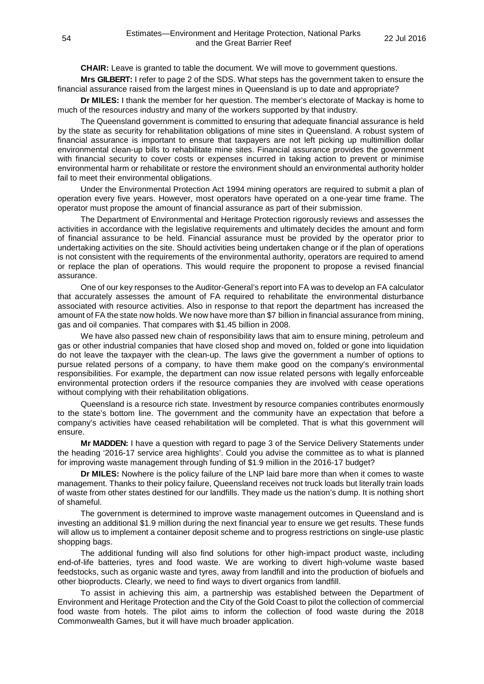**CHAIR:** Leave is granted to table the document. We will move to government questions.

**Mrs GILBERT:** I refer to page 2 of the SDS. What steps has the government taken to ensure the financial assurance raised from the largest mines in Queensland is up to date and appropriate?

**Dr MILES:** I thank the member for her question. The member's electorate of Mackay is home to much of the resources industry and many of the workers supported by that industry.

The Queensland government is committed to ensuring that adequate financial assurance is held by the state as security for rehabilitation obligations of mine sites in Queensland. A robust system of financial assurance is important to ensure that taxpayers are not left picking up multimillion dollar environmental clean-up bills to rehabilitate mine sites. Financial assurance provides the government with financial security to cover costs or expenses incurred in taking action to prevent or minimise environmental harm or rehabilitate or restore the environment should an environmental authority holder fail to meet their environmental obligations.

Under the Environmental Protection Act 1994 mining operators are required to submit a plan of operation every five years. However, most operators have operated on a one-year time frame. The operator must propose the amount of financial assurance as part of their submission.

The Department of Environmental and Heritage Protection rigorously reviews and assesses the activities in accordance with the legislative requirements and ultimately decides the amount and form of financial assurance to be held. Financial assurance must be provided by the operator prior to undertaking activities on the site. Should activities being undertaken change or if the plan of operations is not consistent with the requirements of the environmental authority, operators are required to amend or replace the plan of operations. This would require the proponent to propose a revised financial assurance.

One of our key responses to the Auditor-General's report into FA was to develop an FA calculator that accurately assesses the amount of FA required to rehabilitate the environmental disturbance associated with resource activities. Also in response to that report the department has increased the amount of FA the state now holds. We now have more than \$7 billion in financial assurance from mining, gas and oil companies. That compares with \$1.45 billion in 2008.

We have also passed new chain of responsibility laws that aim to ensure mining, petroleum and gas or other industrial companies that have closed shop and moved on, folded or gone into liquidation do not leave the taxpayer with the clean-up. The laws give the government a number of options to pursue related persons of a company, to have them make good on the company's environmental responsibilities. For example, the department can now issue related persons with legally enforceable environmental protection orders if the resource companies they are involved with cease operations without complying with their rehabilitation obligations.

Queensland is a resource rich state. Investment by resource companies contributes enormously to the state's bottom line. The government and the community have an expectation that before a company's activities have ceased rehabilitation will be completed. That is what this government will ensure.

**Mr MADDEN:** I have a question with regard to page 3 of the Service Delivery Statements under the heading '2016-17 service area highlights'. Could you advise the committee as to what is planned for improving waste management through funding of \$1.9 million in the 2016-17 budget?

**Dr MILES:** Nowhere is the policy failure of the LNP laid bare more than when it comes to waste management. Thanks to their policy failure, Queensland receives not truck loads but literally train loads of waste from other states destined for our landfills. They made us the nation's dump. It is nothing short of shameful.

The government is determined to improve waste management outcomes in Queensland and is investing an additional \$1.9 million during the next financial year to ensure we get results. These funds will allow us to implement a container deposit scheme and to progress restrictions on single-use plastic shopping bags.

The additional funding will also find solutions for other high-impact product waste, including end-of-life batteries, tyres and food waste. We are working to divert high-volume waste based feedstocks, such as organic waste and tyres, away from landfill and into the production of biofuels and other bioproducts. Clearly, we need to find ways to divert organics from landfill.

To assist in achieving this aim, a partnership was established between the Department of Environment and Heritage Protection and the City of the Gold Coast to pilot the collection of commercial food waste from hotels. The pilot aims to inform the collection of food waste during the 2018 Commonwealth Games, but it will have much broader application.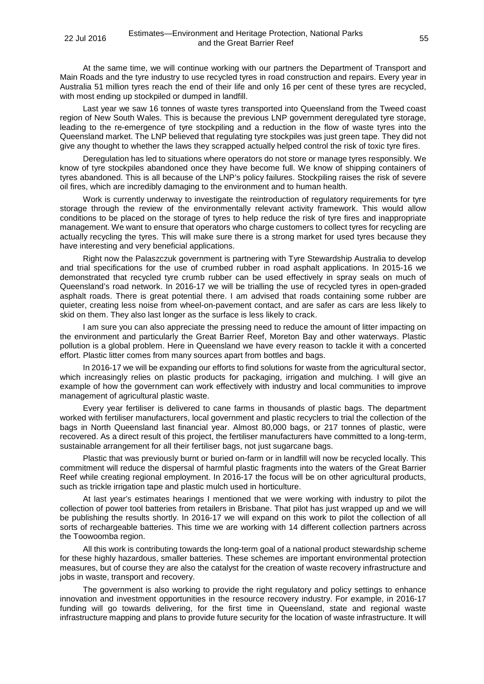At the same time, we will continue working with our partners the Department of Transport and Main Roads and the tyre industry to use recycled tyres in road construction and repairs. Every year in Australia 51 million tyres reach the end of their life and only 16 per cent of these tyres are recycled, with most ending up stockpiled or dumped in landfill.

Last year we saw 16 tonnes of waste tyres transported into Queensland from the Tweed coast region of New South Wales. This is because the previous LNP government deregulated tyre storage, leading to the re-emergence of tyre stockpiling and a reduction in the flow of waste tyres into the Queensland market. The LNP believed that regulating tyre stockpiles was just green tape. They did not give any thought to whether the laws they scrapped actually helped control the risk of toxic tyre fires.

Deregulation has led to situations where operators do not store or manage tyres responsibly. We know of tyre stockpiles abandoned once they have become full. We know of shipping containers of tyres abandoned. This is all because of the LNP's policy failures. Stockpiling raises the risk of severe oil fires, which are incredibly damaging to the environment and to human health.

Work is currently underway to investigate the reintroduction of regulatory requirements for tyre storage through the review of the environmentally relevant activity framework. This would allow conditions to be placed on the storage of tyres to help reduce the risk of tyre fires and inappropriate management. We want to ensure that operators who charge customers to collect tyres for recycling are actually recycling the tyres. This will make sure there is a strong market for used tyres because they have interesting and very beneficial applications.

Right now the Palaszczuk government is partnering with Tyre Stewardship Australia to develop and trial specifications for the use of crumbed rubber in road asphalt applications. In 2015-16 we demonstrated that recycled tyre crumb rubber can be used effectively in spray seals on much of Queensland's road network. In 2016-17 we will be trialling the use of recycled tyres in open-graded asphalt roads. There is great potential there. I am advised that roads containing some rubber are quieter, creating less noise from wheel-on-pavement contact, and are safer as cars are less likely to skid on them. They also last longer as the surface is less likely to crack.

I am sure you can also appreciate the pressing need to reduce the amount of litter impacting on the environment and particularly the Great Barrier Reef, Moreton Bay and other waterways. Plastic pollution is a global problem. Here in Queensland we have every reason to tackle it with a concerted effort. Plastic litter comes from many sources apart from bottles and bags.

In 2016-17 we will be expanding our efforts to find solutions for waste from the agricultural sector, which increasingly relies on plastic products for packaging, irrigation and mulching. I will give an example of how the government can work effectively with industry and local communities to improve management of agricultural plastic waste.

Every year fertiliser is delivered to cane farms in thousands of plastic bags. The department worked with fertiliser manufacturers, local government and plastic recyclers to trial the collection of the bags in North Queensland last financial year. Almost 80,000 bags, or 217 tonnes of plastic, were recovered. As a direct result of this project, the fertiliser manufacturers have committed to a long-term, sustainable arrangement for all their fertiliser bags, not just sugarcane bags.

Plastic that was previously burnt or buried on-farm or in landfill will now be recycled locally. This commitment will reduce the dispersal of harmful plastic fragments into the waters of the Great Barrier Reef while creating regional employment. In 2016-17 the focus will be on other agricultural products, such as trickle irrigation tape and plastic mulch used in horticulture.

At last year's estimates hearings I mentioned that we were working with industry to pilot the collection of power tool batteries from retailers in Brisbane. That pilot has just wrapped up and we will be publishing the results shortly. In 2016-17 we will expand on this work to pilot the collection of all sorts of rechargeable batteries. This time we are working with 14 different collection partners across the Toowoomba region.

All this work is contributing towards the long-term goal of a national product stewardship scheme for these highly hazardous, smaller batteries. These schemes are important environmental protection measures, but of course they are also the catalyst for the creation of waste recovery infrastructure and jobs in waste, transport and recovery.

The government is also working to provide the right regulatory and policy settings to enhance innovation and investment opportunities in the resource recovery industry. For example, in 2016-17 funding will go towards delivering, for the first time in Queensland, state and regional waste infrastructure mapping and plans to provide future security for the location of waste infrastructure. It will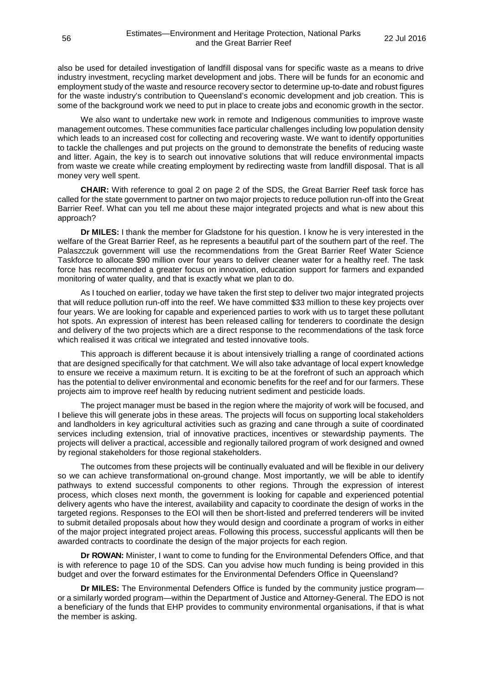also be used for detailed investigation of landfill disposal vans for specific waste as a means to drive industry investment, recycling market development and jobs. There will be funds for an economic and employment study of the waste and resource recovery sector to determine up-to-date and robust figures for the waste industry's contribution to Queensland's economic development and job creation. This is some of the background work we need to put in place to create jobs and economic growth in the sector.

We also want to undertake new work in remote and Indigenous communities to improve waste management outcomes. These communities face particular challenges including low population density which leads to an increased cost for collecting and recovering waste. We want to identify opportunities to tackle the challenges and put projects on the ground to demonstrate the benefits of reducing waste and litter. Again, the key is to search out innovative solutions that will reduce environmental impacts from waste we create while creating employment by redirecting waste from landfill disposal. That is all money very well spent.

**CHAIR:** With reference to goal 2 on page 2 of the SDS, the Great Barrier Reef task force has called for the state government to partner on two major projects to reduce pollution run-off into the Great Barrier Reef. What can you tell me about these major integrated projects and what is new about this approach?

**Dr MILES:** I thank the member for Gladstone for his question. I know he is very interested in the welfare of the Great Barrier Reef, as he represents a beautiful part of the southern part of the reef. The Palaszczuk government will use the recommendations from the Great Barrier Reef Water Science Taskforce to allocate \$90 million over four years to deliver cleaner water for a healthy reef. The task force has recommended a greater focus on innovation, education support for farmers and expanded monitoring of water quality, and that is exactly what we plan to do.

As I touched on earlier, today we have taken the first step to deliver two major integrated projects that will reduce pollution run-off into the reef. We have committed \$33 million to these key projects over four years. We are looking for capable and experienced parties to work with us to target these pollutant hot spots. An expression of interest has been released calling for tenderers to coordinate the design and delivery of the two projects which are a direct response to the recommendations of the task force which realised it was critical we integrated and tested innovative tools.

This approach is different because it is about intensively trialling a range of coordinated actions that are designed specifically for that catchment. We will also take advantage of local expert knowledge to ensure we receive a maximum return. It is exciting to be at the forefront of such an approach which has the potential to deliver environmental and economic benefits for the reef and for our farmers. These projects aim to improve reef health by reducing nutrient sediment and pesticide loads.

The project manager must be based in the region where the majority of work will be focused, and I believe this will generate jobs in these areas. The projects will focus on supporting local stakeholders and landholders in key agricultural activities such as grazing and cane through a suite of coordinated services including extension, trial of innovative practices, incentives or stewardship payments. The projects will deliver a practical, accessible and regionally tailored program of work designed and owned by regional stakeholders for those regional stakeholders.

The outcomes from these projects will be continually evaluated and will be flexible in our delivery so we can achieve transformational on-ground change. Most importantly, we will be able to identify pathways to extend successful components to other regions. Through the expression of interest process, which closes next month, the government is looking for capable and experienced potential delivery agents who have the interest, availability and capacity to coordinate the design of works in the targeted regions. Responses to the EOI will then be short-listed and preferred tenderers will be invited to submit detailed proposals about how they would design and coordinate a program of works in either of the major project integrated project areas. Following this process, successful applicants will then be awarded contracts to coordinate the design of the major projects for each region.

**Dr ROWAN:** Minister, I want to come to funding for the Environmental Defenders Office, and that is with reference to page 10 of the SDS. Can you advise how much funding is being provided in this budget and over the forward estimates for the Environmental Defenders Office in Queensland?

**Dr MILES:** The Environmental Defenders Office is funded by the community justice program or a similarly worded program—within the Department of Justice and Attorney-General. The EDO is not a beneficiary of the funds that EHP provides to community environmental organisations, if that is what the member is asking.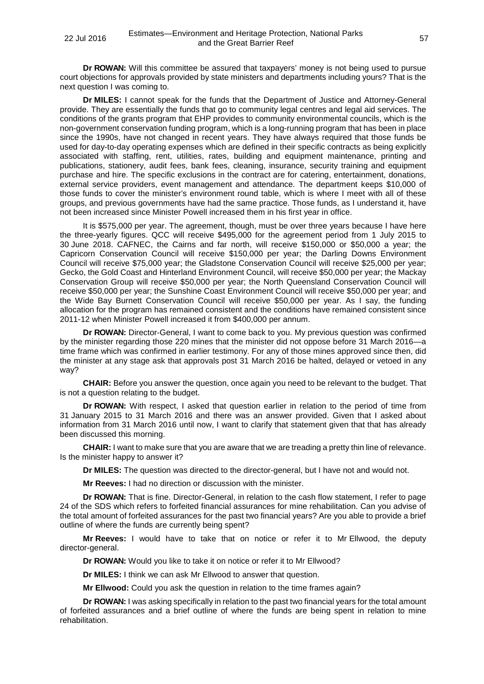**Dr ROWAN:** Will this committee be assured that taxpayers' money is not being used to pursue court objections for approvals provided by state ministers and departments including yours? That is the next question I was coming to.

**Dr MILES:** I cannot speak for the funds that the Department of Justice and Attorney-General provide. They are essentially the funds that go to community legal centres and legal aid services. The conditions of the grants program that EHP provides to community environmental councils, which is the non-government conservation funding program, which is a long-running program that has been in place since the 1990s, have not changed in recent years. They have always required that those funds be used for day-to-day operating expenses which are defined in their specific contracts as being explicitly associated with staffing, rent, utilities, rates, building and equipment maintenance, printing and publications, stationery, audit fees, bank fees, cleaning, insurance, security training and equipment purchase and hire. The specific exclusions in the contract are for catering, entertainment, donations, external service providers, event management and attendance. The department keeps \$10,000 of those funds to cover the minister's environment round table, which is where I meet with all of these groups, and previous governments have had the same practice. Those funds, as I understand it, have not been increased since Minister Powell increased them in his first year in office.

It is \$575,000 per year. The agreement, though, must be over three years because I have here the three-yearly figures. QCC will receive \$495,000 for the agreement period from 1 July 2015 to 30 June 2018. CAFNEC, the Cairns and far north, will receive \$150,000 or \$50,000 a year; the Capricorn Conservation Council will receive \$150,000 per year; the Darling Downs Environment Council will receive \$75,000 year; the Gladstone Conservation Council will receive \$25,000 per year; Gecko, the Gold Coast and Hinterland Environment Council, will receive \$50,000 per year; the Mackay Conservation Group will receive \$50,000 per year; the North Queensland Conservation Council will receive \$50,000 per year; the Sunshine Coast Environment Council will receive \$50,000 per year; and the Wide Bay Burnett Conservation Council will receive \$50,000 per year. As I say, the funding allocation for the program has remained consistent and the conditions have remained consistent since 2011-12 when Minister Powell increased it from \$400,000 per annum.

**Dr ROWAN:** Director-General, I want to come back to you. My previous question was confirmed by the minister regarding those 220 mines that the minister did not oppose before 31 March 2016—a time frame which was confirmed in earlier testimony. For any of those mines approved since then, did the minister at any stage ask that approvals post 31 March 2016 be halted, delayed or vetoed in any way?

**CHAIR:** Before you answer the question, once again you need to be relevant to the budget. That is not a question relating to the budget.

**Dr ROWAN:** With respect, I asked that question earlier in relation to the period of time from 31 January 2015 to 31 March 2016 and there was an answer provided. Given that I asked about information from 31 March 2016 until now, I want to clarify that statement given that that has already been discussed this morning.

**CHAIR:** I want to make sure that you are aware that we are treading a pretty thin line of relevance. Is the minister happy to answer it?

**Dr MILES:** The question was directed to the director-general, but I have not and would not.

**Mr Reeves:** I had no direction or discussion with the minister.

**Dr ROWAN:** That is fine. Director-General, in relation to the cash flow statement, I refer to page 24 of the SDS which refers to forfeited financial assurances for mine rehabilitation. Can you advise of the total amount of forfeited assurances for the past two financial years? Are you able to provide a brief outline of where the funds are currently being spent?

**Mr Reeves:** I would have to take that on notice or refer it to Mr Ellwood, the deputy director-general.

**Dr ROWAN:** Would you like to take it on notice or refer it to Mr Ellwood?

**Dr MILES:** I think we can ask Mr Ellwood to answer that question.

**Mr Ellwood:** Could you ask the question in relation to the time frames again?

**Dr ROWAN:** I was asking specifically in relation to the past two financial years for the total amount of forfeited assurances and a brief outline of where the funds are being spent in relation to mine rehabilitation.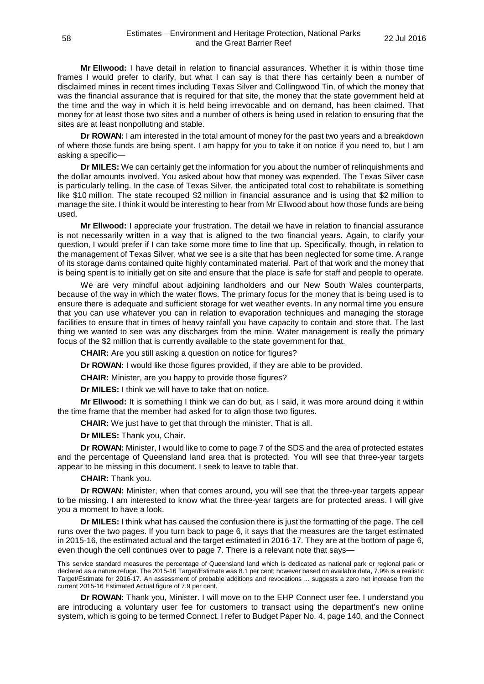**Mr Ellwood:** I have detail in relation to financial assurances. Whether it is within those time frames I would prefer to clarify, but what I can say is that there has certainly been a number of disclaimed mines in recent times including Texas Silver and Collingwood Tin, of which the money that was the financial assurance that is required for that site, the money that the state government held at the time and the way in which it is held being irrevocable and on demand, has been claimed. That money for at least those two sites and a number of others is being used in relation to ensuring that the sites are at least nonpolluting and stable.

**Dr ROWAN:** I am interested in the total amount of money for the past two years and a breakdown of where those funds are being spent. I am happy for you to take it on notice if you need to, but I am asking a specific—

**Dr MILES:** We can certainly get the information for you about the number of relinquishments and the dollar amounts involved. You asked about how that money was expended. The Texas Silver case is particularly telling. In the case of Texas Silver, the anticipated total cost to rehabilitate is something like \$10 million. The state recouped \$2 million in financial assurance and is using that \$2 million to manage the site. I think it would be interesting to hear from Mr Ellwood about how those funds are being used.

**Mr Ellwood:** I appreciate your frustration. The detail we have in relation to financial assurance is not necessarily written in a way that is aligned to the two financial years. Again, to clarify your question, I would prefer if I can take some more time to line that up. Specifically, though, in relation to the management of Texas Silver, what we see is a site that has been neglected for some time. A range of its storage dams contained quite highly contaminated material. Part of that work and the money that is being spent is to initially get on site and ensure that the place is safe for staff and people to operate.

We are very mindful about adjoining landholders and our New South Wales counterparts, because of the way in which the water flows. The primary focus for the money that is being used is to ensure there is adequate and sufficient storage for wet weather events. In any normal time you ensure that you can use whatever you can in relation to evaporation techniques and managing the storage facilities to ensure that in times of heavy rainfall you have capacity to contain and store that. The last thing we wanted to see was any discharges from the mine. Water management is really the primary focus of the \$2 million that is currently available to the state government for that.

**CHAIR:** Are you still asking a question on notice for figures?

**Dr ROWAN:** I would like those figures provided, if they are able to be provided.

**CHAIR:** Minister, are you happy to provide those figures?

**Dr MILES:** I think we will have to take that on notice.

**Mr Ellwood:** It is something I think we can do but, as I said, it was more around doing it within the time frame that the member had asked for to align those two figures.

**CHAIR:** We just have to get that through the minister. That is all.

**Dr MILES:** Thank you, Chair.

**Dr ROWAN:** Minister, I would like to come to page 7 of the SDS and the area of protected estates and the percentage of Queensland land area that is protected. You will see that three-year targets appear to be missing in this document. I seek to leave to table that.

**CHAIR:** Thank you.

**Dr ROWAN:** Minister, when that comes around, you will see that the three-year targets appear to be missing. I am interested to know what the three-year targets are for protected areas. I will give you a moment to have a look.

**Dr MILES:** I think what has caused the confusion there is just the formatting of the page. The cell runs over the two pages. If you turn back to page 6, it says that the measures are the target estimated in 2015-16, the estimated actual and the target estimated in 2016-17. They are at the bottom of page 6, even though the cell continues over to page 7. There is a relevant note that says—

This service standard measures the percentage of Queensland land which is dedicated as national park or regional park or declared as a nature refuge. The 2015-16 Target/Estimate was 8.1 per cent; however based on available data, 7.9% is a realistic Target/Estimate for 2016-17. An assessment of probable additions and revocations ... suggests a zero net increase from the current 2015-16 Estimated Actual figure of 7.9 per cent.

**Dr ROWAN:** Thank you, Minister. I will move on to the EHP Connect user fee. I understand you are introducing a voluntary user fee for customers to transact using the department's new online system, which is going to be termed Connect. I refer to Budget Paper No. 4, page 140, and the Connect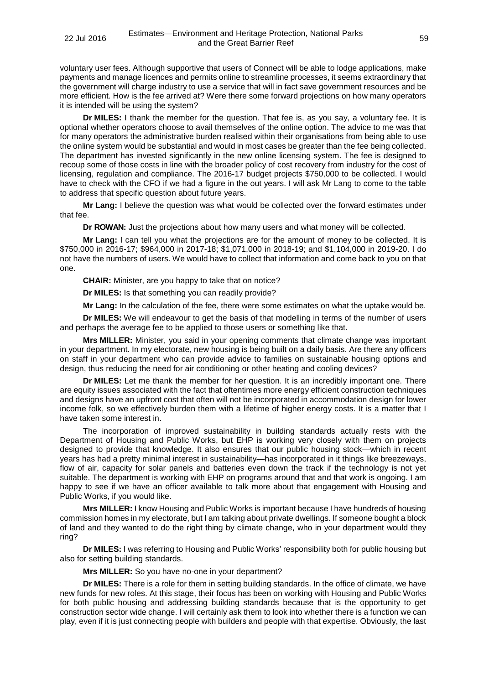voluntary user fees. Although supportive that users of Connect will be able to lodge applications, make payments and manage licences and permits online to streamline processes, it seems extraordinary that the government will charge industry to use a service that will in fact save government resources and be more efficient. How is the fee arrived at? Were there some forward projections on how many operators it is intended will be using the system?

**Dr MILES:** I thank the member for the question. That fee is, as you say, a voluntary fee. It is optional whether operators choose to avail themselves of the online option. The advice to me was that for many operators the administrative burden realised within their organisations from being able to use the online system would be substantial and would in most cases be greater than the fee being collected. The department has invested significantly in the new online licensing system. The fee is designed to recoup some of those costs in line with the broader policy of cost recovery from industry for the cost of licensing, regulation and compliance. The 2016-17 budget projects \$750,000 to be collected. I would have to check with the CFO if we had a figure in the out years. I will ask Mr Lang to come to the table to address that specific question about future years.

**Mr Lang:** I believe the question was what would be collected over the forward estimates under that fee.

**Dr ROWAN:** Just the projections about how many users and what money will be collected.

**Mr Lang:** I can tell you what the projections are for the amount of money to be collected. It is \$750,000 in 2016-17; \$964,000 in 2017-18; \$1,071,000 in 2018-19; and \$1,104,000 in 2019-20. I do not have the numbers of users. We would have to collect that information and come back to you on that one.

**CHAIR:** Minister, are you happy to take that on notice?

**Dr MILES:** Is that something you can readily provide?

**Mr Lang:** In the calculation of the fee, there were some estimates on what the uptake would be.

**Dr MILES:** We will endeavour to get the basis of that modelling in terms of the number of users and perhaps the average fee to be applied to those users or something like that.

**Mrs MILLER:** Minister, you said in your opening comments that climate change was important in your department. In my electorate, new housing is being built on a daily basis. Are there any officers on staff in your department who can provide advice to families on sustainable housing options and design, thus reducing the need for air conditioning or other heating and cooling devices?

**Dr MILES:** Let me thank the member for her question. It is an incredibly important one. There are equity issues associated with the fact that oftentimes more energy efficient construction techniques and designs have an upfront cost that often will not be incorporated in accommodation design for lower income folk, so we effectively burden them with a lifetime of higher energy costs. It is a matter that I have taken some interest in.

The incorporation of improved sustainability in building standards actually rests with the Department of Housing and Public Works, but EHP is working very closely with them on projects designed to provide that knowledge. It also ensures that our public housing stock—which in recent years has had a pretty minimal interest in sustainability—has incorporated in it things like breezeways, flow of air, capacity for solar panels and batteries even down the track if the technology is not yet suitable. The department is working with EHP on programs around that and that work is ongoing. I am happy to see if we have an officer available to talk more about that engagement with Housing and Public Works, if you would like.

**Mrs MILLER:** I know Housing and Public Works is important because I have hundreds of housing commission homes in my electorate, but I am talking about private dwellings. If someone bought a block of land and they wanted to do the right thing by climate change, who in your department would they ring?

**Dr MILES:** I was referring to Housing and Public Works' responsibility both for public housing but also for setting building standards.

**Mrs MILLER:** So you have no-one in your department?

**Dr MILES:** There is a role for them in setting building standards. In the office of climate, we have new funds for new roles. At this stage, their focus has been on working with Housing and Public Works for both public housing and addressing building standards because that is the opportunity to get construction sector wide change. I will certainly ask them to look into whether there is a function we can play, even if it is just connecting people with builders and people with that expertise. Obviously, the last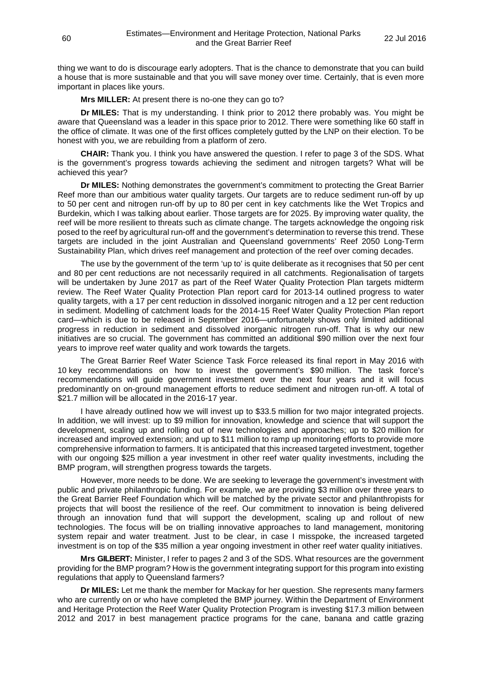thing we want to do is discourage early adopters. That is the chance to demonstrate that you can build a house that is more sustainable and that you will save money over time. Certainly, that is even more important in places like yours.

**Mrs MILLER:** At present there is no-one they can go to?

**Dr MILES:** That is my understanding. I think prior to 2012 there probably was. You might be aware that Queensland was a leader in this space prior to 2012. There were something like 60 staff in the office of climate. It was one of the first offices completely gutted by the LNP on their election. To be honest with you, we are rebuilding from a platform of zero.

**CHAIR:** Thank you. I think you have answered the question. I refer to page 3 of the SDS. What is the government's progress towards achieving the sediment and nitrogen targets? What will be achieved this year?

**Dr MILES:** Nothing demonstrates the government's commitment to protecting the Great Barrier Reef more than our ambitious water quality targets. Our targets are to reduce sediment run-off by up to 50 per cent and nitrogen run-off by up to 80 per cent in key catchments like the Wet Tropics and Burdekin, which I was talking about earlier. Those targets are for 2025. By improving water quality, the reef will be more resilient to threats such as climate change. The targets acknowledge the ongoing risk posed to the reef by agricultural run-off and the government's determination to reverse this trend. These targets are included in the joint Australian and Queensland governments' Reef 2050 Long-Term Sustainability Plan, which drives reef management and protection of the reef over coming decades.

The use by the government of the term 'up to' is quite deliberate as it recognises that 50 per cent and 80 per cent reductions are not necessarily required in all catchments. Regionalisation of targets will be undertaken by June 2017 as part of the Reef Water Quality Protection Plan targets midterm review. The Reef Water Quality Protection Plan report card for 2013-14 outlined progress to water quality targets, with a 17 per cent reduction in dissolved inorganic nitrogen and a 12 per cent reduction in sediment. Modelling of catchment loads for the 2014-15 Reef Water Quality Protection Plan report card—which is due to be released in September 2016—unfortunately shows only limited additional progress in reduction in sediment and dissolved inorganic nitrogen run-off. That is why our new initiatives are so crucial. The government has committed an additional \$90 million over the next four years to improve reef water quality and work towards the targets.

The Great Barrier Reef Water Science Task Force released its final report in May 2016 with 10 key recommendations on how to invest the government's \$90 million. The task force's recommendations will guide government investment over the next four years and it will focus predominantly on on-ground management efforts to reduce sediment and nitrogen run-off. A total of \$21.7 million will be allocated in the 2016-17 year.

I have already outlined how we will invest up to \$33.5 million for two major integrated projects. In addition, we will invest: up to \$9 million for innovation, knowledge and science that will support the development, scaling up and rolling out of new technologies and approaches; up to \$20 million for increased and improved extension; and up to \$11 million to ramp up monitoring efforts to provide more comprehensive information to farmers. It is anticipated that this increased targeted investment, together with our ongoing \$25 million a year investment in other reef water quality investments, including the BMP program, will strengthen progress towards the targets.

However, more needs to be done. We are seeking to leverage the government's investment with public and private philanthropic funding. For example, we are providing \$3 million over three years to the Great Barrier Reef Foundation which will be matched by the private sector and philanthropists for projects that will boost the resilience of the reef. Our commitment to innovation is being delivered through an innovation fund that will support the development, scaling up and rollout of new technologies. The focus will be on trialling innovative approaches to land management, monitoring system repair and water treatment. Just to be clear, in case I misspoke, the increased targeted investment is on top of the \$35 million a year ongoing investment in other reef water quality initiatives.

**Mrs GILBERT:** Minister, I refer to pages 2 and 3 of the SDS. What resources are the government providing for the BMP program? How is the government integrating support for this program into existing regulations that apply to Queensland farmers?

**Dr MILES:** Let me thank the member for Mackay for her question. She represents many farmers who are currently on or who have completed the BMP journey. Within the Department of Environment and Heritage Protection the Reef Water Quality Protection Program is investing \$17.3 million between 2012 and 2017 in best management practice programs for the cane, banana and cattle grazing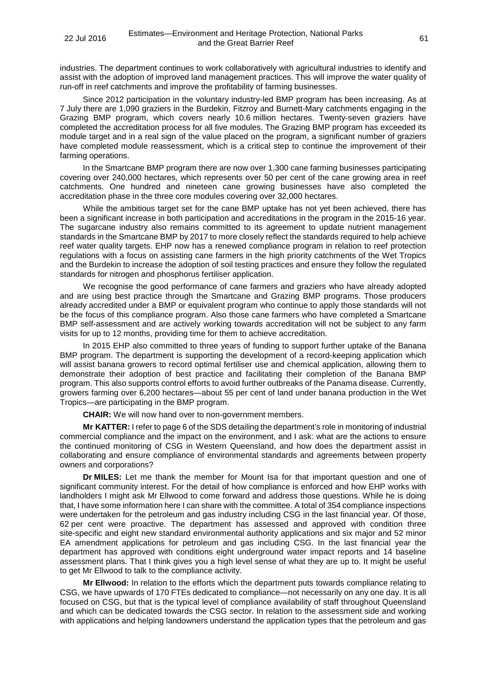industries. The department continues to work collaboratively with agricultural industries to identify and assist with the adoption of improved land management practices. This will improve the water quality of run-off in reef catchments and improve the profitability of farming businesses.

Since 2012 participation in the voluntary industry-led BMP program has been increasing. As at 7 July there are 1,090 graziers in the Burdekin, Fitzroy and Burnett-Mary catchments engaging in the Grazing BMP program, which covers nearly 10.6 million hectares. Twenty-seven graziers have completed the accreditation process for all five modules. The Grazing BMP program has exceeded its module target and in a real sign of the value placed on the program, a significant number of graziers have completed module reassessment, which is a critical step to continue the improvement of their farming operations.

In the Smartcane BMP program there are now over 1,300 cane farming businesses participating covering over 240,000 hectares, which represents over 50 per cent of the cane growing area in reef catchments. One hundred and nineteen cane growing businesses have also completed the accreditation phase in the three core modules covering over 32,000 hectares.

While the ambitious target set for the cane BMP uptake has not yet been achieved, there has been a significant increase in both participation and accreditations in the program in the 2015-16 year. The sugarcane industry also remains committed to its agreement to update nutrient management standards in the Smartcane BMP by 2017 to more closely reflect the standards required to help achieve reef water quality targets. EHP now has a renewed compliance program in relation to reef protection regulations with a focus on assisting cane farmers in the high priority catchments of the Wet Tropics and the Burdekin to increase the adoption of soil testing practices and ensure they follow the regulated standards for nitrogen and phosphorus fertiliser application.

We recognise the good performance of cane farmers and graziers who have already adopted and are using best practice through the Smartcane and Grazing BMP programs. Those producers already accredited under a BMP or equivalent program who continue to apply those standards will not be the focus of this compliance program. Also those cane farmers who have completed a Smartcane BMP self-assessment and are actively working towards accreditation will not be subject to any farm visits for up to 12 months, providing time for them to achieve accreditation.

In 2015 EHP also committed to three years of funding to support further uptake of the Banana BMP program. The department is supporting the development of a record-keeping application which will assist banana growers to record optimal fertiliser use and chemical application, allowing them to demonstrate their adoption of best practice and facilitating their completion of the Banana BMP program. This also supports control efforts to avoid further outbreaks of the Panama disease. Currently, growers farming over 6,200 hectares—about 55 per cent of land under banana production in the Wet Tropics—are participating in the BMP program.

**CHAIR:** We will now hand over to non-government members.

**Mr KATTER:** I refer to page 6 of the SDS detailing the department's role in monitoring of industrial commercial compliance and the impact on the environment, and I ask: what are the actions to ensure the continued monitoring of CSG in Western Queensland, and how does the department assist in collaborating and ensure compliance of environmental standards and agreements between property owners and corporations?

**Dr MILES:** Let me thank the member for Mount Isa for that important question and one of significant community interest. For the detail of how compliance is enforced and how EHP works with landholders I might ask Mr Ellwood to come forward and address those questions. While he is doing that, I have some information here I can share with the committee. A total of 354 compliance inspections were undertaken for the petroleum and gas industry including CSG in the last financial year. Of those, 62 per cent were proactive. The department has assessed and approved with condition three site-specific and eight new standard environmental authority applications and six major and 52 minor EA amendment applications for petroleum and gas including CSG. In the last financial year the department has approved with conditions eight underground water impact reports and 14 baseline assessment plans. That I think gives you a high level sense of what they are up to. It might be useful to get Mr Ellwood to talk to the compliance activity.

**Mr Ellwood:** In relation to the efforts which the department puts towards compliance relating to CSG, we have upwards of 170 FTEs dedicated to compliance—not necessarily on any one day. It is all focused on CSG, but that is the typical level of compliance availability of staff throughout Queensland and which can be dedicated towards the CSG sector. In relation to the assessment side and working with applications and helping landowners understand the application types that the petroleum and gas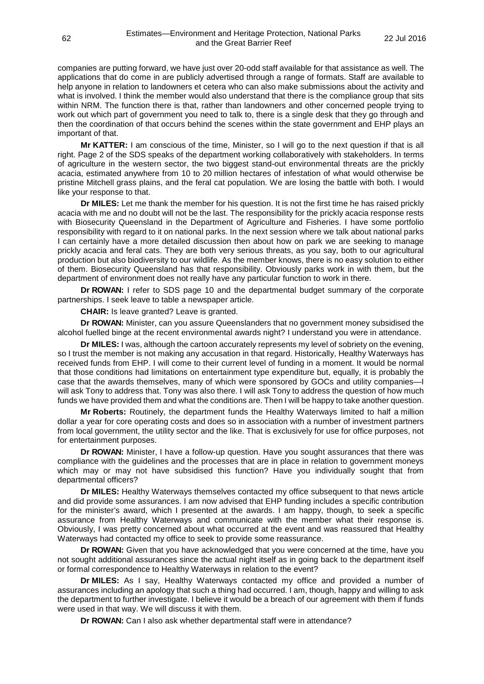companies are putting forward, we have just over 20-odd staff available for that assistance as well. The applications that do come in are publicly advertised through a range of formats. Staff are available to help anyone in relation to landowners et cetera who can also make submissions about the activity and what is involved. I think the member would also understand that there is the compliance group that sits within NRM. The function there is that, rather than landowners and other concerned people trying to work out which part of government you need to talk to, there is a single desk that they go through and then the coordination of that occurs behind the scenes within the state government and EHP plays an important of that.

**Mr KATTER:** I am conscious of the time, Minister, so I will go to the next question if that is all right. Page 2 of the SDS speaks of the department working collaboratively with stakeholders. In terms of agriculture in the western sector, the two biggest stand-out environmental threats are the prickly acacia, estimated anywhere from 10 to 20 million hectares of infestation of what would otherwise be pristine Mitchell grass plains, and the feral cat population. We are losing the battle with both. I would like your response to that.

**Dr MILES:** Let me thank the member for his question. It is not the first time he has raised prickly acacia with me and no doubt will not be the last. The responsibility for the prickly acacia response rests with Biosecurity Queensland in the Department of Agriculture and Fisheries. I have some portfolio responsibility with regard to it on national parks. In the next session where we talk about national parks I can certainly have a more detailed discussion then about how on park we are seeking to manage prickly acacia and feral cats. They are both very serious threats, as you say, both to our agricultural production but also biodiversity to our wildlife. As the member knows, there is no easy solution to either of them. Biosecurity Queensland has that responsibility. Obviously parks work in with them, but the department of environment does not really have any particular function to work in there.

**Dr ROWAN:** I refer to SDS page 10 and the departmental budget summary of the corporate partnerships. I seek leave to table a newspaper article.

**CHAIR:** Is leave granted? Leave is granted.

**Dr ROWAN:** Minister, can you assure Queenslanders that no government money subsidised the alcohol fuelled binge at the recent environmental awards night? I understand you were in attendance.

**Dr MILES:** I was, although the cartoon accurately represents my level of sobriety on the evening, so I trust the member is not making any accusation in that regard. Historically, Healthy Waterways has received funds from EHP. I will come to their current level of funding in a moment. It would be normal that those conditions had limitations on entertainment type expenditure but, equally, it is probably the case that the awards themselves, many of which were sponsored by GOCs and utility companies—I will ask Tony to address that. Tony was also there. I will ask Tony to address the question of how much funds we have provided them and what the conditions are. Then I will be happy to take another question.

**Mr Roberts:** Routinely, the department funds the Healthy Waterways limited to half a million dollar a year for core operating costs and does so in association with a number of investment partners from local government, the utility sector and the like. That is exclusively for use for office purposes, not for entertainment purposes.

**Dr ROWAN:** Minister, I have a follow-up question. Have you sought assurances that there was compliance with the guidelines and the processes that are in place in relation to government moneys which may or may not have subsidised this function? Have you individually sought that from departmental officers?

**Dr MILES:** Healthy Waterways themselves contacted my office subsequent to that news article and did provide some assurances. I am now advised that EHP funding includes a specific contribution for the minister's award, which I presented at the awards. I am happy, though, to seek a specific assurance from Healthy Waterways and communicate with the member what their response is. Obviously, I was pretty concerned about what occurred at the event and was reassured that Healthy Waterways had contacted my office to seek to provide some reassurance.

**Dr ROWAN:** Given that you have acknowledged that you were concerned at the time, have you not sought additional assurances since the actual night itself as in going back to the department itself or formal correspondence to Healthy Waterways in relation to the event?

**Dr MILES:** As I say, Healthy Waterways contacted my office and provided a number of assurances including an apology that such a thing had occurred. I am, though, happy and willing to ask the department to further investigate. I believe it would be a breach of our agreement with them if funds were used in that way. We will discuss it with them.

**Dr ROWAN:** Can I also ask whether departmental staff were in attendance?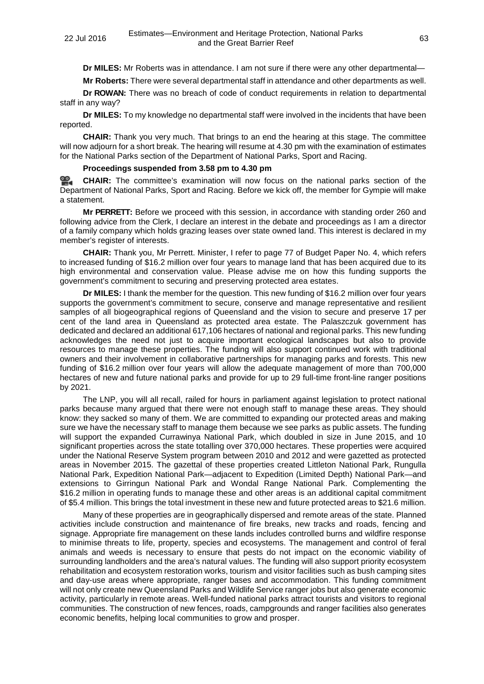**Dr MILES:** Mr Roberts was in attendance. I am not sure if there were any other departmental—

**Mr Roberts:** There were several departmental staff in attendance and other departments as well.

**Dr ROWAN:** There was no breach of code of conduct requirements in relation to departmental staff in any way?

**Dr MILES:** To my knowledge no departmental staff were involved in the incidents that have been reported.

**CHAIR:** Thank you very much. That brings to an end the hearing at this stage. The committee will now adjourn for a short break. The hearing will resume at 4.30 pm with the examination of estimates for the National Parks section of the Department of National Parks, Sport and Racing.

# **Proceedings suspended from 3.58 pm to 4.30 pm**

≌. **[CHAIR:](http://www.parliament.qld.gov.au/docs/find.aspx?id=0Mba20160722_163050)** The committee's examination will now focus on the national parks section of the Department of National Parks, Sport and Racing. Before we kick off, the member for Gympie will make a statement.

**Mr PERRETT:** Before we proceed with this session, in accordance with standing order 260 and following advice from the Clerk, I declare an interest in the debate and proceedings as I am a director of a family company which holds grazing leases over state owned land. This interest is declared in my member's register of interests.

**CHAIR:** Thank you, Mr Perrett. Minister, I refer to page 77 of Budget Paper No. 4, which refers to increased funding of \$16.2 million over four years to manage land that has been acquired due to its high environmental and conservation value. Please advise me on how this funding supports the government's commitment to securing and preserving protected area estates.

**Dr MILES:** I thank the member for the question. This new funding of \$16.2 million over four years supports the government's commitment to secure, conserve and manage representative and resilient samples of all biogeographical regions of Queensland and the vision to secure and preserve 17 per cent of the land area in Queensland as protected area estate. The Palaszczuk government has dedicated and declared an additional 617,106 hectares of national and regional parks. This new funding acknowledges the need not just to acquire important ecological landscapes but also to provide resources to manage these properties. The funding will also support continued work with traditional owners and their involvement in collaborative partnerships for managing parks and forests. This new funding of \$16.2 million over four years will allow the adequate management of more than 700,000 hectares of new and future national parks and provide for up to 29 full-time front-line ranger positions by 2021.

The LNP, you will all recall, railed for hours in parliament against legislation to protect national parks because many argued that there were not enough staff to manage these areas. They should know: they sacked so many of them. We are committed to expanding our protected areas and making sure we have the necessary staff to manage them because we see parks as public assets. The funding will support the expanded Currawinya National Park, which doubled in size in June 2015, and 10 significant properties across the state totalling over 370,000 hectares. These properties were acquired under the National Reserve System program between 2010 and 2012 and were gazetted as protected areas in November 2015. The gazettal of these properties created Littleton National Park, Rungulla National Park, Expedition National Park—adjacent to Expedition (Limited Depth) National Park—and extensions to Girringun National Park and Wondal Range National Park. Complementing the \$16.2 million in operating funds to manage these and other areas is an additional capital commitment of \$5.4 million. This brings the total investment in these new and future protected areas to \$21.6 million.

Many of these properties are in geographically dispersed and remote areas of the state. Planned activities include construction and maintenance of fire breaks, new tracks and roads, fencing and signage. Appropriate fire management on these lands includes controlled burns and wildfire response to minimise threats to life, property, species and ecosystems. The management and control of feral animals and weeds is necessary to ensure that pests do not impact on the economic viability of surrounding landholders and the area's natural values. The funding will also support priority ecosystem rehabilitation and ecosystem restoration works, tourism and visitor facilities such as bush camping sites and day-use areas where appropriate, ranger bases and accommodation. This funding commitment will not only create new Queensland Parks and Wildlife Service ranger jobs but also generate economic activity, particularly in remote areas. Well-funded national parks attract tourists and visitors to regional communities. The construction of new fences, roads, campgrounds and ranger facilities also generates economic benefits, helping local communities to grow and prosper.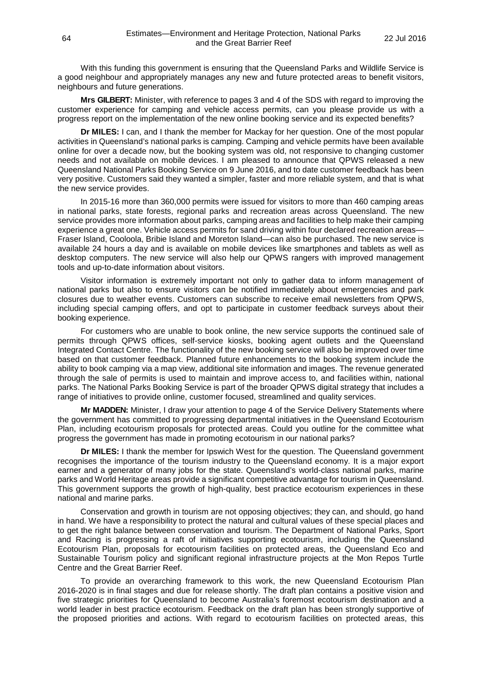With this funding this government is ensuring that the Queensland Parks and Wildlife Service is a good neighbour and appropriately manages any new and future protected areas to benefit visitors, neighbours and future generations.

**Mrs GILBERT:** Minister, with reference to pages 3 and 4 of the SDS with regard to improving the customer experience for camping and vehicle access permits, can you please provide us with a progress report on the implementation of the new online booking service and its expected benefits?

**Dr MILES:** I can, and I thank the member for Mackay for her question. One of the most popular activities in Queensland's national parks is camping. Camping and vehicle permits have been available online for over a decade now, but the booking system was old, not responsive to changing customer needs and not available on mobile devices. I am pleased to announce that QPWS released a new Queensland National Parks Booking Service on 9 June 2016, and to date customer feedback has been very positive. Customers said they wanted a simpler, faster and more reliable system, and that is what the new service provides.

In 2015-16 more than 360,000 permits were issued for visitors to more than 460 camping areas in national parks, state forests, regional parks and recreation areas across Queensland. The new service provides more information about parks, camping areas and facilities to help make their camping experience a great one. Vehicle access permits for sand driving within four declared recreation areas— Fraser Island, Cooloola, Bribie Island and Moreton Island—can also be purchased. The new service is available 24 hours a day and is available on mobile devices like smartphones and tablets as well as desktop computers. The new service will also help our QPWS rangers with improved management tools and up-to-date information about visitors.

Visitor information is extremely important not only to gather data to inform management of national parks but also to ensure visitors can be notified immediately about emergencies and park closures due to weather events. Customers can subscribe to receive email newsletters from QPWS, including special camping offers, and opt to participate in customer feedback surveys about their booking experience.

For customers who are unable to book online, the new service supports the continued sale of permits through QPWS offices, self-service kiosks, booking agent outlets and the Queensland Integrated Contact Centre. The functionality of the new booking service will also be improved over time based on that customer feedback. Planned future enhancements to the booking system include the ability to book camping via a map view, additional site information and images. The revenue generated through the sale of permits is used to maintain and improve access to, and facilities within, national parks. The National Parks Booking Service is part of the broader QPWS digital strategy that includes a range of initiatives to provide online, customer focused, streamlined and quality services.

**Mr MADDEN:** Minister, I draw your attention to page 4 of the Service Delivery Statements where the government has committed to progressing departmental initiatives in the Queensland Ecotourism Plan, including ecotourism proposals for protected areas. Could you outline for the committee what progress the government has made in promoting ecotourism in our national parks?

**Dr MILES:** I thank the member for Ipswich West for the question. The Queensland government recognises the importance of the tourism industry to the Queensland economy. It is a major export earner and a generator of many jobs for the state. Queensland's world-class national parks, marine parks and World Heritage areas provide a significant competitive advantage for tourism in Queensland. This government supports the growth of high-quality, best practice ecotourism experiences in these national and marine parks.

Conservation and growth in tourism are not opposing objectives; they can, and should, go hand in hand. We have a responsibility to protect the natural and cultural values of these special places and to get the right balance between conservation and tourism. The Department of National Parks, Sport and Racing is progressing a raft of initiatives supporting ecotourism, including the Queensland Ecotourism Plan, proposals for ecotourism facilities on protected areas, the Queensland Eco and Sustainable Tourism policy and significant regional infrastructure projects at the Mon Repos Turtle Centre and the Great Barrier Reef.

To provide an overarching framework to this work, the new Queensland Ecotourism Plan 2016-2020 is in final stages and due for release shortly. The draft plan contains a positive vision and five strategic priorities for Queensland to become Australia's foremost ecotourism destination and a world leader in best practice ecotourism. Feedback on the draft plan has been strongly supportive of the proposed priorities and actions. With regard to ecotourism facilities on protected areas, this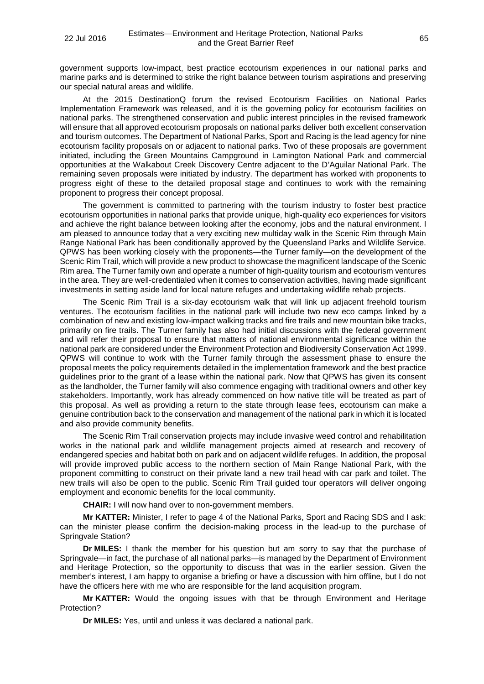government supports low-impact, best practice ecotourism experiences in our national parks and marine parks and is determined to strike the right balance between tourism aspirations and preserving our special natural areas and wildlife.

At the 2015 DestinationQ forum the revised Ecotourism Facilities on National Parks Implementation Framework was released, and it is the governing policy for ecotourism facilities on national parks. The strengthened conservation and public interest principles in the revised framework will ensure that all approved ecotourism proposals on national parks deliver both excellent conservation and tourism outcomes. The Department of National Parks, Sport and Racing is the lead agency for nine ecotourism facility proposals on or adjacent to national parks. Two of these proposals are government initiated, including the Green Mountains Campground in Lamington National Park and commercial opportunities at the Walkabout Creek Discovery Centre adjacent to the D'Aguilar National Park. The remaining seven proposals were initiated by industry. The department has worked with proponents to progress eight of these to the detailed proposal stage and continues to work with the remaining proponent to progress their concept proposal.

The government is committed to partnering with the tourism industry to foster best practice ecotourism opportunities in national parks that provide unique, high-quality eco experiences for visitors and achieve the right balance between looking after the economy, jobs and the natural environment. I am pleased to announce today that a very exciting new multiday walk in the Scenic Rim through Main Range National Park has been conditionally approved by the Queensland Parks and Wildlife Service. QPWS has been working closely with the proponents—the Turner family—on the development of the Scenic Rim Trail, which will provide a new product to showcase the magnificent landscape of the Scenic Rim area. The Turner family own and operate a number of high-quality tourism and ecotourism ventures in the area. They are well-credentialed when it comes to conservation activities, having made significant investments in setting aside land for local nature refuges and undertaking wildlife rehab projects.

The Scenic Rim Trail is a six-day ecotourism walk that will link up adjacent freehold tourism ventures. The ecotourism facilities in the national park will include two new eco camps linked by a combination of new and existing low-impact walking tracks and fire trails and new mountain bike tracks, primarily on fire trails. The Turner family has also had initial discussions with the federal government and will refer their proposal to ensure that matters of national environmental significance within the national park are considered under the Environment Protection and Biodiversity Conservation Act 1999. QPWS will continue to work with the Turner family through the assessment phase to ensure the proposal meets the policy requirements detailed in the implementation framework and the best practice guidelines prior to the grant of a lease within the national park. Now that QPWS has given its consent as the landholder, the Turner family will also commence engaging with traditional owners and other key stakeholders. Importantly, work has already commenced on how native title will be treated as part of this proposal. As well as providing a return to the state through lease fees, ecotourism can make a genuine contribution back to the conservation and management of the national park in which it is located and also provide community benefits.

The Scenic Rim Trail conservation projects may include invasive weed control and rehabilitation works in the national park and wildlife management projects aimed at research and recovery of endangered species and habitat both on park and on adjacent wildlife refuges. In addition, the proposal will provide improved public access to the northern section of Main Range National Park, with the proponent committing to construct on their private land a new trail head with car park and toilet. The new trails will also be open to the public. Scenic Rim Trail guided tour operators will deliver ongoing employment and economic benefits for the local community.

**CHAIR:** I will now hand over to non-government members.

**Mr KATTER:** Minister, I refer to page 4 of the National Parks, Sport and Racing SDS and I ask: can the minister please confirm the decision-making process in the lead-up to the purchase of Springvale Station?

**Dr MILES:** I thank the member for his question but am sorry to say that the purchase of Springvale—in fact, the purchase of all national parks—is managed by the Department of Environment and Heritage Protection, so the opportunity to discuss that was in the earlier session. Given the member's interest, I am happy to organise a briefing or have a discussion with him offline, but I do not have the officers here with me who are responsible for the land acquisition program.

**Mr KATTER:** Would the ongoing issues with that be through Environment and Heritage Protection?

**Dr MILES:** Yes, until and unless it was declared a national park.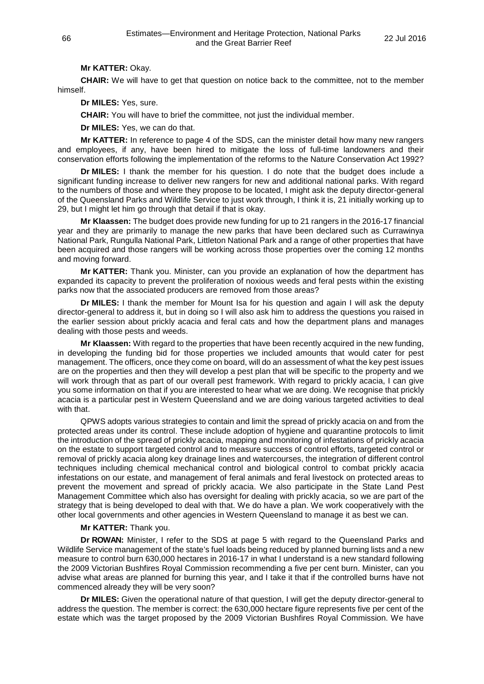#### **Mr KATTER:** Okay.

**CHAIR:** We will have to get that question on notice back to the committee, not to the member himself.

**Dr MILES:** Yes, sure.

**CHAIR:** You will have to brief the committee, not just the individual member.

**Dr MILES:** Yes, we can do that.

**Mr KATTER:** In reference to page 4 of the SDS, can the minister detail how many new rangers and employees, if any, have been hired to mitigate the loss of full-time landowners and their conservation efforts following the implementation of the reforms to the Nature Conservation Act 1992?

**Dr MILES:** I thank the member for his question. I do note that the budget does include a significant funding increase to deliver new rangers for new and additional national parks. With regard to the numbers of those and where they propose to be located, I might ask the deputy director-general of the Queensland Parks and Wildlife Service to just work through, I think it is, 21 initially working up to 29, but I might let him go through that detail if that is okay.

**Mr Klaassen:** The budget does provide new funding for up to 21 rangers in the 2016-17 financial year and they are primarily to manage the new parks that have been declared such as Currawinya National Park, Rungulla National Park, Littleton National Park and a range of other properties that have been acquired and those rangers will be working across those properties over the coming 12 months and moving forward.

**Mr KATTER:** Thank you. Minister, can you provide an explanation of how the department has expanded its capacity to prevent the proliferation of noxious weeds and feral pests within the existing parks now that the associated producers are removed from those areas?

**Dr MILES:** I thank the member for Mount Isa for his question and again I will ask the deputy director-general to address it, but in doing so I will also ask him to address the questions you raised in the earlier session about prickly acacia and feral cats and how the department plans and manages dealing with those pests and weeds.

**Mr Klaassen:** With regard to the properties that have been recently acquired in the new funding, in developing the funding bid for those properties we included amounts that would cater for pest management. The officers, once they come on board, will do an assessment of what the key pest issues are on the properties and then they will develop a pest plan that will be specific to the property and we will work through that as part of our overall pest framework. With regard to prickly acacia, I can give you some information on that if you are interested to hear what we are doing. We recognise that prickly acacia is a particular pest in Western Queensland and we are doing various targeted activities to deal with that.

QPWS adopts various strategies to contain and limit the spread of prickly acacia on and from the protected areas under its control. These include adoption of hygiene and quarantine protocols to limit the introduction of the spread of prickly acacia, mapping and monitoring of infestations of prickly acacia on the estate to support targeted control and to measure success of control efforts, targeted control or removal of prickly acacia along key drainage lines and watercourses, the integration of different control techniques including chemical mechanical control and biological control to combat prickly acacia infestations on our estate, and management of feral animals and feral livestock on protected areas to prevent the movement and spread of prickly acacia. We also participate in the State Land Pest Management Committee which also has oversight for dealing with prickly acacia, so we are part of the strategy that is being developed to deal with that. We do have a plan. We work cooperatively with the other local governments and other agencies in Western Queensland to manage it as best we can.

#### **Mr KATTER:** Thank you.

**Dr ROWAN:** Minister, I refer to the SDS at page 5 with regard to the Queensland Parks and Wildlife Service management of the state's fuel loads being reduced by planned burning lists and a new measure to control burn 630,000 hectares in 2016-17 in what I understand is a new standard following the 2009 Victorian Bushfires Royal Commission recommending a five per cent burn. Minister, can you advise what areas are planned for burning this year, and I take it that if the controlled burns have not commenced already they will be very soon?

**Dr MILES:** Given the operational nature of that question, I will get the deputy director-general to address the question. The member is correct: the 630,000 hectare figure represents five per cent of the estate which was the target proposed by the 2009 Victorian Bushfires Royal Commission. We have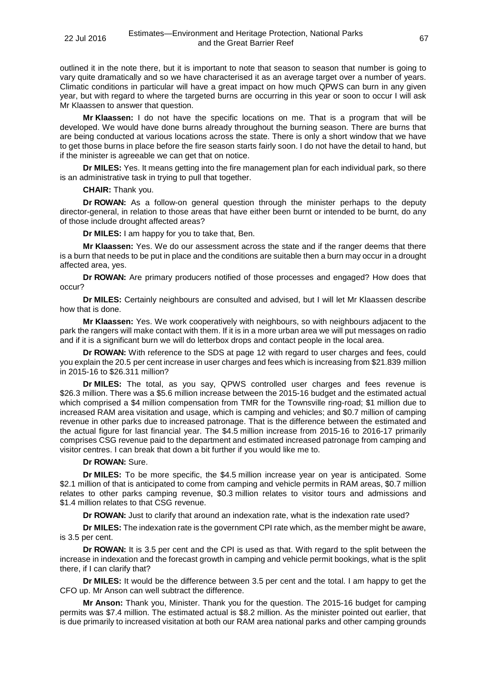outlined it in the note there, but it is important to note that season to season that number is going to vary quite dramatically and so we have characterised it as an average target over a number of years. Climatic conditions in particular will have a great impact on how much QPWS can burn in any given year, but with regard to where the targeted burns are occurring in this year or soon to occur I will ask Mr Klaassen to answer that question.

**Mr Klaassen:** I do not have the specific locations on me. That is a program that will be developed. We would have done burns already throughout the burning season. There are burns that are being conducted at various locations across the state. There is only a short window that we have to get those burns in place before the fire season starts fairly soon. I do not have the detail to hand, but if the minister is agreeable we can get that on notice.

**Dr MILES:** Yes. It means getting into the fire management plan for each individual park, so there is an administrative task in trying to pull that together.

**CHAIR:** Thank you.

**Dr ROWAN:** As a follow-on general question through the minister perhaps to the deputy director-general, in relation to those areas that have either been burnt or intended to be burnt, do any of those include drought affected areas?

**Dr MILES:** I am happy for you to take that, Ben.

**Mr Klaassen:** Yes. We do our assessment across the state and if the ranger deems that there is a burn that needs to be put in place and the conditions are suitable then a burn may occur in a drought affected area, yes.

**Dr ROWAN:** Are primary producers notified of those processes and engaged? How does that occur?

**Dr MILES:** Certainly neighbours are consulted and advised, but I will let Mr Klaassen describe how that is done.

**Mr Klaassen:** Yes. We work cooperatively with neighbours, so with neighbours adjacent to the park the rangers will make contact with them. If it is in a more urban area we will put messages on radio and if it is a significant burn we will do letterbox drops and contact people in the local area.

**Dr ROWAN:** With reference to the SDS at page 12 with regard to user charges and fees, could you explain the 20.5 per cent increase in user charges and fees which is increasing from \$21.839 million in 2015-16 to \$26.311 million?

**Dr MILES:** The total, as you say, QPWS controlled user charges and fees revenue is \$26.3 million. There was a \$5.6 million increase between the 2015-16 budget and the estimated actual which comprised a \$4 million compensation from TMR for the Townsville ring-road; \$1 million due to increased RAM area visitation and usage, which is camping and vehicles; and \$0.7 million of camping revenue in other parks due to increased patronage. That is the difference between the estimated and the actual figure for last financial year. The \$4.5 million increase from 2015-16 to 2016-17 primarily comprises CSG revenue paid to the department and estimated increased patronage from camping and visitor centres. I can break that down a bit further if you would like me to.

## **Dr ROWAN:** Sure.

**Dr MILES:** To be more specific, the \$4.5 million increase year on year is anticipated. Some \$2.1 million of that is anticipated to come from camping and vehicle permits in RAM areas, \$0.7 million relates to other parks camping revenue, \$0.3 million relates to visitor tours and admissions and \$1.4 million relates to that CSG revenue.

**Dr ROWAN:** Just to clarify that around an indexation rate, what is the indexation rate used?

**Dr MILES:** The indexation rate is the government CPI rate which, as the member might be aware, is 3.5 per cent.

**Dr ROWAN:** It is 3.5 per cent and the CPI is used as that. With regard to the split between the increase in indexation and the forecast growth in camping and vehicle permit bookings, what is the split there, if I can clarify that?

**Dr MILES:** It would be the difference between 3.5 per cent and the total. I am happy to get the CFO up. Mr Anson can well subtract the difference.

**Mr Anson:** Thank you, Minister. Thank you for the question. The 2015-16 budget for camping permits was \$7.4 million. The estimated actual is \$8.2 million. As the minister pointed out earlier, that is due primarily to increased visitation at both our RAM area national parks and other camping grounds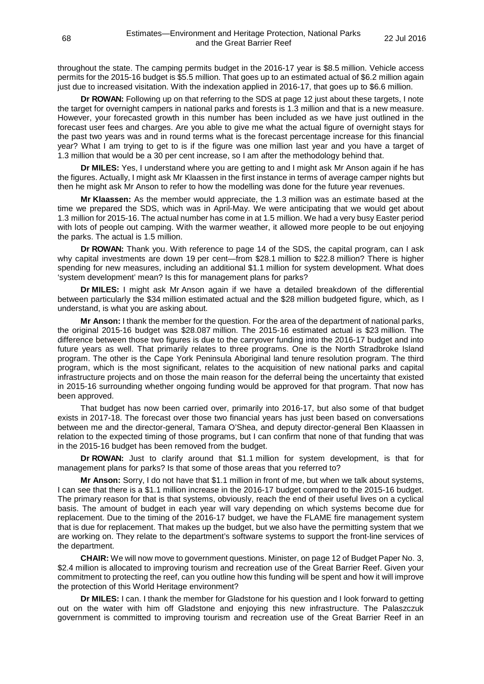throughout the state. The camping permits budget in the 2016-17 year is \$8.5 million. Vehicle access permits for the 2015-16 budget is \$5.5 million. That goes up to an estimated actual of \$6.2 million again just due to increased visitation. With the indexation applied in 2016-17, that goes up to \$6.6 million.

**Dr ROWAN:** Following up on that referring to the SDS at page 12 just about these targets, I note the target for overnight campers in national parks and forests is 1.3 million and that is a new measure. However, your forecasted growth in this number has been included as we have just outlined in the forecast user fees and charges. Are you able to give me what the actual figure of overnight stays for the past two years was and in round terms what is the forecast percentage increase for this financial year? What I am trying to get to is if the figure was one million last year and you have a target of 1.3 million that would be a 30 per cent increase, so I am after the methodology behind that.

**Dr MILES:** Yes, I understand where you are getting to and I might ask Mr Anson again if he has the figures. Actually, I might ask Mr Klaassen in the first instance in terms of average camper nights but then he might ask Mr Anson to refer to how the modelling was done for the future year revenues.

**Mr Klaassen:** As the member would appreciate, the 1.3 million was an estimate based at the time we prepared the SDS, which was in April-May. We were anticipating that we would get about 1.3 million for 2015-16. The actual number has come in at 1.5 million. We had a very busy Easter period with lots of people out camping. With the warmer weather, it allowed more people to be out enjoying the parks. The actual is 1.5 million.

**Dr ROWAN:** Thank you. With reference to page 14 of the SDS, the capital program, can I ask why capital investments are down 19 per cent—from \$28.1 million to \$22.8 million? There is higher spending for new measures, including an additional \$1.1 million for system development. What does 'system development' mean? Is this for management plans for parks?

**Dr MILES:** I might ask Mr Anson again if we have a detailed breakdown of the differential between particularly the \$34 million estimated actual and the \$28 million budgeted figure, which, as I understand, is what you are asking about.

**Mr Anson:** I thank the member for the question. For the area of the department of national parks, the original 2015-16 budget was \$28.087 million. The 2015-16 estimated actual is \$23 million. The difference between those two figures is due to the carryover funding into the 2016-17 budget and into future years as well. That primarily relates to three programs. One is the North Stradbroke Island program. The other is the Cape York Peninsula Aboriginal land tenure resolution program. The third program, which is the most significant, relates to the acquisition of new national parks and capital infrastructure projects and on those the main reason for the deferral being the uncertainty that existed in 2015-16 surrounding whether ongoing funding would be approved for that program. That now has been approved.

That budget has now been carried over, primarily into 2016-17, but also some of that budget exists in 2017-18. The forecast over those two financial years has just been based on conversations between me and the director-general, Tamara O'Shea, and deputy director-general Ben Klaassen in relation to the expected timing of those programs, but I can confirm that none of that funding that was in the 2015-16 budget has been removed from the budget.

**Dr ROWAN:** Just to clarify around that \$1.1 million for system development, is that for management plans for parks? Is that some of those areas that you referred to?

**Mr Anson:** Sorry, I do not have that \$1.1 million in front of me, but when we talk about systems, I can see that there is a \$1.1 million increase in the 2016-17 budget compared to the 2015-16 budget. The primary reason for that is that systems, obviously, reach the end of their useful lives on a cyclical basis. The amount of budget in each year will vary depending on which systems become due for replacement. Due to the timing of the 2016-17 budget, we have the FLAME fire management system that is due for replacement. That makes up the budget, but we also have the permitting system that we are working on. They relate to the department's software systems to support the front-line services of the department.

**CHAIR:** We will now move to government questions. Minister, on page 12 of Budget Paper No. 3, \$2.4 million is allocated to improving tourism and recreation use of the Great Barrier Reef. Given your commitment to protecting the reef, can you outline how this funding will be spent and how it will improve the protection of this World Heritage environment?

**Dr MILES:** I can. I thank the member for Gladstone for his question and I look forward to getting out on the water with him off Gladstone and enjoying this new infrastructure. The Palaszczuk government is committed to improving tourism and recreation use of the Great Barrier Reef in an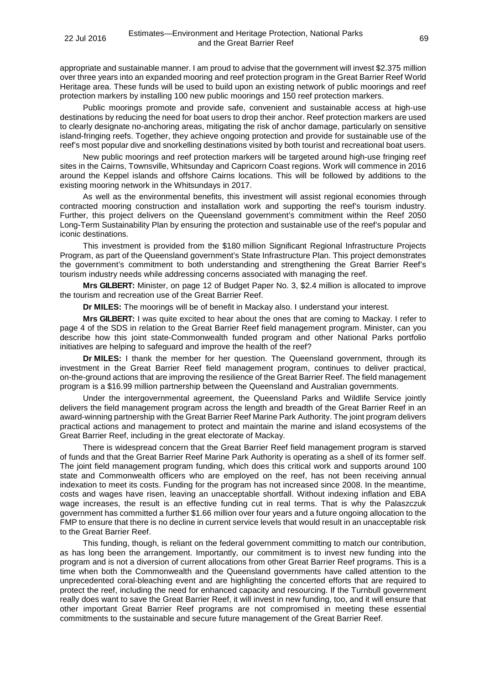appropriate and sustainable manner. I am proud to advise that the government will invest \$2.375 million over three years into an expanded mooring and reef protection program in the Great Barrier Reef World Heritage area. These funds will be used to build upon an existing network of public moorings and reef protection markers by installing 100 new public moorings and 150 reef protection markers.

Public moorings promote and provide safe, convenient and sustainable access at high-use destinations by reducing the need for boat users to drop their anchor. Reef protection markers are used to clearly designate no-anchoring areas, mitigating the risk of anchor damage, particularly on sensitive island-fringing reefs. Together, they achieve ongoing protection and provide for sustainable use of the reef's most popular dive and snorkelling destinations visited by both tourist and recreational boat users.

New public moorings and reef protection markers will be targeted around high-use fringing reef sites in the Cairns, Townsville, Whitsunday and Capricorn Coast regions. Work will commence in 2016 around the Keppel islands and offshore Cairns locations. This will be followed by additions to the existing mooring network in the Whitsundays in 2017.

As well as the environmental benefits, this investment will assist regional economies through contracted mooring construction and installation work and supporting the reef's tourism industry. Further, this project delivers on the Queensland government's commitment within the Reef 2050 Long-Term Sustainability Plan by ensuring the protection and sustainable use of the reef's popular and iconic destinations.

This investment is provided from the \$180 million Significant Regional Infrastructure Projects Program, as part of the Queensland government's State Infrastructure Plan. This project demonstrates the government's commitment to both understanding and strengthening the Great Barrier Reef's tourism industry needs while addressing concerns associated with managing the reef.

**Mrs GILBERT:** Minister, on page 12 of Budget Paper No. 3, \$2.4 million is allocated to improve the tourism and recreation use of the Great Barrier Reef.

**Dr MILES:** The moorings will be of benefit in Mackay also. I understand your interest.

**Mrs GILBERT:** I was quite excited to hear about the ones that are coming to Mackay. I refer to page 4 of the SDS in relation to the Great Barrier Reef field management program. Minister, can you describe how this joint state-Commonwealth funded program and other National Parks portfolio initiatives are helping to safeguard and improve the health of the reef?

**Dr MILES:** I thank the member for her question. The Queensland government, through its investment in the Great Barrier Reef field management program, continues to deliver practical, on-the-ground actions that are improving the resilience of the Great Barrier Reef. The field management program is a \$16.99 million partnership between the Queensland and Australian governments.

Under the intergovernmental agreement, the Queensland Parks and Wildlife Service jointly delivers the field management program across the length and breadth of the Great Barrier Reef in an award-winning partnership with the Great Barrier Reef Marine Park Authority. The joint program delivers practical actions and management to protect and maintain the marine and island ecosystems of the Great Barrier Reef, including in the great electorate of Mackay.

There is widespread concern that the Great Barrier Reef field management program is starved of funds and that the Great Barrier Reef Marine Park Authority is operating as a shell of its former self. The joint field management program funding, which does this critical work and supports around 100 state and Commonwealth officers who are employed on the reef, has not been receiving annual indexation to meet its costs. Funding for the program has not increased since 2008. In the meantime, costs and wages have risen, leaving an unacceptable shortfall. Without indexing inflation and EBA wage increases, the result is an effective funding cut in real terms. That is why the Palaszczuk government has committed a further \$1.66 million over four years and a future ongoing allocation to the FMP to ensure that there is no decline in current service levels that would result in an unacceptable risk to the Great Barrier Reef.

This funding, though, is reliant on the federal government committing to match our contribution, as has long been the arrangement. Importantly, our commitment is to invest new funding into the program and is not a diversion of current allocations from other Great Barrier Reef programs. This is a time when both the Commonwealth and the Queensland governments have called attention to the unprecedented coral-bleaching event and are highlighting the concerted efforts that are required to protect the reef, including the need for enhanced capacity and resourcing. If the Turnbull government really does want to save the Great Barrier Reef, it will invest in new funding, too, and it will ensure that other important Great Barrier Reef programs are not compromised in meeting these essential commitments to the sustainable and secure future management of the Great Barrier Reef.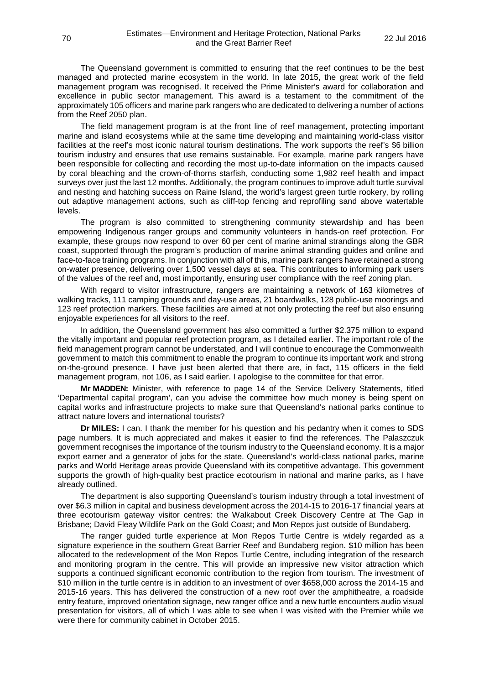The Queensland government is committed to ensuring that the reef continues to be the best managed and protected marine ecosystem in the world. In late 2015, the great work of the field management program was recognised. It received the Prime Minister's award for collaboration and excellence in public sector management. This award is a testament to the commitment of the approximately 105 officers and marine park rangers who are dedicated to delivering a number of actions from the Reef 2050 plan.

The field management program is at the front line of reef management, protecting important marine and island ecosystems while at the same time developing and maintaining world-class visitor facilities at the reef's most iconic natural tourism destinations. The work supports the reef's \$6 billion tourism industry and ensures that use remains sustainable. For example, marine park rangers have been responsible for collecting and recording the most up-to-date information on the impacts caused by coral bleaching and the crown-of-thorns starfish, conducting some 1,982 reef health and impact surveys over just the last 12 months. Additionally, the program continues to improve adult turtle survival and nesting and hatching success on Raine Island, the world's largest green turtle rookery, by rolling out adaptive management actions, such as cliff-top fencing and reprofiling sand above watertable levels.

The program is also committed to strengthening community stewardship and has been empowering Indigenous ranger groups and community volunteers in hands-on reef protection. For example, these groups now respond to over 60 per cent of marine animal strandings along the GBR coast, supported through the program's production of marine animal stranding guides and online and face-to-face training programs. In conjunction with all of this, marine park rangers have retained a strong on-water presence, delivering over 1,500 vessel days at sea. This contributes to informing park users of the values of the reef and, most importantly, ensuring user compliance with the reef zoning plan.

With regard to visitor infrastructure, rangers are maintaining a network of 163 kilometres of walking tracks, 111 camping grounds and day-use areas, 21 boardwalks, 128 public-use moorings and 123 reef protection markers. These facilities are aimed at not only protecting the reef but also ensuring enjoyable experiences for all visitors to the reef.

In addition, the Queensland government has also committed a further \$2.375 million to expand the vitally important and popular reef protection program, as I detailed earlier. The important role of the field management program cannot be understated, and I will continue to encourage the Commonwealth government to match this commitment to enable the program to continue its important work and strong on-the-ground presence. I have just been alerted that there are, in fact, 115 officers in the field management program, not 106, as I said earlier. I apologise to the committee for that error.

**Mr MADDEN:** Minister, with reference to page 14 of the Service Delivery Statements, titled 'Departmental capital program', can you advise the committee how much money is being spent on capital works and infrastructure projects to make sure that Queensland's national parks continue to attract nature lovers and international tourists?

**Dr MILES:** I can. I thank the member for his question and his pedantry when it comes to SDS page numbers. It is much appreciated and makes it easier to find the references. The Palaszczuk government recognises the importance of the tourism industry to the Queensland economy. It is a major export earner and a generator of jobs for the state. Queensland's world-class national parks, marine parks and World Heritage areas provide Queensland with its competitive advantage. This government supports the growth of high-quality best practice ecotourism in national and marine parks, as I have already outlined.

The department is also supporting Queensland's tourism industry through a total investment of over \$6.3 million in capital and business development across the 2014-15 to 2016-17 financial years at three ecotourism gateway visitor centres: the Walkabout Creek Discovery Centre at The Gap in Brisbane; David Fleay Wildlife Park on the Gold Coast; and Mon Repos just outside of Bundaberg.

The ranger guided turtle experience at Mon Repos Turtle Centre is widely regarded as a signature experience in the southern Great Barrier Reef and Bundaberg region. \$10 million has been allocated to the redevelopment of the Mon Repos Turtle Centre, including integration of the research and monitoring program in the centre. This will provide an impressive new visitor attraction which supports a continued significant economic contribution to the region from tourism. The investment of \$10 million in the turtle centre is in addition to an investment of over \$658,000 across the 2014-15 and 2015-16 years. This has delivered the construction of a new roof over the amphitheatre, a roadside entry feature, improved orientation signage, new ranger office and a new turtle encounters audio visual presentation for visitors, all of which I was able to see when I was visited with the Premier while we were there for community cabinet in October 2015.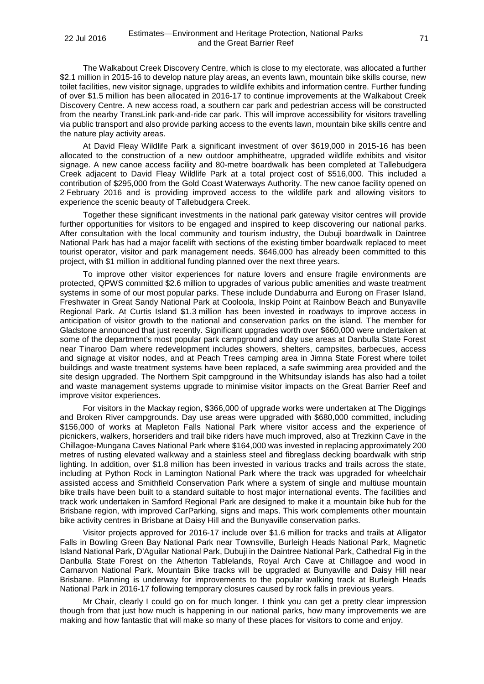The Walkabout Creek Discovery Centre, which is close to my electorate, was allocated a further \$2.1 million in 2015-16 to develop nature play areas, an events lawn, mountain bike skills course, new toilet facilities, new visitor signage, upgrades to wildlife exhibits and information centre. Further funding of over \$1.5 million has been allocated in 2016-17 to continue improvements at the Walkabout Creek Discovery Centre. A new access road, a southern car park and pedestrian access will be constructed from the nearby TransLink park-and-ride car park. This will improve accessibility for visitors travelling via public transport and also provide parking access to the events lawn, mountain bike skills centre and the nature play activity areas.

At David Fleay Wildlife Park a significant investment of over \$619,000 in 2015-16 has been allocated to the construction of a new outdoor amphitheatre, upgraded wildlife exhibits and visitor signage. A new canoe access facility and 80-metre boardwalk has been completed at Tallebudgera Creek adjacent to David Fleay Wildlife Park at a total project cost of \$516,000. This included a contribution of \$295,000 from the Gold Coast Waterways Authority. The new canoe facility opened on 2 February 2016 and is providing improved access to the wildlife park and allowing visitors to experience the scenic beauty of Tallebudgera Creek.

Together these significant investments in the national park gateway visitor centres will provide further opportunities for visitors to be engaged and inspired to keep discovering our national parks. After consultation with the local community and tourism industry, the Dubuji boardwalk in Daintree National Park has had a major facelift with sections of the existing timber boardwalk replaced to meet tourist operator, visitor and park management needs. \$646,000 has already been committed to this project, with \$1 million in additional funding planned over the next three years.

To improve other visitor experiences for nature lovers and ensure fragile environments are protected, QPWS committed \$2.6 million to upgrades of various public amenities and waste treatment systems in some of our most popular parks. These include Dundaburra and Eurong on Fraser Island, Freshwater in Great Sandy National Park at Cooloola, Inskip Point at Rainbow Beach and Bunyaville Regional Park. At Curtis Island \$1.3 million has been invested in roadways to improve access in anticipation of visitor growth to the national and conservation parks on the island. The member for Gladstone announced that just recently. Significant upgrades worth over \$660,000 were undertaken at some of the department's most popular park campground and day use areas at Danbulla State Forest near Tinaroo Dam where redevelopment includes showers, shelters, campsites, barbecues, access and signage at visitor nodes, and at Peach Trees camping area in Jimna State Forest where toilet buildings and waste treatment systems have been replaced, a safe swimming area provided and the site design upgraded. The Northern Spit campground in the Whitsunday islands has also had a toilet and waste management systems upgrade to minimise visitor impacts on the Great Barrier Reef and improve visitor experiences.

For visitors in the Mackay region, \$366,000 of upgrade works were undertaken at The Diggings and Broken River campgrounds. Day use areas were upgraded with \$680,000 committed, including \$156,000 of works at Mapleton Falls National Park where visitor access and the experience of picnickers, walkers, horseriders and trail bike riders have much improved, also at Trezkinn Cave in the Chillagoe-Mungana Caves National Park where \$164,000 was invested in replacing approximately 200 metres of rusting elevated walkway and a stainless steel and fibreglass decking boardwalk with strip lighting. In addition, over \$1.8 million has been invested in various tracks and trails across the state, including at Python Rock in Lamington National Park where the track was upgraded for wheelchair assisted access and Smithfield Conservation Park where a system of single and multiuse mountain bike trails have been built to a standard suitable to host major international events. The facilities and track work undertaken in Samford Regional Park are designed to make it a mountain bike hub for the Brisbane region, with improved CarParking, signs and maps. This work complements other mountain bike activity centres in Brisbane at Daisy Hill and the Bunyaville conservation parks.

Visitor projects approved for 2016-17 include over \$1.6 million for tracks and trails at Alligator Falls in Bowling Green Bay National Park near Townsville, Burleigh Heads National Park, Magnetic Island National Park, D'Aguilar National Park, Dubuji in the Daintree National Park, Cathedral Fig in the Danbulla State Forest on the Atherton Tablelands, Royal Arch Cave at Chillagoe and wood in Carnarvon National Park. Mountain Bike tracks will be upgraded at Bunyaville and Daisy Hill near Brisbane. Planning is underway for improvements to the popular walking track at Burleigh Heads National Park in 2016-17 following temporary closures caused by rock falls in previous years.

Mr Chair, clearly I could go on for much longer. I think you can get a pretty clear impression though from that just how much is happening in our national parks, how many improvements we are making and how fantastic that will make so many of these places for visitors to come and enjoy.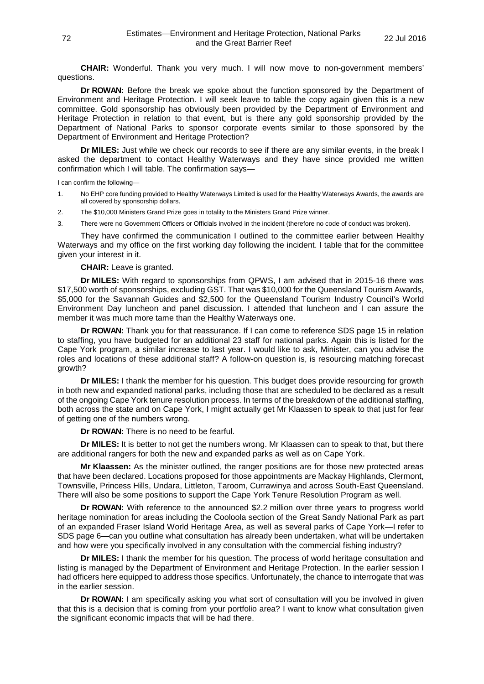**CHAIR:** Wonderful. Thank you very much. I will now move to non-government members' questions.

**Dr ROWAN:** Before the break we spoke about the function sponsored by the Department of Environment and Heritage Protection. I will seek leave to table the copy again given this is a new committee. Gold sponsorship has obviously been provided by the Department of Environment and Heritage Protection in relation to that event, but is there any gold sponsorship provided by the Department of National Parks to sponsor corporate events similar to those sponsored by the Department of Environment and Heritage Protection?

**Dr MILES:** Just while we check our records to see if there are any similar events, in the break I asked the department to contact Healthy Waterways and they have since provided me written confirmation which I will table. The confirmation says—

I can confirm the following—

- 1. No EHP core funding provided to Healthy Waterways Limited is used for the Healthy Waterways Awards, the awards are all covered by sponsorship dollars.
- 2. The \$10,000 Ministers Grand Prize goes in totality to the Ministers Grand Prize winner.
- 3. There were no Government Officers or Officials involved in the incident (therefore no code of conduct was broken).

They have confirmed the communication I outlined to the committee earlier between Healthy Waterways and my office on the first working day following the incident. I table that for the committee given your interest in it.

**CHAIR:** Leave is granted.

**Dr MILES:** With regard to sponsorships from QPWS, I am advised that in 2015-16 there was \$17,500 worth of sponsorships, excluding GST. That was \$10,000 for the Queensland Tourism Awards, \$5,000 for the Savannah Guides and \$2,500 for the Queensland Tourism Industry Council's World Environment Day luncheon and panel discussion. I attended that luncheon and I can assure the member it was much more tame than the Healthy Waterways one.

**Dr ROWAN:** Thank you for that reassurance. If I can come to reference SDS page 15 in relation to staffing, you have budgeted for an additional 23 staff for national parks. Again this is listed for the Cape York program, a similar increase to last year. I would like to ask, Minister, can you advise the roles and locations of these additional staff? A follow-on question is, is resourcing matching forecast growth?

**Dr MILES:** I thank the member for his question. This budget does provide resourcing for growth in both new and expanded national parks, including those that are scheduled to be declared as a result of the ongoing Cape York tenure resolution process. In terms of the breakdown of the additional staffing, both across the state and on Cape York, I might actually get Mr Klaassen to speak to that just for fear of getting one of the numbers wrong.

**Dr ROWAN:** There is no need to be fearful.

**Dr MILES:** It is better to not get the numbers wrong. Mr Klaassen can to speak to that, but there are additional rangers for both the new and expanded parks as well as on Cape York.

**Mr Klaassen:** As the minister outlined, the ranger positions are for those new protected areas that have been declared. Locations proposed for those appointments are Mackay Highlands, Clermont, Townsville, Princess Hills, Undara, Littleton, Taroom, Currawinya and across South-East Queensland. There will also be some positions to support the Cape York Tenure Resolution Program as well.

**Dr ROWAN:** With reference to the announced \$2.2 million over three years to progress world heritage nomination for areas including the Cooloola section of the Great Sandy National Park as part of an expanded Fraser Island World Heritage Area, as well as several parks of Cape York—I refer to SDS page 6—can you outline what consultation has already been undertaken, what will be undertaken and how were you specifically involved in any consultation with the commercial fishing industry?

**Dr MILES:** I thank the member for his question. The process of world heritage consultation and listing is managed by the Department of Environment and Heritage Protection. In the earlier session I had officers here equipped to address those specifics. Unfortunately, the chance to interrogate that was in the earlier session.

**Dr ROWAN:** I am specifically asking you what sort of consultation will you be involved in given that this is a decision that is coming from your portfolio area? I want to know what consultation given the significant economic impacts that will be had there.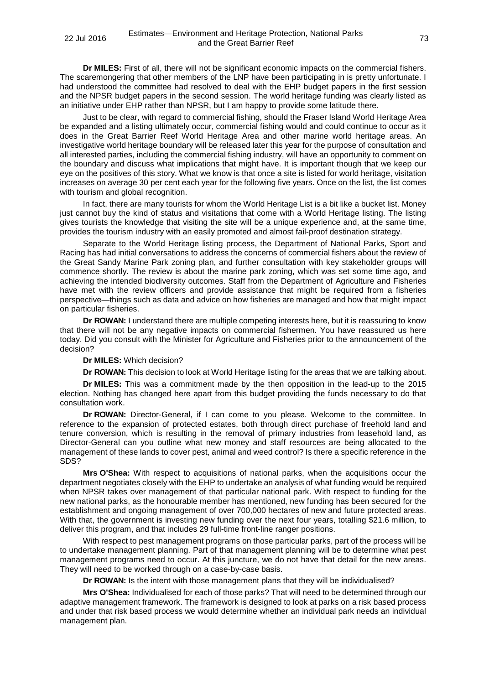**Dr MILES:** First of all, there will not be significant economic impacts on the commercial fishers. The scaremongering that other members of the LNP have been participating in is pretty unfortunate. I had understood the committee had resolved to deal with the EHP budget papers in the first session and the NPSR budget papers in the second session. The world heritage funding was clearly listed as an initiative under EHP rather than NPSR, but I am happy to provide some latitude there.

Just to be clear, with regard to commercial fishing, should the Fraser Island World Heritage Area be expanded and a listing ultimately occur, commercial fishing would and could continue to occur as it does in the Great Barrier Reef World Heritage Area and other marine world heritage areas. An investigative world heritage boundary will be released later this year for the purpose of consultation and all interested parties, including the commercial fishing industry, will have an opportunity to comment on the boundary and discuss what implications that might have. It is important though that we keep our eye on the positives of this story. What we know is that once a site is listed for world heritage, visitation increases on average 30 per cent each year for the following five years. Once on the list, the list comes with tourism and global recognition.

In fact, there are many tourists for whom the World Heritage List is a bit like a bucket list. Money just cannot buy the kind of status and visitations that come with a World Heritage listing. The listing gives tourists the knowledge that visiting the site will be a unique experience and, at the same time, provides the tourism industry with an easily promoted and almost fail-proof destination strategy.

Separate to the World Heritage listing process, the Department of National Parks, Sport and Racing has had initial conversations to address the concerns of commercial fishers about the review of the Great Sandy Marine Park zoning plan, and further consultation with key stakeholder groups will commence shortly. The review is about the marine park zoning, which was set some time ago, and achieving the intended biodiversity outcomes. Staff from the Department of Agriculture and Fisheries have met with the review officers and provide assistance that might be required from a fisheries perspective—things such as data and advice on how fisheries are managed and how that might impact on particular fisheries.

**Dr ROWAN:** I understand there are multiple competing interests here, but it is reassuring to know that there will not be any negative impacts on commercial fishermen. You have reassured us here today. Did you consult with the Minister for Agriculture and Fisheries prior to the announcement of the decision?

## **Dr MILES:** Which decision?

**Dr ROWAN:** This decision to look at World Heritage listing for the areas that we are talking about.

**Dr MILES:** This was a commitment made by the then opposition in the lead-up to the 2015 election. Nothing has changed here apart from this budget providing the funds necessary to do that consultation work.

**Dr ROWAN:** Director-General, if I can come to you please. Welcome to the committee. In reference to the expansion of protected estates, both through direct purchase of freehold land and tenure conversion, which is resulting in the removal of primary industries from leasehold land, as Director-General can you outline what new money and staff resources are being allocated to the management of these lands to cover pest, animal and weed control? Is there a specific reference in the SDS?

**Mrs O'Shea:** With respect to acquisitions of national parks, when the acquisitions occur the department negotiates closely with the EHP to undertake an analysis of what funding would be required when NPSR takes over management of that particular national park. With respect to funding for the new national parks, as the honourable member has mentioned, new funding has been secured for the establishment and ongoing management of over 700,000 hectares of new and future protected areas. With that, the government is investing new funding over the next four years, totalling \$21.6 million, to deliver this program, and that includes 29 full-time front-line ranger positions.

With respect to pest management programs on those particular parks, part of the process will be to undertake management planning. Part of that management planning will be to determine what pest management programs need to occur. At this juncture, we do not have that detail for the new areas. They will need to be worked through on a case-by-case basis.

**Dr ROWAN:** Is the intent with those management plans that they will be individualised?

**Mrs O'Shea:** Individualised for each of those parks? That will need to be determined through our adaptive management framework. The framework is designed to look at parks on a risk based process and under that risk based process we would determine whether an individual park needs an individual management plan.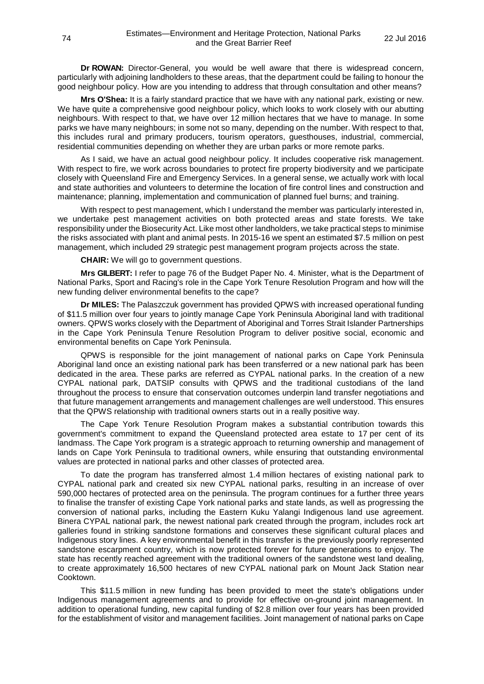**Dr ROWAN:** Director-General, you would be well aware that there is widespread concern, particularly with adjoining landholders to these areas, that the department could be failing to honour the good neighbour policy. How are you intending to address that through consultation and other means?

**Mrs O'Shea:** It is a fairly standard practice that we have with any national park, existing or new. We have quite a comprehensive good neighbour policy, which looks to work closely with our abutting neighbours. With respect to that, we have over 12 million hectares that we have to manage. In some parks we have many neighbours; in some not so many, depending on the number. With respect to that, this includes rural and primary producers, tourism operators, guesthouses, industrial, commercial, residential communities depending on whether they are urban parks or more remote parks.

As I said, we have an actual good neighbour policy. It includes cooperative risk management. With respect to fire, we work across boundaries to protect fire property biodiversity and we participate closely with Queensland Fire and Emergency Services. In a general sense, we actually work with local and state authorities and volunteers to determine the location of fire control lines and construction and maintenance; planning, implementation and communication of planned fuel burns; and training.

With respect to pest management, which I understand the member was particularly interested in, we undertake pest management activities on both protected areas and state forests. We take responsibility under the Biosecurity Act. Like most other landholders, we take practical steps to minimise the risks associated with plant and animal pests. In 2015-16 we spent an estimated \$7.5 million on pest management, which included 29 strategic pest management program projects across the state.

**CHAIR:** We will go to government questions.

**Mrs GILBERT:** I refer to page 76 of the Budget Paper No. 4. Minister, what is the Department of National Parks, Sport and Racing's role in the Cape York Tenure Resolution Program and how will the new funding deliver environmental benefits to the cape?

**Dr MILES:** The Palaszczuk government has provided QPWS with increased operational funding of \$11.5 million over four years to jointly manage Cape York Peninsula Aboriginal land with traditional owners. QPWS works closely with the Department of Aboriginal and Torres Strait Islander Partnerships in the Cape York Peninsula Tenure Resolution Program to deliver positive social, economic and environmental benefits on Cape York Peninsula.

QPWS is responsible for the joint management of national parks on Cape York Peninsula Aboriginal land once an existing national park has been transferred or a new national park has been dedicated in the area. These parks are referred as CYPAL national parks. In the creation of a new CYPAL national park, DATSIP consults with QPWS and the traditional custodians of the land throughout the process to ensure that conservation outcomes underpin land transfer negotiations and that future management arrangements and management challenges are well understood. This ensures that the QPWS relationship with traditional owners starts out in a really positive way.

The Cape York Tenure Resolution Program makes a substantial contribution towards this government's commitment to expand the Queensland protected area estate to 17 per cent of its landmass. The Cape York program is a strategic approach to returning ownership and management of lands on Cape York Peninsula to traditional owners, while ensuring that outstanding environmental values are protected in national parks and other classes of protected area.

To date the program has transferred almost 1.4 million hectares of existing national park to CYPAL national park and created six new CYPAL national parks, resulting in an increase of over 590,000 hectares of protected area on the peninsula. The program continues for a further three years to finalise the transfer of existing Cape York national parks and state lands, as well as progressing the conversion of national parks, including the Eastern Kuku Yalangi Indigenous land use agreement. Binera CYPAL national park, the newest national park created through the program, includes rock art galleries found in striking sandstone formations and conserves these significant cultural places and Indigenous story lines. A key environmental benefit in this transfer is the previously poorly represented sandstone escarpment country, which is now protected forever for future generations to enjoy. The state has recently reached agreement with the traditional owners of the sandstone west land dealing, to create approximately 16,500 hectares of new CYPAL national park on Mount Jack Station near Cooktown.

This \$11.5 million in new funding has been provided to meet the state's obligations under Indigenous management agreements and to provide for effective on-ground joint management. In addition to operational funding, new capital funding of \$2.8 million over four years has been provided for the establishment of visitor and management facilities. Joint management of national parks on Cape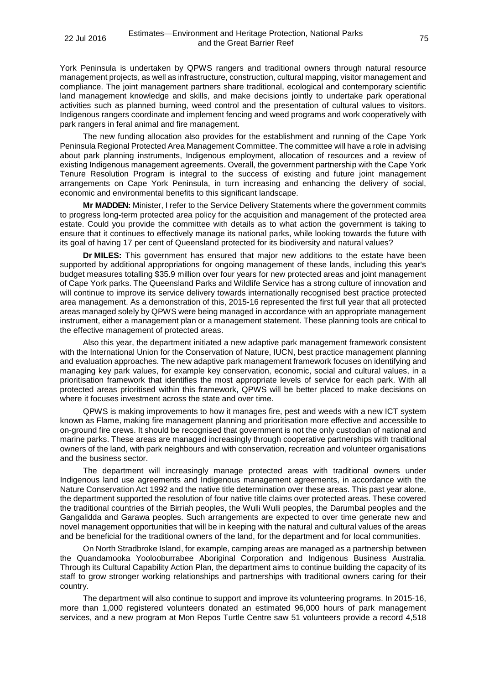York Peninsula is undertaken by QPWS rangers and traditional owners through natural resource management projects, as well as infrastructure, construction, cultural mapping, visitor management and compliance. The joint management partners share traditional, ecological and contemporary scientific land management knowledge and skills, and make decisions jointly to undertake park operational activities such as planned burning, weed control and the presentation of cultural values to visitors. Indigenous rangers coordinate and implement fencing and weed programs and work cooperatively with park rangers in feral animal and fire management.

The new funding allocation also provides for the establishment and running of the Cape York Peninsula Regional Protected Area Management Committee. The committee will have a role in advising about park planning instruments, Indigenous employment, allocation of resources and a review of existing Indigenous management agreements. Overall, the government partnership with the Cape York Tenure Resolution Program is integral to the success of existing and future joint management arrangements on Cape York Peninsula, in turn increasing and enhancing the delivery of social, economic and environmental benefits to this significant landscape.

**Mr MADDEN:** Minister, I refer to the Service Delivery Statements where the government commits to progress long-term protected area policy for the acquisition and management of the protected area estate. Could you provide the committee with details as to what action the government is taking to ensure that it continues to effectively manage its national parks, while looking towards the future with its goal of having 17 per cent of Queensland protected for its biodiversity and natural values?

**Dr MILES:** This government has ensured that major new additions to the estate have been supported by additional appropriations for ongoing management of these lands, including this year's budget measures totalling \$35.9 million over four years for new protected areas and joint management of Cape York parks. The Queensland Parks and Wildlife Service has a strong culture of innovation and will continue to improve its service delivery towards internationally recognised best practice protected area management. As a demonstration of this, 2015-16 represented the first full year that all protected areas managed solely by QPWS were being managed in accordance with an appropriate management instrument, either a management plan or a management statement. These planning tools are critical to the effective management of protected areas.

Also this year, the department initiated a new adaptive park management framework consistent with the International Union for the Conservation of Nature, IUCN, best practice management planning and evaluation approaches. The new adaptive park management framework focuses on identifying and managing key park values, for example key conservation, economic, social and cultural values, in a prioritisation framework that identifies the most appropriate levels of service for each park. With all protected areas prioritised within this framework, QPWS will be better placed to make decisions on where it focuses investment across the state and over time.

QPWS is making improvements to how it manages fire, pest and weeds with a new ICT system known as Flame, making fire management planning and prioritisation more effective and accessible to on-ground fire crews. It should be recognised that government is not the only custodian of national and marine parks. These areas are managed increasingly through cooperative partnerships with traditional owners of the land, with park neighbours and with conservation, recreation and volunteer organisations and the business sector.

The department will increasingly manage protected areas with traditional owners under Indigenous land use agreements and Indigenous management agreements, in accordance with the Nature Conservation Act 1992 and the native title determination over these areas. This past year alone, the department supported the resolution of four native title claims over protected areas. These covered the traditional countries of the Birriah peoples, the Wulli Wulli peoples, the Darumbal peoples and the Gangalidda and Garawa peoples. Such arrangements are expected to over time generate new and novel management opportunities that will be in keeping with the natural and cultural values of the areas and be beneficial for the traditional owners of the land, for the department and for local communities.

On North Stradbroke Island, for example, camping areas are managed as a partnership between the Quandamooka Yoolooburrabee Aboriginal Corporation and Indigenous Business Australia. Through its Cultural Capability Action Plan, the department aims to continue building the capacity of its staff to grow stronger working relationships and partnerships with traditional owners caring for their country.

The department will also continue to support and improve its volunteering programs. In 2015-16, more than 1,000 registered volunteers donated an estimated 96,000 hours of park management services, and a new program at Mon Repos Turtle Centre saw 51 volunteers provide a record 4,518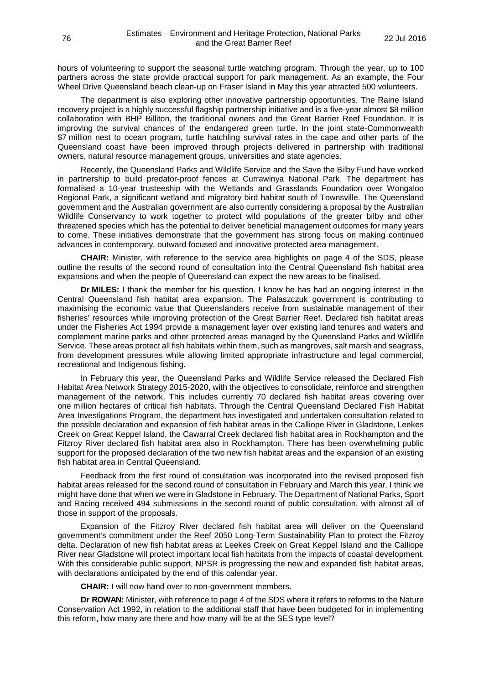hours of volunteering to support the seasonal turtle watching program. Through the year, up to 100 partners across the state provide practical support for park management. As an example, the Four Wheel Drive Queensland beach clean-up on Fraser Island in May this year attracted 500 volunteers.

The department is also exploring other innovative partnership opportunities. The Raine Island recovery project is a highly successful flagship partnership initiative and is a five-year almost \$8 million collaboration with BHP Billiton, the traditional owners and the Great Barrier Reef Foundation. It is improving the survival chances of the endangered green turtle. In the joint state-Commonwealth \$7 million nest to ocean program, turtle hatchling survival rates in the cape and other parts of the Queensland coast have been improved through projects delivered in partnership with traditional owners, natural resource management groups, universities and state agencies.

Recently, the Queensland Parks and Wildlife Service and the Save the Bilby Fund have worked in partnership to build predator-proof fences at Currawinya National Park. The department has formalised a 10-year trusteeship with the Wetlands and Grasslands Foundation over Wongaloo Regional Park, a significant wetland and migratory bird habitat south of Townsville. The Queensland government and the Australian government are also currently considering a proposal by the Australian Wildlife Conservancy to work together to protect wild populations of the greater bilby and other threatened species which has the potential to deliver beneficial management outcomes for many years to come. These initiatives demonstrate that the government has strong focus on making continued advances in contemporary, outward focused and innovative protected area management.

**CHAIR:** Minister, with reference to the service area highlights on page 4 of the SDS, please outline the results of the second round of consultation into the Central Queensland fish habitat area expansions and when the people of Queensland can expect the new areas to be finalised.

**Dr MILES:** I thank the member for his question. I know he has had an ongoing interest in the Central Queensland fish habitat area expansion. The Palaszczuk government is contributing to maximising the economic value that Queenslanders receive from sustainable management of their fisheries' resources while improving protection of the Great Barrier Reef. Declared fish habitat areas under the Fisheries Act 1994 provide a management layer over existing land tenures and waters and complement marine parks and other protected areas managed by the Queensland Parks and Wildlife Service. These areas protect all fish habitats within them, such as mangroves, salt marsh and seagrass, from development pressures while allowing limited appropriate infrastructure and legal commercial, recreational and Indigenous fishing.

In February this year, the Queensland Parks and Wildlife Service released the Declared Fish Habitat Area Network Strategy 2015-2020, with the objectives to consolidate, reinforce and strengthen management of the network. This includes currently 70 declared fish habitat areas covering over one million hectares of critical fish habitats. Through the Central Queensland Declared Fish Habitat Area Investigations Program, the department has investigated and undertaken consultation related to the possible declaration and expansion of fish habitat areas in the Calliope River in Gladstone, Leekes Creek on Great Keppel Island, the Cawarral Creek declared fish habitat area in Rockhampton and the Fitzroy River declared fish habitat area also in Rockhampton. There has been overwhelming public support for the proposed declaration of the two new fish habitat areas and the expansion of an existing fish habitat area in Central Queensland.

Feedback from the first round of consultation was incorporated into the revised proposed fish habitat areas released for the second round of consultation in February and March this year. I think we might have done that when we were in Gladstone in February. The Department of National Parks, Sport and Racing received 494 submissions in the second round of public consultation, with almost all of those in support of the proposals.

Expansion of the Fitzroy River declared fish habitat area will deliver on the Queensland government's commitment under the Reef 2050 Long-Term Sustainability Plan to protect the Fitzroy delta. Declaration of new fish habitat areas at Leekes Creek on Great Keppel Island and the Calliope River near Gladstone will protect important local fish habitats from the impacts of coastal development. With this considerable public support, NPSR is progressing the new and expanded fish habitat areas, with declarations anticipated by the end of this calendar year.

**CHAIR:** I will now hand over to non-government members.

**Dr ROWAN:** Minister, with reference to page 4 of the SDS where it refers to reforms to the Nature Conservation Act 1992, in relation to the additional staff that have been budgeted for in implementing this reform, how many are there and how many will be at the SES type level?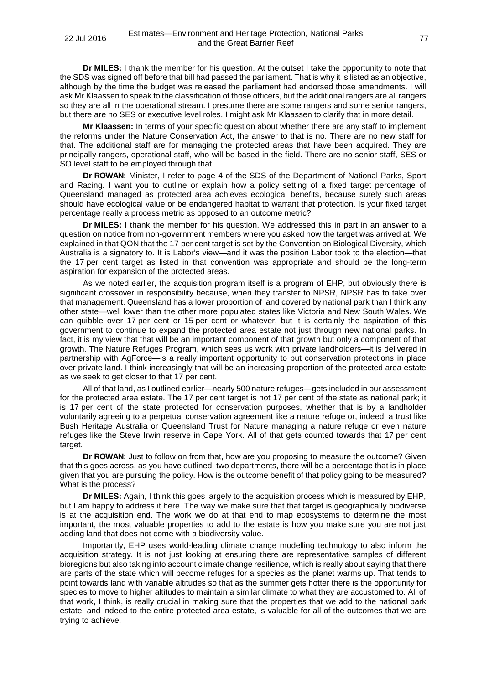**Dr MILES:** I thank the member for his question. At the outset I take the opportunity to note that the SDS was signed off before that bill had passed the parliament. That is why it is listed as an objective, although by the time the budget was released the parliament had endorsed those amendments. I will ask Mr Klaassen to speak to the classification of those officers, but the additional rangers are all rangers so they are all in the operational stream. I presume there are some rangers and some senior rangers, but there are no SES or executive level roles. I might ask Mr Klaassen to clarify that in more detail.

**Mr Klaassen:** In terms of your specific question about whether there are any staff to implement the reforms under the Nature Conservation Act, the answer to that is no. There are no new staff for that. The additional staff are for managing the protected areas that have been acquired. They are principally rangers, operational staff, who will be based in the field. There are no senior staff, SES or SO level staff to be employed through that.

**Dr ROWAN:** Minister, I refer to page 4 of the SDS of the Department of National Parks, Sport and Racing. I want you to outline or explain how a policy setting of a fixed target percentage of Queensland managed as protected area achieves ecological benefits, because surely such areas should have ecological value or be endangered habitat to warrant that protection. Is your fixed target percentage really a process metric as opposed to an outcome metric?

**Dr MILES:** I thank the member for his question. We addressed this in part in an answer to a question on notice from non-government members where you asked how the target was arrived at. We explained in that QON that the 17 per cent target is set by the Convention on Biological Diversity, which Australia is a signatory to. It is Labor's view—and it was the position Labor took to the election—that the 17 per cent target as listed in that convention was appropriate and should be the long-term aspiration for expansion of the protected areas.

As we noted earlier, the acquisition program itself is a program of EHP, but obviously there is significant crossover in responsibility because, when they transfer to NPSR, NPSR has to take over that management. Queensland has a lower proportion of land covered by national park than I think any other state—well lower than the other more populated states like Victoria and New South Wales. We can quibble over 17 per cent or 15 per cent or whatever, but it is certainly the aspiration of this government to continue to expand the protected area estate not just through new national parks. In fact, it is my view that that will be an important component of that growth but only a component of that growth. The Nature Refuges Program, which sees us work with private landholders—it is delivered in partnership with AgForce—is a really important opportunity to put conservation protections in place over private land. I think increasingly that will be an increasing proportion of the protected area estate as we seek to get closer to that 17 per cent.

All of that land, as I outlined earlier—nearly 500 nature refuges—gets included in our assessment for the protected area estate. The 17 per cent target is not 17 per cent of the state as national park; it is 17 per cent of the state protected for conservation purposes, whether that is by a landholder voluntarily agreeing to a perpetual conservation agreement like a nature refuge or, indeed, a trust like Bush Heritage Australia or Queensland Trust for Nature managing a nature refuge or even nature refuges like the Steve Irwin reserve in Cape York. All of that gets counted towards that 17 per cent target.

**Dr ROWAN:** Just to follow on from that, how are you proposing to measure the outcome? Given that this goes across, as you have outlined, two departments, there will be a percentage that is in place given that you are pursuing the policy. How is the outcome benefit of that policy going to be measured? What is the process?

**Dr MILES:** Again, I think this goes largely to the acquisition process which is measured by EHP, but I am happy to address it here. The way we make sure that that target is geographically biodiverse is at the acquisition end. The work we do at that end to map ecosystems to determine the most important, the most valuable properties to add to the estate is how you make sure you are not just adding land that does not come with a biodiversity value.

Importantly, EHP uses world-leading climate change modelling technology to also inform the acquisition strategy. It is not just looking at ensuring there are representative samples of different bioregions but also taking into account climate change resilience, which is really about saying that there are parts of the state which will become refuges for a species as the planet warms up. That tends to point towards land with variable altitudes so that as the summer gets hotter there is the opportunity for species to move to higher altitudes to maintain a similar climate to what they are accustomed to. All of that work, I think, is really crucial in making sure that the properties that we add to the national park estate, and indeed to the entire protected area estate, is valuable for all of the outcomes that we are trying to achieve.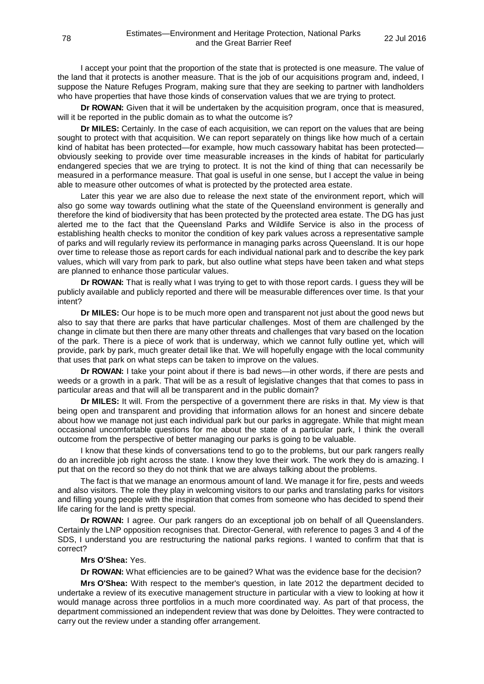I accept your point that the proportion of the state that is protected is one measure. The value of the land that it protects is another measure. That is the job of our acquisitions program and, indeed, I suppose the Nature Refuges Program, making sure that they are seeking to partner with landholders who have properties that have those kinds of conservation values that we are trying to protect.

**Dr ROWAN:** Given that it will be undertaken by the acquisition program, once that is measured, will it be reported in the public domain as to what the outcome is?

**Dr MILES:** Certainly. In the case of each acquisition, we can report on the values that are being sought to protect with that acquisition. We can report separately on things like how much of a certain kind of habitat has been protected—for example, how much cassowary habitat has been protected obviously seeking to provide over time measurable increases in the kinds of habitat for particularly endangered species that we are trying to protect. It is not the kind of thing that can necessarily be measured in a performance measure. That goal is useful in one sense, but I accept the value in being able to measure other outcomes of what is protected by the protected area estate.

Later this year we are also due to release the next state of the environment report, which will also go some way towards outlining what the state of the Queensland environment is generally and therefore the kind of biodiversity that has been protected by the protected area estate. The DG has just alerted me to the fact that the Queensland Parks and Wildlife Service is also in the process of establishing health checks to monitor the condition of key park values across a representative sample of parks and will regularly review its performance in managing parks across Queensland. It is our hope over time to release those as report cards for each individual national park and to describe the key park values, which will vary from park to park, but also outline what steps have been taken and what steps are planned to enhance those particular values.

**Dr ROWAN:** That is really what I was trying to get to with those report cards. I guess they will be publicly available and publicly reported and there will be measurable differences over time. Is that your intent?

**Dr MILES:** Our hope is to be much more open and transparent not just about the good news but also to say that there are parks that have particular challenges. Most of them are challenged by the change in climate but then there are many other threats and challenges that vary based on the location of the park. There is a piece of work that is underway, which we cannot fully outline yet, which will provide, park by park, much greater detail like that. We will hopefully engage with the local community that uses that park on what steps can be taken to improve on the values.

**Dr ROWAN:** I take your point about if there is bad news—in other words, if there are pests and weeds or a growth in a park. That will be as a result of legislative changes that that comes to pass in particular areas and that will all be transparent and in the public domain?

**Dr MILES:** It will. From the perspective of a government there are risks in that. My view is that being open and transparent and providing that information allows for an honest and sincere debate about how we manage not just each individual park but our parks in aggregate. While that might mean occasional uncomfortable questions for me about the state of a particular park, I think the overall outcome from the perspective of better managing our parks is going to be valuable.

I know that these kinds of conversations tend to go to the problems, but our park rangers really do an incredible job right across the state. I know they love their work. The work they do is amazing. I put that on the record so they do not think that we are always talking about the problems.

The fact is that we manage an enormous amount of land. We manage it for fire, pests and weeds and also visitors. The role they play in welcoming visitors to our parks and translating parks for visitors and filling young people with the inspiration that comes from someone who has decided to spend their life caring for the land is pretty special.

**Dr ROWAN:** I agree. Our park rangers do an exceptional job on behalf of all Queenslanders. Certainly the LNP opposition recognises that. Director-General, with reference to pages 3 and 4 of the SDS, I understand you are restructuring the national parks regions. I wanted to confirm that that is correct?

## **Mrs O'Shea:** Yes.

**Dr ROWAN:** What efficiencies are to be gained? What was the evidence base for the decision?

**Mrs O'Shea:** With respect to the member's question, in late 2012 the department decided to undertake a review of its executive management structure in particular with a view to looking at how it would manage across three portfolios in a much more coordinated way. As part of that process, the department commissioned an independent review that was done by Deloittes. They were contracted to carry out the review under a standing offer arrangement.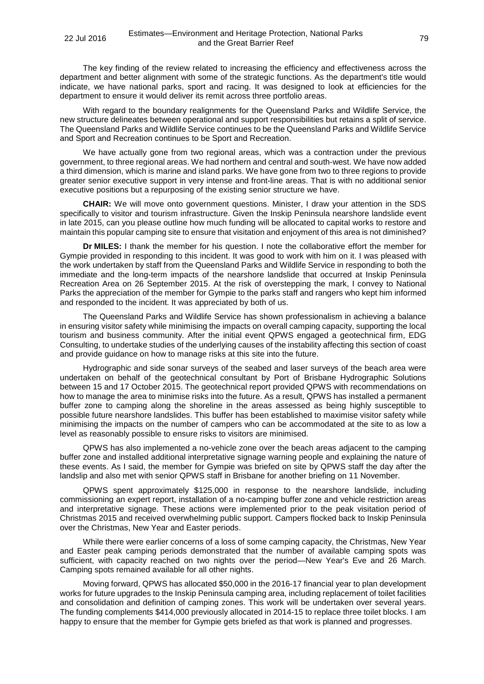The key finding of the review related to increasing the efficiency and effectiveness across the department and better alignment with some of the strategic functions. As the department's title would indicate, we have national parks, sport and racing. It was designed to look at efficiencies for the department to ensure it would deliver its remit across three portfolio areas.

With regard to the boundary realignments for the Queensland Parks and Wildlife Service, the new structure delineates between operational and support responsibilities but retains a split of service. The Queensland Parks and Wildlife Service continues to be the Queensland Parks and Wildlife Service and Sport and Recreation continues to be Sport and Recreation.

We have actually gone from two regional areas, which was a contraction under the previous government, to three regional areas. We had northern and central and south-west. We have now added a third dimension, which is marine and island parks. We have gone from two to three regions to provide greater senior executive support in very intense and front-line areas. That is with no additional senior executive positions but a repurposing of the existing senior structure we have.

**CHAIR:** We will move onto government questions. Minister, I draw your attention in the SDS specifically to visitor and tourism infrastructure. Given the Inskip Peninsula nearshore landslide event in late 2015, can you please outline how much funding will be allocated to capital works to restore and maintain this popular camping site to ensure that visitation and enjoyment of this area is not diminished?

**Dr MILES:** I thank the member for his question. I note the collaborative effort the member for Gympie provided in responding to this incident. It was good to work with him on it. I was pleased with the work undertaken by staff from the Queensland Parks and Wildlife Service in responding to both the immediate and the long-term impacts of the nearshore landslide that occurred at Inskip Peninsula Recreation Area on 26 September 2015. At the risk of overstepping the mark, I convey to National Parks the appreciation of the member for Gympie to the parks staff and rangers who kept him informed and responded to the incident. It was appreciated by both of us.

The Queensland Parks and Wildlife Service has shown professionalism in achieving a balance in ensuring visitor safety while minimising the impacts on overall camping capacity, supporting the local tourism and business community. After the initial event QPWS engaged a geotechnical firm, EDG Consulting, to undertake studies of the underlying causes of the instability affecting this section of coast and provide guidance on how to manage risks at this site into the future.

Hydrographic and side sonar surveys of the seabed and laser surveys of the beach area were undertaken on behalf of the geotechnical consultant by Port of Brisbane Hydrographic Solutions between 15 and 17 October 2015. The geotechnical report provided QPWS with recommendations on how to manage the area to minimise risks into the future. As a result, QPWS has installed a permanent buffer zone to camping along the shoreline in the areas assessed as being highly susceptible to possible future nearshore landslides. This buffer has been established to maximise visitor safety while minimising the impacts on the number of campers who can be accommodated at the site to as low a level as reasonably possible to ensure risks to visitors are minimised.

QPWS has also implemented a no-vehicle zone over the beach areas adjacent to the camping buffer zone and installed additional interpretative signage warning people and explaining the nature of these events. As I said, the member for Gympie was briefed on site by QPWS staff the day after the landslip and also met with senior QPWS staff in Brisbane for another briefing on 11 November.

QPWS spent approximately \$125,000 in response to the nearshore landslide, including commissioning an expert report, installation of a no-camping buffer zone and vehicle restriction areas and interpretative signage. These actions were implemented prior to the peak visitation period of Christmas 2015 and received overwhelming public support. Campers flocked back to Inskip Peninsula over the Christmas, New Year and Easter periods.

While there were earlier concerns of a loss of some camping capacity, the Christmas, New Year and Easter peak camping periods demonstrated that the number of available camping spots was sufficient, with capacity reached on two nights over the period—New Year's Eve and 26 March. Camping spots remained available for all other nights.

Moving forward, QPWS has allocated \$50,000 in the 2016-17 financial year to plan development works for future upgrades to the Inskip Peninsula camping area, including replacement of toilet facilities and consolidation and definition of camping zones. This work will be undertaken over several years. The funding complements \$414,000 previously allocated in 2014-15 to replace three toilet blocks. I am happy to ensure that the member for Gympie gets briefed as that work is planned and progresses.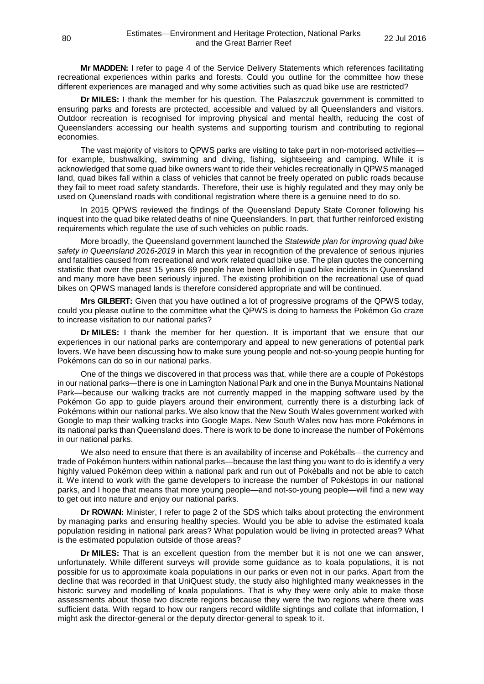**Mr MADDEN:** I refer to page 4 of the Service Delivery Statements which references facilitating recreational experiences within parks and forests. Could you outline for the committee how these different experiences are managed and why some activities such as quad bike use are restricted?

**Dr MILES:** I thank the member for his question. The Palaszczuk government is committed to ensuring parks and forests are protected, accessible and valued by all Queenslanders and visitors. Outdoor recreation is recognised for improving physical and mental health, reducing the cost of Queenslanders accessing our health systems and supporting tourism and contributing to regional economies.

The vast majority of visitors to QPWS parks are visiting to take part in non-motorised activities for example, bushwalking, swimming and diving, fishing, sightseeing and camping. While it is acknowledged that some quad bike owners want to ride their vehicles recreationally in QPWS managed land, quad bikes fall within a class of vehicles that cannot be freely operated on public roads because they fail to meet road safety standards. Therefore, their use is highly regulated and they may only be used on Queensland roads with conditional registration where there is a genuine need to do so.

In 2015 QPWS reviewed the findings of the Queensland Deputy State Coroner following his inquest into the quad bike related deaths of nine Queenslanders. In part, that further reinforced existing requirements which regulate the use of such vehicles on public roads.

More broadly, the Queensland government launched the *Statewide plan for improving quad bike safety in Queensland 2016-2019* in March this year in recognition of the prevalence of serious injuries and fatalities caused from recreational and work related quad bike use. The plan quotes the concerning statistic that over the past 15 years 69 people have been killed in quad bike incidents in Queensland and many more have been seriously injured. The existing prohibition on the recreational use of quad bikes on QPWS managed lands is therefore considered appropriate and will be continued.

**Mrs GILBERT:** Given that you have outlined a lot of progressive programs of the QPWS today, could you please outline to the committee what the QPWS is doing to harness the Pokémon Go craze to increase visitation to our national parks?

**Dr MILES:** I thank the member for her question. It is important that we ensure that our experiences in our national parks are contemporary and appeal to new generations of potential park lovers. We have been discussing how to make sure young people and not-so-young people hunting for Pokémons can do so in our national parks.

One of the things we discovered in that process was that, while there are a couple of Pokéstops in our national parks—there is one in Lamington National Park and one in the Bunya Mountains National Park—because our walking tracks are not currently mapped in the mapping software used by the Pokémon Go app to guide players around their environment, currently there is a disturbing lack of Pokémons within our national parks. We also know that the New South Wales government worked with Google to map their walking tracks into Google Maps. New South Wales now has more Pokémons in its national parks than Queensland does. There is work to be done to increase the number of Pokémons in our national parks.

We also need to ensure that there is an availability of incense and Pokéballs—the currency and trade of Pokémon hunters within national parks—because the last thing you want to do is identify a very highly valued Pokémon deep within a national park and run out of Pokéballs and not be able to catch it. We intend to work with the game developers to increase the number of Pokéstops in our national parks, and I hope that means that more young people—and not-so-young people—will find a new way to get out into nature and enjoy our national parks.

**Dr ROWAN:** Minister, I refer to page 2 of the SDS which talks about protecting the environment by managing parks and ensuring healthy species. Would you be able to advise the estimated koala population residing in national park areas? What population would be living in protected areas? What is the estimated population outside of those areas?

**Dr MILES:** That is an excellent question from the member but it is not one we can answer, unfortunately. While different surveys will provide some guidance as to koala populations, it is not possible for us to approximate koala populations in our parks or even not in our parks. Apart from the decline that was recorded in that UniQuest study, the study also highlighted many weaknesses in the historic survey and modelling of koala populations. That is why they were only able to make those assessments about those two discrete regions because they were the two regions where there was sufficient data. With regard to how our rangers record wildlife sightings and collate that information, I might ask the director-general or the deputy director-general to speak to it.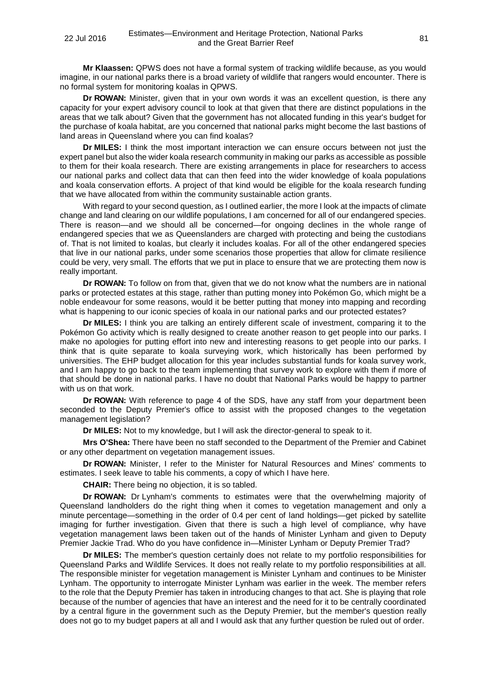**Mr Klaassen:** QPWS does not have a formal system of tracking wildlife because, as you would imagine, in our national parks there is a broad variety of wildlife that rangers would encounter. There is no formal system for monitoring koalas in QPWS.

**Dr ROWAN:** Minister, given that in your own words it was an excellent question, is there any capacity for your expert advisory council to look at that given that there are distinct populations in the areas that we talk about? Given that the government has not allocated funding in this year's budget for the purchase of koala habitat, are you concerned that national parks might become the last bastions of land areas in Queensland where you can find koalas?

**Dr MILES:** I think the most important interaction we can ensure occurs between not just the expert panel but also the wider koala research community in making our parks as accessible as possible to them for their koala research. There are existing arrangements in place for researchers to access our national parks and collect data that can then feed into the wider knowledge of koala populations and koala conservation efforts. A project of that kind would be eligible for the koala research funding that we have allocated from within the community sustainable action grants.

With regard to your second question, as I outlined earlier, the more I look at the impacts of climate change and land clearing on our wildlife populations, I am concerned for all of our endangered species. There is reason—and we should all be concerned—for ongoing declines in the whole range of endangered species that we as Queenslanders are charged with protecting and being the custodians of. That is not limited to koalas, but clearly it includes koalas. For all of the other endangered species that live in our national parks, under some scenarios those properties that allow for climate resilience could be very, very small. The efforts that we put in place to ensure that we are protecting them now is really important.

**Dr ROWAN:** To follow on from that, given that we do not know what the numbers are in national parks or protected estates at this stage, rather than putting money into Pokémon Go, which might be a noble endeavour for some reasons, would it be better putting that money into mapping and recording what is happening to our iconic species of koala in our national parks and our protected estates?

**Dr MILES:** I think you are talking an entirely different scale of investment, comparing it to the Pokémon Go activity which is really designed to create another reason to get people into our parks. I make no apologies for putting effort into new and interesting reasons to get people into our parks. I think that is quite separate to koala surveying work, which historically has been performed by universities. The EHP budget allocation for this year includes substantial funds for koala survey work, and I am happy to go back to the team implementing that survey work to explore with them if more of that should be done in national parks. I have no doubt that National Parks would be happy to partner with us on that work.

**Dr ROWAN:** With reference to page 4 of the SDS, have any staff from your department been seconded to the Deputy Premier's office to assist with the proposed changes to the vegetation management legislation?

**Dr MILES:** Not to my knowledge, but I will ask the director-general to speak to it.

**Mrs O'Shea:** There have been no staff seconded to the Department of the Premier and Cabinet or any other department on vegetation management issues.

**Dr ROWAN:** Minister, I refer to the Minister for Natural Resources and Mines' comments to estimates. I seek leave to table his comments, a copy of which I have here.

**CHAIR:** There being no objection, it is so tabled.

**Dr ROWAN:** Dr Lynham's comments to estimates were that the overwhelming majority of Queensland landholders do the right thing when it comes to vegetation management and only a minute percentage—something in the order of 0.4 per cent of land holdings—get picked by satellite imaging for further investigation. Given that there is such a high level of compliance, why have vegetation management laws been taken out of the hands of Minister Lynham and given to Deputy Premier Jackie Trad. Who do you have confidence in—Minister Lynham or Deputy Premier Trad?

**Dr MILES:** The member's question certainly does not relate to my portfolio responsibilities for Queensland Parks and Wildlife Services. It does not really relate to my portfolio responsibilities at all. The responsible minister for vegetation management is Minister Lynham and continues to be Minister Lynham. The opportunity to interrogate Minister Lynham was earlier in the week. The member refers to the role that the Deputy Premier has taken in introducing changes to that act. She is playing that role because of the number of agencies that have an interest and the need for it to be centrally coordinated by a central figure in the government such as the Deputy Premier, but the member's question really does not go to my budget papers at all and I would ask that any further question be ruled out of order.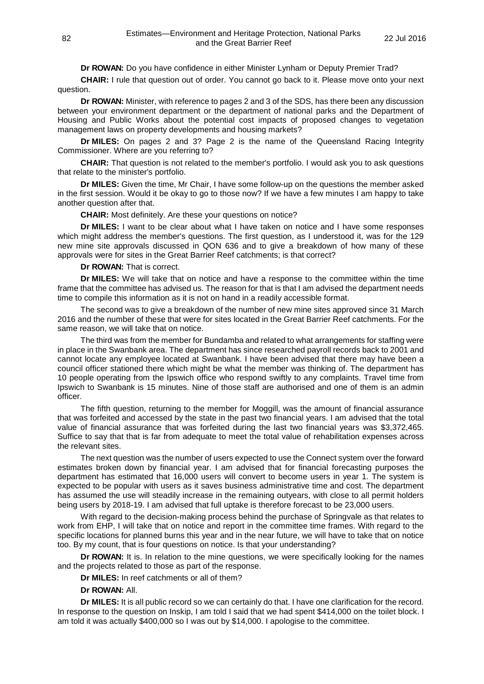**Dr ROWAN:** Do you have confidence in either Minister Lynham or Deputy Premier Trad?

**CHAIR:** I rule that question out of order. You cannot go back to it. Please move onto your next question.

**Dr ROWAN:** Minister, with reference to pages 2 and 3 of the SDS, has there been any discussion between your environment department or the department of national parks and the Department of Housing and Public Works about the potential cost impacts of proposed changes to vegetation management laws on property developments and housing markets?

**Dr MILES:** On pages 2 and 3? Page 2 is the name of the Queensland Racing Integrity Commissioner. Where are you referring to?

**CHAIR:** That question is not related to the member's portfolio. I would ask you to ask questions that relate to the minister's portfolio.

**Dr MILES:** Given the time, Mr Chair, I have some follow-up on the questions the member asked in the first session. Would it be okay to go to those now? If we have a few minutes I am happy to take another question after that.

**CHAIR:** Most definitely. Are these your questions on notice?

**Dr MILES:** I want to be clear about what I have taken on notice and I have some responses which might address the member's questions. The first question, as I understood it, was for the 129 new mine site approvals discussed in QON 636 and to give a breakdown of how many of these approvals were for sites in the Great Barrier Reef catchments; is that correct?

**Dr ROWAN:** That is correct.

**Dr MILES:** We will take that on notice and have a response to the committee within the time frame that the committee has advised us. The reason for that is that I am advised the department needs time to compile this information as it is not on hand in a readily accessible format.

The second was to give a breakdown of the number of new mine sites approved since 31 March 2016 and the number of these that were for sites located in the Great Barrier Reef catchments. For the same reason, we will take that on notice.

The third was from the member for Bundamba and related to what arrangements for staffing were in place in the Swanbank area. The department has since researched payroll records back to 2001 and cannot locate any employee located at Swanbank. I have been advised that there may have been a council officer stationed there which might be what the member was thinking of. The department has 10 people operating from the Ipswich office who respond swiftly to any complaints. Travel time from Ipswich to Swanbank is 15 minutes. Nine of those staff are authorised and one of them is an admin officer.

The fifth question, returning to the member for Moggill, was the amount of financial assurance that was forfeited and accessed by the state in the past two financial years. I am advised that the total value of financial assurance that was forfeited during the last two financial years was \$3,372,465. Suffice to say that that is far from adequate to meet the total value of rehabilitation expenses across the relevant sites.

The next question was the number of users expected to use the Connect system over the forward estimates broken down by financial year. I am advised that for financial forecasting purposes the department has estimated that 16,000 users will convert to become users in year 1. The system is expected to be popular with users as it saves business administrative time and cost. The department has assumed the use will steadily increase in the remaining outyears, with close to all permit holders being users by 2018-19. I am advised that full uptake is therefore forecast to be 23,000 users.

With regard to the decision-making process behind the purchase of Springvale as that relates to work from EHP, I will take that on notice and report in the committee time frames. With regard to the specific locations for planned burns this year and in the near future, we will have to take that on notice too. By my count, that is four questions on notice. Is that your understanding?

**Dr ROWAN:** It is. In relation to the mine questions, we were specifically looking for the names and the projects related to those as part of the response.

**Dr MILES:** In reef catchments or all of them?

**Dr ROWAN:** All.

**Dr MILES:** It is all public record so we can certainly do that. I have one clarification for the record. In response to the question on Inskip, I am told I said that we had spent \$414,000 on the toilet block. I am told it was actually \$400,000 so I was out by \$14,000. I apologise to the committee.